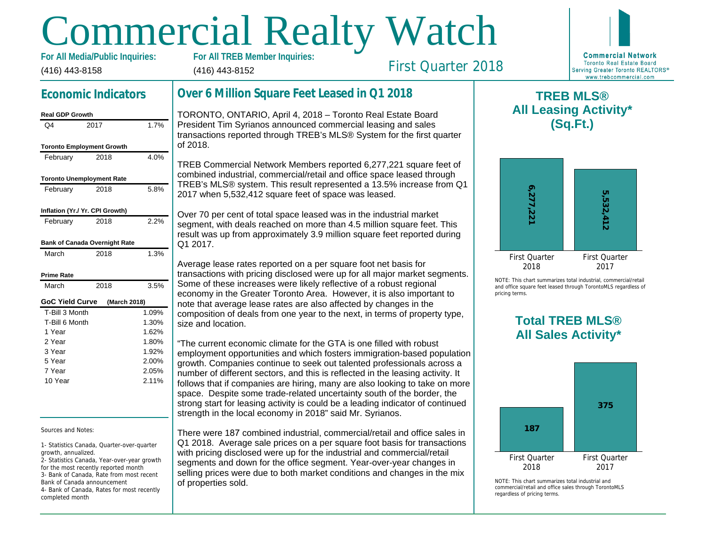# Commercial Realty Watch

(416) 443-8158 **For All Media/Public Inquiries:** (416) 443-8152

First Quarter 2018

# **Economic Indicators**

#### **Real GDP Growth** Q4 2017 1.7% **Toronto Employment Growth** February 2018 4.0% **Toronto Unemployment Rate** February 2018 5.8% **Inflation (Yr./ Yr. CPI Growth)** February 2018 2.2% **Bank of Canada Overnight Rate** March 2018 1.3% **Prime Rate** March 2018 3.5% **GoC Yield Curve (March 2018)** T-Bill 3 Month T-Bill 6 Month 1 Year 2 Year 3 Year 5 Year 7 Year 10 Year 1.09% 1.30% 1.62% 1.80% 1.92% 2.00% 2.05% 2.11%

Sources and Notes:

1- Statistics Canada, Quarter-over-quarter growth, annualized.

2- Statistics Canada, Year-over-year growth for the most recently reported month 3- Bank of Canada, Rate from most recent Bank of Canada announcement 4- Bank of Canada, Rates for most recently completed month

# **Over 6 Million Square Feet Leased in Q1 2018**

TORONTO, ONTARIO, April 4, 2018 – Toronto Real Estate Board President Tim Syrianos announced commercial leasing and sales transactions reported through TREB's MLS® System for the first quarter of 2018.

TREB Commercial Network Members reported 6,277,221 square feet of combined industrial, commercial/retail and office space leased through TREB's MLS® system. This result represented a 13.5% increase from Q1 2017 when 5,532,412 square feet of space was leased.

Over 70 per cent of total space leased was in the industrial market segment, with deals reached on more than 4.5 million square feet. This result was up from approximately 3.9 million square feet reported during Q1 2017.

Average lease rates reported on a per square foot net basis for transactions with pricing disclosed were up for all major market segments. Some of these increases were likely reflective of a robust regional economy in the Greater Toronto Area. However, it is also important to note that average lease rates are also affected by changes in the composition of deals from one year to the next, in terms of property type, size and location.

"The current economic climate for the GTA is one filled with robust employment opportunities and which fosters immigration-based population growth. Companies continue to seek out talented professionals across a number of different sectors, and this is reflected in the leasing activity. It follows that if companies are hiring, many are also looking to take on more space. Despite some trade-related uncertainty south of the border, the strong start for leasing activity is could be a leading indicator of continued strength in the local economy in 2018" said Mr. Syrianos.

There were 187 combined industrial, commercial/retail and office sales in Q1 2018. Average sale prices on a per square foot basis for transactions with pricing disclosed were up for the industrial and commercial/retail segments and down for the office segment. Year-over-year changes in selling prices were due to both market conditions and changes in the mix of properties sold.

**TREB MLS® All Leasing Activity\***

**6,277,221**

First Quar 2018

NOTE: This chart sun and office square fee pricing terms.

# **Total All Sa**

**187**

First Quar 2018

 $NOTF: This chart sum$ commercial/retail and regardless of pricing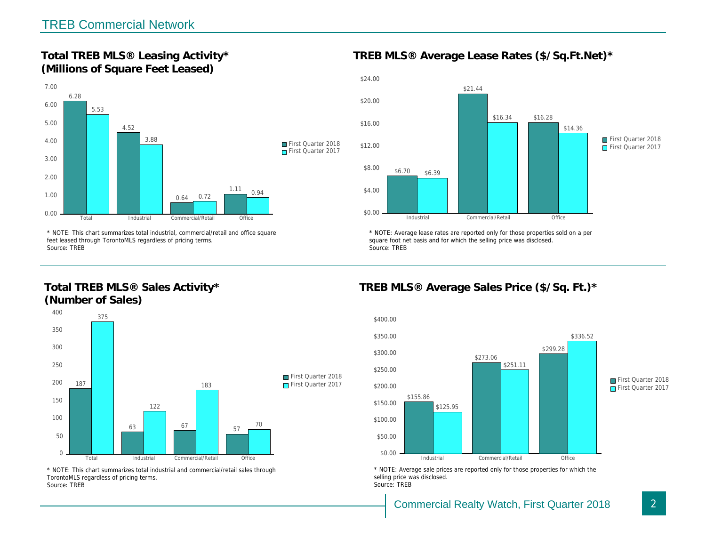Total TREB MLS® Leasing Activity\* (Millions of Square Feet Leased)

TREB MLS® Average Lease Rates (\$/So.

\* NOTE: This chart summarizes total industrial, commercial/retail and office square feet leased through TorontoMLS regardless of pricing terms. Source: TREB

Total TREB MLS® Sales Activity\* (Number of Sales)

\* NOTE: Average lease rates are reported only for those proper square foot net basis and for which the selling price was disclos Source: TREB

TREB MLS® Average Sales Price (\$/So.

\* NOTE: This chart summarizes total industrial and commercial/retail sales through TorontoMLS regardless of pricing terms. Source: TREB

\* NOTE: Average sale prices are reported only for those prope selling price was disclosed. Source: TREB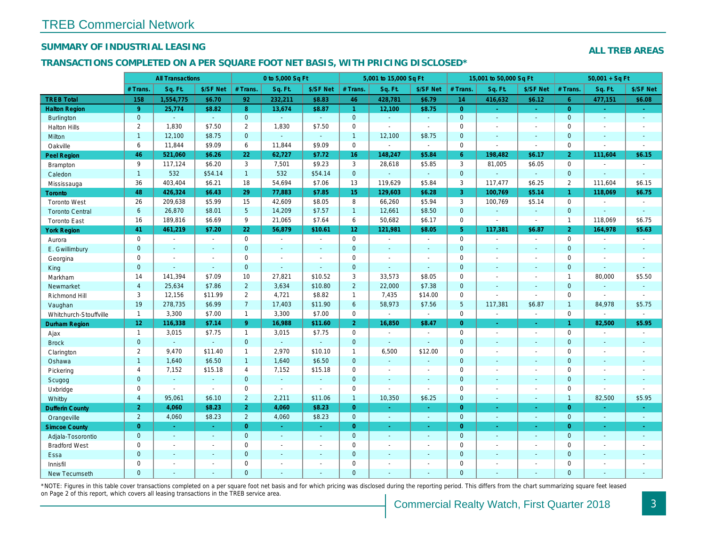## SUMMARY OF INDUSTRIAL LEASING

#### TRANSACTIONS COMPLETED ON A PER SQUARE FOOT NET BASIS, WITH PRICING DISCLOSED\*

|                        |                 | <b>All Transactions</b>  |                          |                 | 0 to 5,000 Sq Ft |                |                     | 5,001 to 15,000 Sq Ft |                  |                 | 15,001 to 50,000 Sq Ft |                          |
|------------------------|-----------------|--------------------------|--------------------------|-----------------|------------------|----------------|---------------------|-----------------------|------------------|-----------------|------------------------|--------------------------|
|                        | # Trans.        | Sq. Ft.                  | \$/SF Net                | # Trans.        | Sq. Ft.          | \$/SF Net      | # Trans.            | Sq. Ft.               | \$/SF Net        | # Trans.        | Sq. Ft.                | \$/SF Ne                 |
| <b>TREB Total</b>      | 158             | 1,554,775                | \$6.70                   | 92              | 232,211          | \$8.83         | 46                  | 428,781               | \$6.79           | 14              | 416,632                | \$6.12                   |
| <b>Halton Region</b>   | 9 <sup>°</sup>  | 25,774                   | \$8.82                   | 8               | 13,674           | \$8.87         | $\mathbf{1}$        | 12,100                | \$8.75           | $\overline{0}$  | $\omega$               | $\omega_{\rm c}$         |
| <b>Burlington</b>      | $\mathbf{0}$    | $\omega$                 | $\omega$                 | $\mathbf 0$     | $\omega$         | $\omega$       | $\mathbf{0}$        | $\omega_{\rm c}$      | $\sim$           | $\overline{0}$  | ÷.                     | $\sim$                   |
| <b>Halton Hills</b>    | $\overline{2}$  | 1,830                    | \$7.50                   | $\overline{2}$  | 1,830            | \$7.50         | $\mathsf{O}\xspace$ | ä,                    | $\overline{a}$   | $\mathbf 0$     | $\blacksquare$         | $\sim$                   |
| Milton                 | $\mathbf{1}$    | 12,100                   | \$8.75                   | $\overline{0}$  | $\Delta$         | $\mathbf{r}$   | $\mathbf{1}$        | 12,100                | \$8.75           | $\mathbf{0}$    | $\Delta$               | $\sim$                   |
| Oakville               | 6               | 11,844                   | \$9.09                   | 6               | 11,844           | \$9.09         | $\mathsf{O}\xspace$ | $\mathbf{r}$          | $\sim$           | $\mathbf 0$     |                        | $\sim$                   |
| Peel Region            | 46              | 521,060                  | \$6.26                   | 22              | 62,727           | \$7.72         | 16 <sup>°</sup>     | 148,247               | \$5.84           | $6^{\circ}$     | 198,482                | \$6.17                   |
| <b>Brampton</b>        | 9               | 117,124                  | \$6.20                   | 3               | 7,501            | \$9.23         | 3                   | 28,618                | \$5.85           | 3               | 81,005                 | \$6.05                   |
| Caledon                | 1               | 532                      | \$54.14                  | 1 <sup>1</sup>  | 532              | \$54.14        | $\mathbf{0}$        | ä,                    | $\omega_{\rm c}$ | $\mathbf{0}$    | $\omega$               | $\blacksquare$           |
| Mississauga            | 36              | 403,404                  | \$6.21                   | 18              | 54,694           | \$7.06         | 13                  | 119,629               | \$5.84           | 3               | 117,477                | \$6.25                   |
| Toronto                | 48              | 426,324                  | \$6.43                   | 29              | 77,883           | \$7.85         | 15 <sub>1</sub>     | 129,603               | \$6.28           | 3               | 100,769                | \$5.14                   |
| <b>Toronto West</b>    | 26              | 209,638                  | \$5.99                   | 15              | 42,609           | \$8.05         | 8                   | 66,260                | \$5.94           | 3               | 100,769                | \$5.14                   |
| <b>Toronto Central</b> | 6               | 26,870                   | \$8.01                   | $5\phantom{.0}$ | 14,209           | \$7.57         | $\mathbf{1}$        | 12,661                | \$8.50           | $\mathbf 0$     | $\blacksquare$         | $\blacksquare$           |
| <b>Toronto East</b>    | 16              | 189,816                  | \$6.69                   | 9               | 21,065           | \$7.64         | 6                   | 50,682                | \$6.17           | $\mathbf 0$     | $\blacksquare$         | $\sim$                   |
| <b>York Region</b>     | 41              | 461,219                  | \$7.20                   | 22              | 56,879           | \$10.61        | 12 <sub>2</sub>     | 121,981               | \$8.05           | 5 <sup>5</sup>  | 117,381                | \$6.87                   |
| Aurora                 | 0               | $\sim$                   | $\sim$                   | $\Omega$        | $\sim$           | $\blacksquare$ | $\mathsf{O}$        | $\blacksquare$        | $\sim$           | $\mathbf 0$     |                        | $\sim$                   |
| E. Gwillimbury         | $\mathbf{0}$    | $\blacksquare$           | $\blacksquare$           | $\mathbf 0$     | $\blacksquare$   | $\frac{1}{2}$  | $\pmb{0}$           | $\blacksquare$        | $\blacksquare$   | $\mathbf{0}$    | $\blacksquare$         | $\blacksquare$           |
| Georgina               | $\mathbf 0$     | $\blacksquare$           | $\blacksquare$           | $\mathbf 0$     | $\blacksquare$   | $\blacksquare$ | $\mathbf 0$         | $\blacksquare$        | $\blacksquare$   | $\mathbf 0$     | $\omega$               | $\blacksquare$           |
| King                   | $\mathbf{0}$    | $\overline{\phantom{a}}$ | $\sim$                   | $\mathbf 0$     | $\omega$         | $\blacksquare$ | $\mathbf 0$         | $\blacksquare$        | $\sim$           | $\mathbf{0}$    | $\sim$                 | $\blacksquare$           |
| Markham                | 14              | 141,394                  | \$7.09                   | 10              | 27,821           | \$10.52        | 3                   | 33,573                | \$8.05           | $\mathbf 0$     | $\blacksquare$         | $\overline{\phantom{a}}$ |
| Newmarket              | $\overline{4}$  | 25,634                   | \$7.86                   | $\overline{2}$  | 3,634            | \$10.80        | $\overline{2}$      | 22,000                | \$7.38           | $\mathbf 0$     | $\sim$                 | $\sim$                   |
| Richmond Hill          | 3               | 12,156                   | \$11.99                  | $\overline{2}$  | 4,721            | \$8.82         | $\mathbf{1}$        | 7,435                 | \$14.00          | $\mathbf 0$     | $\overline{a}$         | $\blacksquare$           |
| Vaughan                | 19              | 278,735                  | \$6.99                   | $\overline{7}$  | 17,403           | \$11.90        | $6\overline{6}$     | 58,973                | \$7.56           | $5\phantom{.0}$ | 117,381                | \$6.87                   |
| Whitchurch-Stouffville | $\mathbf{1}$    | 3,300                    | \$7.00                   | $\mathbf{1}$    | 3,300            | \$7.00         | $\mathsf{O}$        | $\blacksquare$        | $\blacksquare$   | $\mathbf 0$     |                        | $\sim$                   |
| <b>Durham Region</b>   | 12 <sub>1</sub> | 116,338                  | \$7.14                   | $\overline{9}$  | 16,988           | \$11.60        | 2 <sup>1</sup>      | 16,850                | \$8.47           | $\overline{0}$  | $\blacksquare$         | $\sigma$                 |
| Ajax                   | $\mathbf{1}$    | 3,015                    | \$7.75                   | $\mathbf{1}$    | 3,015            | \$7.75         | $\mathsf{O}$        | $\blacksquare$        | $\blacksquare$   | $\mathbf 0$     | $\blacksquare$         | $\sim$                   |
| <b>Brock</b>           | $\mathbf{0}$    | $\omega$                 | $\omega$                 | $\mathbf{0}$    | $\omega$         | $\omega$       | $\mathbf{0}$        | $\omega_{\rm c}$      | $\omega_{\rm c}$ | $\mathbf{0}$    | $\omega$               | $\blacksquare$           |
| Clarington             | $\overline{2}$  | 9,470                    | \$11.40                  | $\mathbf{1}$    | 2,970            | \$10.10        | $\mathbf{1}$        | 6,500                 | \$12.00          | $\mathbf 0$     | $\sim$                 | $\blacksquare$           |
| Oshawa                 | $\mathbf{1}$    | 1,640                    | \$6.50                   | $\mathbf{1}$    | 1,640            | \$6.50         | $\mathbf 0$         | $\blacksquare$        | $\blacksquare$   | $\mathbf{0}$    | $\blacksquare$         | $\blacksquare$           |
| Pickering              | $\overline{4}$  | 7,152                    | \$15.18                  | 4               | 7,152            | \$15.18        | $\mathbf 0$         | $\blacksquare$        | $\blacksquare$   | $\mathbf 0$     | $\blacksquare$         | $\mathbf{r}$             |
| Scugog                 | $\mathbf 0$     | $\mathbf{r}$             | $\mathbf{r}$             | $\mathbf 0$     | $\mathbf{u}$     | $\blacksquare$ | $\pmb{0}$           | $\blacksquare$        | $\blacksquare$   | $\mathbf{0}$    | $\Delta$               | $\blacksquare$           |
| Uxbridge               | 0               | $\blacksquare$           | $\blacksquare$           | 0               | $\sim$           | $\sim$         | $\mathbf 0$         | ä,                    | $\blacksquare$   | $\mathbf 0$     | $\blacksquare$         | $\blacksquare$           |
| Whitby                 | $\overline{4}$  | 95.061                   | \$6.10                   | $\overline{2}$  | 2.211            | \$11.06        | $\overline{1}$      | 10,350                | \$6.25           | $\mathbf{0}$    | $\omega$               | $\blacksquare$           |
| <b>Dufferin County</b> | $\overline{2}$  | 4,060                    | \$8.23                   | 2 <sup>1</sup>  | 4,060            | \$8.23         | $\overline{0}$      | $\blacksquare$        | $\omega_{\rm c}$ | $\overline{0}$  | $\blacksquare$         | $\bullet$                |
| Orangeville            | $\overline{2}$  | 4,060                    | \$8.23                   | $\overline{2}$  | 4,060            | \$8.23         | $\mathbf{0}$        | $\omega$              | $\blacksquare$   | $\overline{0}$  | $\omega$               | $\sim$                   |
| <b>Simcoe County</b>   | $\overline{0}$  | $\sim$                   | $\sim$                   | $\mathbf{0}$    | $\sim$           | $\blacksquare$ | $\overline{0}$      | $\blacksquare$        | $\blacksquare$   | $\overline{0}$  | $\blacksquare$         | ÷                        |
| Adjala-Tosorontio      | $\overline{0}$  | $\sim$                   | $\sim$                   | $\mathbf{0}$    | $\sim$           | $\sim$         | $\overline{0}$      | $\sim$                | $\mathbf{r}$     | $\mathbf{0}$    | $\sim$                 | $\sim$                   |
| <b>Bradford West</b>   | 0               | $\blacksquare$           | $\overline{\phantom{a}}$ | 0               | $\blacksquare$   | $\sim$         | $\mathsf 0$         | $\sim$                | $\blacksquare$   | $\mathbf 0$     | $\blacksquare$         | $\blacksquare$           |
| Essa                   | $\mathbf{0}$    | $\sim$                   | $\sim$                   | $\overline{0}$  | $\blacksquare$   | $\blacksquare$ | $\mathbf{0}$        | $\blacksquare$        | ä,               | $\mathbf{0}$    | $\omega$               | $\blacksquare$           |
| Innisfil               | 0               | $\overline{\phantom{a}}$ | $\overline{\phantom{a}}$ | 0               | $\blacksquare$   | $\blacksquare$ | $\mathbf 0$         | $\overline{a}$        | $\blacksquare$   | $\mathbf 0$     | $\blacksquare$         | $\blacksquare$           |
| New Tecumseth          | $\Omega$        |                          |                          | $\Omega$        | ä,               |                | $\mathbf{0}$        | ä,                    |                  | $\mathbf{0}$    | $\omega$               | $\mathbf{r}$             |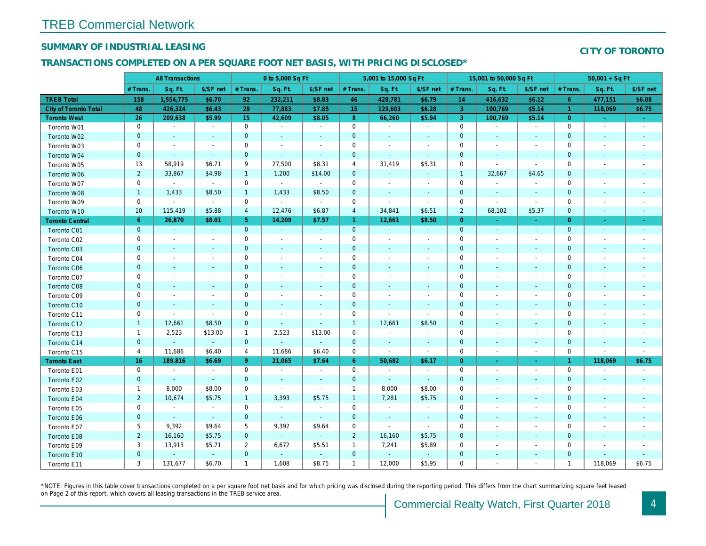## SUMMARY OF INDUSTRIAL LEASING

#### TRANSACTIONS COMPLETED ON A PER SQUARE FOOT NET BASIS, WITH PRICING DISCLOSED\*

|                              |                | <b>All Transactions</b> |                          |                | 0 to 5,000 Sq Ft |                          |                     | 5,001 to 15,000 Sq Ft    |                          |                | 15,001 to 50,000 Sq Ft   |                          |
|------------------------------|----------------|-------------------------|--------------------------|----------------|------------------|--------------------------|---------------------|--------------------------|--------------------------|----------------|--------------------------|--------------------------|
|                              | # Trans.       | Sq. Ft.                 | \$/SF net                | # Trans.       | Sq. Ft.          | \$/SF net                | # Trans.            | Sq. Ft.                  | \$/SF net                | # Trans.       | Sq. Ft.                  | \$/SF ne                 |
| <b>TREB Total</b>            | 158            | 1,554,775               | \$6.70                   | 92             | 232,211          | \$8.83                   | 46                  | 428,781                  | \$6.79                   | 14             | 416,632                  | \$6.12                   |
| <b>City of Toronto Total</b> | 48             | 426,324                 | \$6.43                   | 29             | 77,883           | \$7.85                   | 15 <sub>15</sub>    | 129,603                  | \$6.28                   | $\mathbf{3}$   | 100,769                  | \$5.14                   |
| <b>Toronto West</b>          | 26             | 209,638                 | \$5.99                   | 15             | 42,609           | \$8.05                   | 8 <sup>°</sup>      | 66,260                   | \$5.94                   | $\mathbf{3}$   | 100,769                  | \$5.14                   |
| Toronto W01                  | 0              | $\blacksquare$          | $\sim$                   | $\mathbf 0$    | $\blacksquare$   | $\blacksquare$           | $\mathsf{O}\xspace$ | $\blacksquare$           | $\omega$                 | $\mathbf 0$    | $\blacksquare$           | $\sim$                   |
| Toronto W02                  | $\mathbf 0$    | $\blacksquare$          |                          | $\mathbf 0$    | $\blacksquare$   | $\blacksquare$           | $\mathbf 0$         | $\blacksquare$           |                          | $\mathbf 0$    | $\overline{\phantom{a}}$ | $\sim$                   |
| Toronto W03                  | 0              | $\blacksquare$          | $\overline{\phantom{a}}$ | 0              | $\blacksquare$   | $\blacksquare$           | $\mathbf 0$         | $\blacksquare$           | $\blacksquare$           | 0              | $\overline{\phantom{a}}$ | $\blacksquare$           |
| Toronto W04                  | $\mathbf 0$    | $\sim$                  | $\sim$                   | $\mathbf 0$    | $\sim$           | $\sim$                   | $\mathbf 0$         | $\blacksquare$           | $\blacksquare$           | $\mathbf 0$    | $\blacksquare$           | $\blacksquare$           |
| Toronto W05                  | 13             | 58,919                  | \$6.71                   | 9              | 27,500           | \$8.31                   | 4                   | 31,419                   | \$5.31                   | 0              |                          | $\blacksquare$           |
| Toronto W06                  | $\overline{2}$ | 33,867                  | \$4.98                   | $\mathbf{1}$   | 1,200            | \$14.00                  | $\mathbf 0$         | $\blacksquare$           | $\blacksquare$           | $\overline{1}$ | 32,667                   | \$4.65                   |
| Toronto W07                  | $\mathbf 0$    | $\bullet$               | $\sim$                   | $\mathbf 0$    | $\sim$           | $\bullet$                | $\mathbf 0$         | $\blacksquare$           | $\blacksquare$           | $\mathbf 0$    | $\sim$                   | $\overline{\phantom{a}}$ |
| Toronto W08                  | $\mathbf{1}$   | 1,433                   | \$8.50                   | $\mathbf{1}$   | 1,433            | \$8.50                   | $\mathbf 0$         | ۰                        | $\blacksquare$           | $\mathbf 0$    | $\sim$                   | $\overline{\phantom{a}}$ |
| Toronto W09                  | 0              | $\sim$                  | $\sim$                   | $\mathbf 0$    | $\blacksquare$   | $\omega$                 | $\mathbf 0$         | $\blacksquare$           | $\blacksquare$           | 0              | $\sim$                   | $\blacksquare$           |
| Toronto W10                  | 10             | 115,419                 | \$5.88                   | $\overline{4}$ | 12,476           | \$6.87                   | $\overline{4}$      | 34,841                   | \$6.51                   | $\overline{2}$ | 68,102                   | \$5.37                   |
| <b>Toronto Central</b>       | 6              | 26,870                  | \$8.01                   | 5 <sup>5</sup> | 14,209           | \$7.57                   | $\mathbf{1}$        | 12,661                   | \$8.50                   | $\overline{0}$ | $\sim$                   | $\sim$                   |
| Toronto C01                  | $\pmb{0}$      | $\sim$                  | $\sim$                   | $\mathbf 0$    | $\sim$           | $\omega$                 | $\mathbf{0}$        | $\omega$                 | $\blacksquare$           | $\mathbf{0}$   | $\blacksquare$           | $\bullet$                |
| Toronto C02                  | 0              | $\blacksquare$          | $\blacksquare$           | $\mathbf 0$    | $\blacksquare$   | $\overline{\phantom{a}}$ | $\mathbf 0$         | $\blacksquare$           | $\blacksquare$           | 0              | $\overline{\phantom{a}}$ | $\overline{\phantom{a}}$ |
| Toronto C03                  | $\mathbf 0$    | $\sim$                  |                          | $\mathbf 0$    | $\blacksquare$   | $\blacksquare$           | $\mathbf 0$         | $\blacksquare$           | $\blacksquare$           | $\mathbf 0$    | $\sim$                   | $\sim$                   |
| Toronto C04                  | 0              | $\sim$                  |                          | $\mathbf 0$    | $\blacksquare$   | $\overline{\phantom{a}}$ | 0                   | $\blacksquare$           | $\blacksquare$           | 0              | $\overline{\phantom{a}}$ | $\overline{\phantom{a}}$ |
| Toronto C06                  | $\mathbf 0$    | $\sim$                  | $\sim$                   | $\mathbf 0$    | $\blacksquare$   | $\blacksquare$           | $\mathbf 0$         | $\blacksquare$           | $\blacksquare$           | $\mathbf 0$    | $\overline{\phantom{a}}$ | $\blacksquare$           |
| Toronto C07                  | $\mathbf 0$    | $\sim$                  |                          | $\mathbf 0$    | $\blacksquare$   | $\overline{\phantom{a}}$ | $\mathbf 0$         | ÷,                       | $\blacksquare$           | $\mathbf 0$    |                          | $\blacksquare$           |
| Toronto C08                  | $\mathbf{0}$   | $\sim$                  | $\sim$                   | $\mathbf{0}$   | $\blacksquare$   | $\blacksquare$           | $\mathbf 0$         | $\blacksquare$           | $\overline{a}$           | $\mathbf 0$    | $\blacksquare$           | $\overline{\phantom{a}}$ |
| Toronto C09                  | 0              | $\overline{a}$          | $\sim$                   | $\mathbf 0$    | $\blacksquare$   | $\blacksquare$           | $\mathbf 0$         | $\blacksquare$           | $\sim$                   | 0              | $\overline{\phantom{a}}$ | $\sim$                   |
| Toronto C10                  | $\mathbf{0}$   | $\sim$                  | $\sim$                   | $\overline{0}$ | $\blacksquare$   | $\blacksquare$           | $\mathbf 0$         | $\blacksquare$           | $\blacksquare$           | $\mathbf 0$    | $\blacksquare$           | $\overline{\phantom{a}}$ |
| Toronto C11                  | 0              | $\sim$                  | $\sim$                   | $\mathbf 0$    | $\blacksquare$   | $\overline{\phantom{a}}$ | $\mathsf{O}\xspace$ | ÷,                       | $\blacksquare$           | 0              |                          | $\overline{\phantom{a}}$ |
| Toronto C12                  | $\mathbf{1}$   | 12,661                  | \$8.50                   | $\mathbf 0$    | $\blacksquare$   | $\overline{\phantom{a}}$ | $\overline{1}$      | 12,661                   | \$8.50                   | $\mathbf 0$    | $\overline{\phantom{a}}$ |                          |
| Toronto C13                  | $\mathbf{1}$   | 2,523                   | \$13.00                  | $\mathbf{1}$   | 2,523            | \$13.00                  | $\mathbf 0$         | $\overline{\phantom{a}}$ | $\overline{\phantom{a}}$ | 0              |                          |                          |
| Toronto C14                  | $\mathbf 0$    | $\blacksquare$          | $\sim$                   | $\mathbf 0$    | $\omega$         | $\blacksquare$           | $\mathbf 0$         | $\blacksquare$           | $\blacksquare$           | $\pmb{0}$      | $\blacksquare$           | $\blacksquare$           |
| Toronto C15                  | $\overline{4}$ | 11,686                  | \$6.40                   | 4              | 11,686           | \$6.40                   | $\mathbf 0$         | $\blacksquare$           | $\blacksquare$           | 0              | $\overline{\phantom{a}}$ | $\blacksquare$           |
| <b>Toronto East</b>          | 16             | 189,816                 | \$6.69                   | 9              | 21,065           | \$7.64                   | $6^{\circ}$         | 50,682                   | \$6.17                   | $\overline{0}$ |                          | ÷                        |
| Toronto E01                  | 0              | $\sim$                  | $\sim$                   | $\mathbf 0$    | $\sim$           | $\overline{\phantom{a}}$ | $\mathbf 0$         | $\sim$                   | $\blacksquare$           | 0              | $\overline{\phantom{a}}$ | $\sim$                   |
| Toronto E02                  | $\mathbf{0}$   | $\sim$                  | $\sim$                   | $\overline{0}$ | $\omega$         | $\blacksquare$           | $\mathbf 0$         | $\blacksquare$           | $\blacksquare$           | $\mathbf 0$    | $\blacksquare$           | $\blacksquare$           |
| Toronto E03                  | $\mathbf{1}$   | 8,000                   | \$8.00                   | $\mathbf 0$    | $\overline{a}$   | $\sim$                   | $\mathbf{1}$        | 8,000                    | \$8.00                   | $\mathbf 0$    |                          | $\blacksquare$           |
| Toronto E04                  | $\overline{2}$ | 10,674                  | \$5.75                   | $\mathbf{1}$   | 3,393            | \$5.75                   | $\mathbf{1}$        | 7,281                    | \$5.75                   | $\mathbf 0$    | $\blacksquare$           | $\blacksquare$           |
| Toronto E05                  | 0              | $\blacksquare$          | $\blacksquare$           | $\mathbf 0$    | $\sim$           | $\blacksquare$           | $\mathsf{O}\xspace$ | $\blacksquare$           | $\blacksquare$           | $\mathbf 0$    | $\overline{\phantom{a}}$ | $\overline{\phantom{a}}$ |
| Toronto E06                  | $\pmb{0}$      | $\blacksquare$          | $\sim$                   | $\mathbf 0$    | $\omega$         | $\sim$                   | $\mathbf 0$         | $\blacksquare$           | $\blacksquare$           | $\mathbf 0$    | $\blacksquare$           | $\blacksquare$           |
| Toronto E07                  | 5              | 9,392                   | \$9.64                   | 5              | 9,392            | \$9.64                   | $\mathsf{O}\xspace$ | $\tilde{\phantom{a}}$    | $\blacksquare$           | $\mathbf 0$    |                          | $\blacksquare$           |
| Toronto E08                  | $\overline{2}$ | 16,160                  | \$5.75                   | $\mathbf 0$    | $\omega$         | $\blacksquare$           | $\overline{2}$      | 16,160                   | \$5.75                   | $\mathbf 0$    | $\blacksquare$           | $\blacksquare$           |
| Toronto E09                  | 3              | 13,913                  | \$5.71                   | $\overline{2}$ | 6,672            | \$5.51                   | $\mathbf{1}$        | 7,241                    | \$5.89                   | 0              | $\blacksquare$           |                          |
| Toronto E10                  | $\pmb{0}$      | $\blacksquare$          | $\sim$                   | $\mathbf 0$    | $\blacksquare$   | $\bullet$                | $\mathbf 0$         | $\blacksquare$           | $\blacksquare$           | $\pmb{0}$      | $\blacksquare$           |                          |
| Toronto E11                  | 3              | 131,677                 | \$6.70                   | $\mathbf{1}$   | 1,608            | \$8.75                   | $\mathbf{1}$        | 12,000                   | \$5.95                   | 0              |                          |                          |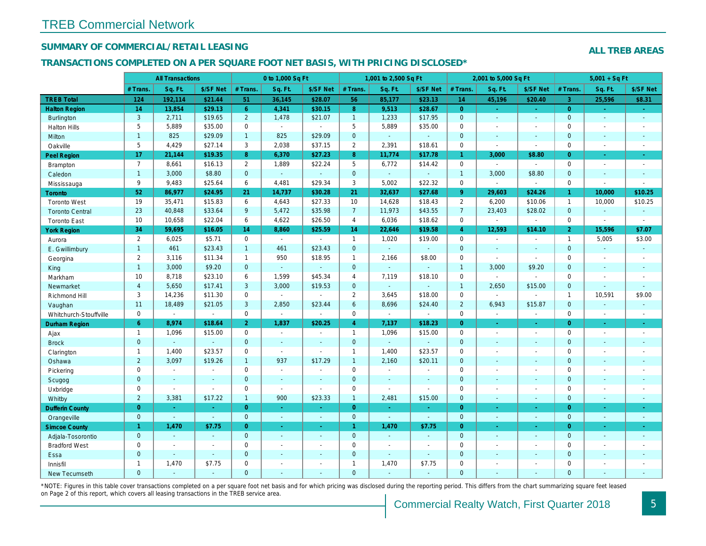## SUMMARY OF COMMERCIAL/RETAIL LEASING

#### TRANSACTIONS COMPLETED ON A PER SQUARE FOOT NET BASIS, WITH PRICING DISCLOSED\*

|                        |                | <b>All Transactions</b> |                |                | 0 to 1,000 Sq Ft |                |                | 1,001 to 2,500 Sq Ft |                  |                | 2,001 to 5,000 Sq Ft     |                  |
|------------------------|----------------|-------------------------|----------------|----------------|------------------|----------------|----------------|----------------------|------------------|----------------|--------------------------|------------------|
|                        | # Trans.       | Sq. Ft.                 | \$/SF Net      | # Trans.       | Sq. Ft.          | \$/SF Net      | # Trans.       | Sq. Ft.              | \$/SF Net        | # Trans.       | Sq. Ft.                  | \$/SF Ne         |
| <b>TREB Total</b>      | 124            | 192,114                 | \$21.44        | 51             | 36,145           | \$28.07        | 56             | 85,177               | \$23.13          | 14             | 45,196                   | \$20.40          |
| <b>Halton Region</b>   | 14             | 13,854                  | \$29.13        | 6 <sup>1</sup> | 4,341            | \$30.15        | 8              | 9,513                | \$28.67          | $\overline{0}$ | $\omega$                 | $\omega_{\rm c}$ |
| <b>Burlington</b>      | 3              | 2,711                   | \$19.65        | $\overline{2}$ | 1,478            | \$21.07        | 1              | 1,233                | \$17.95          | $\mathbf{0}$   | $\omega$                 | $\sim$           |
| <b>Halton Hills</b>    | 5              | 5,889                   | \$35.00        | 0              | $\mathbf{r}$     | $\blacksquare$ | 5              | 5,889                | \$35.00          | $\mathbf 0$    | $\blacksquare$           | $\blacksquare$   |
| Milton                 | $\mathbf{1}$   | 825                     | \$29.09        | $\mathbf{1}$   | 825              | \$29.09        | $\mathbf{0}$   | $\omega_{\rm c}$     | a.               | $\mathbf{0}$   | $\mathbf{r}$             | $\sim$           |
| Oakville               | 5              | 4,429                   | \$27.14        | 3              | 2,038            | \$37.15        | $\overline{2}$ | 2,391                | \$18.61          | $\mathbf 0$    | $\blacksquare$           | $\sim$           |
| <b>Peel Region</b>     | 17             | 21,144                  | \$19.35        | 8              | 6,370            | \$27.23        | 8              | 11,774               | \$17.78          | $\mathbf{1}$   | 3,000                    | \$8.80           |
| <b>Brampton</b>        | $\overline{7}$ | 8,661                   | \$16.13        | $\overline{2}$ | 1,889            | \$22.24        | 5              | 6,772                | \$14.42          | $\mathbf 0$    | $\blacksquare$           | $\sim$           |
| Caledon                | $\overline{1}$ | 3,000                   | \$8.80         | $\mathbf{0}$   | $\omega$         | $\sim$         | $\mathbf{0}$   | $\blacksquare$       | $\blacksquare$   | $\overline{1}$ | 3,000                    | \$8.80           |
| Mississauga            | 9              | 9,483                   | \$25.64        | 6              | 4,481            | \$29.34        | 3              | 5,002                | \$22.32          | $\mathbf 0$    | $\blacksquare$           | $\sim$           |
| <b>Toronto</b>         | 52             | 86,977                  | \$24.95        | 21             | 14,737           | \$30.28        | 21             | 32,637               | \$27.68          | $9^{\circ}$    | 29,603                   | \$24.26          |
| <b>Toronto West</b>    | 19             | 35,471                  | \$15.83        | 6              | 4,643            | \$27.33        | 10             | 14,628               | \$18.43          | 2              | 6,200                    | \$10.06          |
| <b>Toronto Central</b> | 23             | 40,848                  | \$33.64        | 9              | 5,472            | \$35.98        | 7 <sup>7</sup> | 11,973               | \$43.55          | $\overline{7}$ | 23,403                   | \$28.02          |
| <b>Toronto East</b>    | 10             | 10,658                  | \$22.04        | 6              | 4,622            | \$26.50        | $\overline{4}$ | 6,036                | \$18.62          | $\mathbf 0$    | $\overline{\phantom{a}}$ | $\sim$           |
| <b>York Region</b>     | 34             | 59,695                  | \$16.05        | 14             | 8,860            | \$25.59        | 14             | 22,646               | \$19.58          | $\overline{4}$ | 12,593                   | \$14.10          |
| Aurora                 | $\overline{2}$ | 6,025                   | \$5.71         | $\mathbf 0$    | $\sim$           | $\mathbf{r}$   | $\mathbf{1}$   | 1,020                | \$19.00          | $\mathbf 0$    | $\blacksquare$           | $\sim$           |
| E. Gwillimbury         | $\overline{1}$ | 461                     | \$23.43        | $\mathbf{1}$   | 461              | \$23.43        | $\mathbf{0}$   | ä,                   | $\blacksquare$   | $\mathbf{0}$   | ä,                       | $\sim$           |
| Georgina               | 2              | 3,116                   | \$11.34        | $\mathbf{1}$   | 950              | \$18.95        | $\mathbf{1}$   | 2,166                | \$8.00           | $\mathbf 0$    | $\overline{a}$           | $\sim$           |
| King                   | $\mathbf{1}$   | 3,000                   | \$9.20         | $\mathbf{0}$   | $\omega$         | $\mathbf{r}$   | $\mathbf{0}$   | $\omega$             | $\sim$           | $\overline{1}$ | 3,000                    | \$9.20           |
| Markham                | 10             | 8,718                   | \$23.10        | 6              | 1,599            | \$45.34        | $\overline{4}$ | 7,119                | \$18.10          | $\mathbf 0$    | $\sim$                   |                  |
| Newmarket              | $\overline{4}$ | 5,650                   | \$17.41        | 3              | 3,000            | \$19.53        | $\mathbf{0}$   | $\omega$             | ä,               | $\overline{1}$ | 2,650                    | \$15.00          |
| Richmond Hill          | 3              | 14,236                  | \$11.30        | $\mathbf 0$    | $\mathbf{r}$     | $\sim$         | $\overline{2}$ | 3,645                | \$18.00          | $\mathbf 0$    | $\blacksquare$           | $\sim$           |
| Vaughan                | 11             | 18,489                  | \$21.05        | 3              | 2,850            | \$23.44        | 6              | 8,696                | \$24.40          | 2              | 6,943                    | \$15.87          |
| Whitchurch-Stouffville | $\mathbf 0$    | $\blacksquare$          | $\blacksquare$ | $\mathbf 0$    | $\blacksquare$   | $\blacksquare$ | $\mathbf 0$    | $\blacksquare$       | $\sim$           | $\mathbf 0$    | $\blacksquare$           | $\blacksquare$   |
| Durham Region          | 6              | 8,974                   | \$18.64        | 2 <sup>1</sup> | 1,837            | \$20.25        | $\overline{4}$ | 7,137                | \$18.23          | $\overline{0}$ | $\blacksquare$           | $\sim$           |
| Ajax                   | $\mathbf{1}$   | 1,096                   | \$15.00        | $\mathbf 0$    | $\sim$           | $\sim$         | $\mathbf{1}$   | 1,096                | \$15.00          | $\mathbf 0$    | $\blacksquare$           | $\sim$           |
| <b>Brock</b>           | $\mathbf{0}$   | $\omega$                | $\omega$       | $\mathbf{0}$   | $\sim$           | $\sim$         | $\mathbf 0$    | $\omega_{\rm c}$     | ä,               | $\mathbf 0$    | $\omega$                 | $\blacksquare$   |
| Clarington             | $\mathbf{1}$   | 1,400                   | \$23.57        | $\mathbf 0$    | $\mathbf{r}$     | $\overline{a}$ | $\mathbf{1}$   | 1,400                | \$23.57          | $\mathbf 0$    | $\blacksquare$           | $\blacksquare$   |
| Oshawa                 | $\overline{2}$ | 3,097                   | \$19.26        | $\mathbf{1}$   | 937              | \$17.29        | $\mathbf{1}$   | 2,160                | \$20.11          | $\mathbf{0}$   | $\blacksquare$           | $\sim$           |
| Pickering              | $\mathbf 0$    | $\sim$                  | $\omega$       | $\mathbf 0$    | $\blacksquare$   |                | $\pmb{0}$      | $\blacksquare$       | $\sim$           | $\mathbf 0$    | $\blacksquare$           | $\blacksquare$   |
| Scugog                 | $\mathbf{0}$   | $\blacksquare$          | $\blacksquare$ | $\mathbf{0}$   | $\sim$           |                | $\mathbf 0$    | $\blacksquare$       | $\blacksquare$   | $\mathbf{0}$   | $\blacksquare$           | $\blacksquare$   |
| Uxbridge               | $\mathbf 0$    | $\blacksquare$          | $\sim$         | $\mathbf 0$    | $\sim$           | $\sim$         | $\pmb{0}$      | $\blacksquare$       | $\sim$           | $\mathbf 0$    | $\blacksquare$           | $\blacksquare$   |
| Whitby                 | $\overline{2}$ | 3,381                   | \$17.22        | $\mathbf{1}$   | 900              | \$23.33        | $\mathbf{1}$   | 2,481                | \$15.00          | $\mathbf{0}$   | $\blacksquare$           | $\blacksquare$   |
| <b>Dufferin County</b> | $\overline{0}$ | $\omega$                | $\omega$       | $\overline{0}$ | $\omega$         | $\omega$       | $\overline{0}$ | $\omega$             | $\omega_{\rm c}$ | $\overline{0}$ | $\blacksquare$           | $\bullet$        |
| Orangeville            | $\mathbf{0}$   | $\omega$                | $\omega$ .     | $\overline{0}$ | $\omega$         | $\sim$         | $\overline{0}$ | $\omega$             | $\omega$         | $\mathbf{0}$   | $\omega$                 | $\sim$           |
| <b>Simcoe County</b>   | 1 <sup>1</sup> | 1,470                   | \$7.75         | $\overline{0}$ | $\blacksquare$   | $\bullet$      | $\mathbf{1}$   | 1,470                | \$7.75           | $\overline{0}$ | $\blacksquare$           | ÷                |
| Adjala-Tosorontio      | $\mathbf{0}$   | $\sim$                  | $\sim$         | $\overline{0}$ | $\sim$           | $\sim$         | $\mathbf{0}$   | ۰                    | $\sim$           | $\mathbf{0}$   | $\overline{a}$           | $\sim$           |
| <b>Bradford West</b>   | $\mathbf 0$    | $\sim$                  | $\blacksquare$ | $\mathbf 0$    | $\sim$           | $\sim$         | $\pmb{0}$      | $\blacksquare$       | $\blacksquare$   | $\mathbf 0$    | $\blacksquare$           | $\sim$           |
| Essa                   | $\mathbf{0}$   | $\sim$                  | $\sim$         | $\overline{0}$ | $\sim$           | $\sim$         | $\mathbf 0$    | ä,                   | $\blacksquare$   | $\mathbf{0}$   | $\blacksquare$           | $\blacksquare$   |
| Innisfil               | $\mathbf{1}$   | 1,470                   | \$7.75         | 0              | $\sim$           | $\sim$         | $\mathbf{1}$   | 1,470                | \$7.75           | $\mathbf 0$    | $\blacksquare$           | $\blacksquare$   |
| <b>New Tecumseth</b>   | $\Omega$       | $\sim$                  | $\sim$         | $\Omega$       | $\overline{a}$   | ÷.             | $\mathbf{0}$   | $\blacksquare$       | $\blacksquare$   | $\Omega$       | $\blacksquare$           | $\sim$           |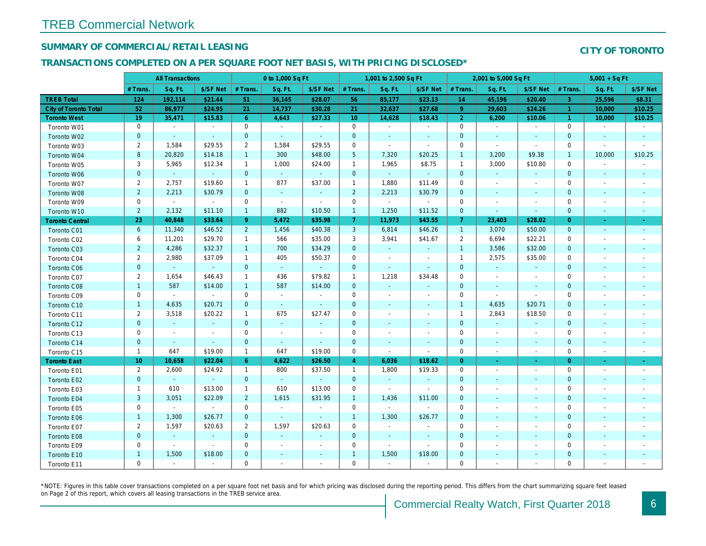## SUMMARY OF COMMERCIAL/RETAIL LEASING

## TRANSACTIONS COMPLETED ON A PER SQUARE FOOT NET BASIS, WITH PRICING DISCLOSED\*

|                        |                | <b>All Transactions</b> |                |                | 0 to 1,000 Sq Ft |                       |                     | 1,001 to 2,500 Sq Ft |                |                | 2,001 to 5,000 Sq Ft     |                          |
|------------------------|----------------|-------------------------|----------------|----------------|------------------|-----------------------|---------------------|----------------------|----------------|----------------|--------------------------|--------------------------|
|                        | # Trans.       | Sq. Ft.                 | \$/SF Net      | # Trans.       | Sq. Ft.          | \$/SF Net             | # Trans.            | Sq. Ft.              | \$/SF Net      | # Trans.       | Sq. Ft.                  | \$/SF Ne                 |
| <b>TREB Total</b>      | 124            | 192,114                 | \$21.44        | 51             | 36,145           | \$28.07               | 56                  | 85,177               | \$23.13        | 14             | 45,196                   | \$20.40                  |
| City of Toronto Total  | 52             | 86,977                  | \$24.95        | 21             | 14,737           | \$30.28               | 21                  | 32,637               | \$27.68        | 9              | 29,603                   | \$24.26                  |
| <b>Toronto West</b>    | 19             | 35,471                  | \$15.83        | 6 <sup>°</sup> | 4,643            | \$27.33               | 10 <sup>°</sup>     | 14,628               | \$18.43        | 2 <sup>1</sup> | 6,200                    | \$10.06                  |
| Toronto W01            | 0              | $\sim$                  | $\sim$         | $\mathbf 0$    | $\sim$           | $\tilde{\phantom{a}}$ | $\mathbf 0$         | $\blacksquare$       | $\sim$         | $\mathbf 0$    | $\blacksquare$           | $\sim$                   |
| Toronto W02            | $\pmb{0}$      | $\omega$                | $\sim$         | $\mathbf{0}$   | $\omega$         | $\blacksquare$        | $\mathbf 0$         | $\sim$               | $\sim$         | $\mathbf{0}$   | $\sim$                   | $\sim$                   |
| Toronto W03            | $\overline{c}$ | 1,584                   | \$29.55        | $\overline{2}$ | 1,584            | \$29.55               | $\mathbf 0$         | $\blacksquare$       | $\blacksquare$ | 0              | $\blacksquare$           | $\blacksquare$           |
| Toronto W04            | 8              | 20,820                  | \$14.18        | $\mathbf{1}$   | 300              | \$48.00               | $5\phantom{.0}$     | 7,320                | \$20.25        | $\overline{1}$ | 3,200                    | \$9.38                   |
| Toronto W05            | 3              | 5,965                   | \$12.34        | $\mathbf{1}$   | 1,000            | \$24.00               | $\mathbf{1}$        | 1,965                | \$8.75         | $\mathbf{1}$   | 3,000                    | \$10.80                  |
| Toronto W06            | $\mathbf 0$    | $\omega$                | $\sim$         | $\mathbf{0}$   | $\sim$           | $\sim$                | $\mathbf{0}$        | $\omega$ .           | $\sim$         | $\mathbf{0}$   | $\sim$                   | $\sim$                   |
| Toronto W07            | $\overline{2}$ | 2,757                   | \$19.60        | $\mathbf{1}$   | 877              | \$37.00               | $\mathbf{1}$        | 1,880                | \$11.49        | $\mathbf 0$    | $\blacksquare$           | $\overline{\phantom{a}}$ |
| Toronto W08            | $\overline{2}$ | 2,213                   | \$30.79        | $\mathbf 0$    | $\omega$         | $\blacksquare$        | $\overline{2}$      | 2,213                | \$30.79        | $\mathbf{0}$   | $\blacksquare$           | $\blacksquare$           |
| Toronto W09            | 0              | $\sim$                  | $\sim$         | $\mathbf 0$    | $\blacksquare$   | $\blacksquare$        | $\mathbf 0$         | $\blacksquare$       | $\blacksquare$ | 0              | $\blacksquare$           | $\blacksquare$           |
| Toronto W10            | $\overline{2}$ | 2,132                   | \$11.10        | $\overline{1}$ | 882              | \$10.50               | $\overline{1}$      | 1,250                | \$11.52        | $\mathbf 0$    | $\blacksquare$           | $\sim$                   |
| <b>Toronto Central</b> | 23             | 40,848                  | \$33.64        | $9^{\circ}$    | 5,472            | \$35.98               | $\overline{7}$      | 11,973               | \$43.55        | $\overline{7}$ | 23,403                   | \$28.02                  |
| Toronto C01            | 6              | 11,340                  | \$46.52        | $\overline{2}$ | 1,456            | \$40.38               | $\mathbf{3}$        | 6,814                | \$46.26        | $\overline{1}$ | 3,070                    | \$50.00                  |
| Toronto C02            | 6              | 11,201                  | \$29.70        | $\mathbf{1}$   | 566              | \$35.00               | 3                   | 3,941                | \$41.67        | $\overline{2}$ | 6,694                    | \$22.21                  |
| Toronto C03            | $\overline{2}$ | 4,286                   | \$32.37        | $\mathbf{1}$   | 700              | \$34.29               | $\mathbf 0$         | $\blacksquare$       |                | $\mathbf{1}$   | 3,586                    | \$32.00                  |
| Toronto C04            | $\overline{2}$ | 2,980                   | \$37.09        | $\mathbf{1}$   | 405              | \$50.37               | $\mathbf 0$         | $\blacksquare$       | $\blacksquare$ | $\overline{1}$ | 2,575                    | \$35.00                  |
| Toronto C06            | $\pmb{0}$      | $\omega$                | $\sim$         | $\mathbf 0$    | $\sim$           | $\sim$                | $\mathbf 0$         | $\sim$               | $\sim$         | $\mathbf 0$    | $\blacksquare$           | $\bullet$                |
| Toronto C07            | $\overline{2}$ | 1,654                   | \$46.43        | $\mathbf{1}$   | 436              | \$79.82               | $\mathbf{1}$        | 1,218                | \$34.48        | $\mathbf 0$    | $\omega$                 | $\blacksquare$           |
| Toronto C08            | $\mathbf{1}$   | 587                     | \$14.00        | $\mathbf{1}$   | 587              | \$14.00               | $\mathbf 0$         | $\blacksquare$       | $\mathbf{r}$   | $\mathbf 0$    | $\blacksquare$           | $\blacksquare$           |
| Toronto C09            | 0              | $\sim$                  | $\sim$         | 0              | $\blacksquare$   | $\blacksquare$        | $\mathbf 0$         | $\blacksquare$       | $\sim$         | 0              | $\blacksquare$           | $\blacksquare$           |
| Toronto C10            | $\mathbf{1}$   | 4,635                   | \$20.71        | $\mathbf{0}$   | $\sim$           | $\sim$                | $\mathbf 0$         | $\blacksquare$       | $\blacksquare$ | $\overline{1}$ | 4,635                    | \$20.71                  |
| Toronto C11            | $\overline{c}$ | 3,518                   | \$20.22        | $\mathbf{1}$   | 675              | \$27.47               | $\mathbf 0$         | $\blacksquare$       | $\blacksquare$ | $\overline{1}$ | 2,843                    | \$18.50                  |
| Toronto C12            | $\mathbf 0$    | $\blacksquare$          | $\blacksquare$ | $\mathbf{0}$   | $\omega$         | $\blacksquare$        | $\mathbf 0$         | $\blacksquare$       | $\blacksquare$ | $\mathbf 0$    | $\blacksquare$           | $\blacksquare$           |
| Toronto C13            | 0              | $\sim$                  | $\blacksquare$ | 0              | $\blacksquare$   | $\blacksquare$        | $\mathbf 0$         | $\blacksquare$       | $\blacksquare$ | $\mathbf 0$    | $\tilde{\phantom{a}}$    | $\overline{\phantom{a}}$ |
| Toronto C14            | $\pmb{0}$      | $\sim$                  | $\sim$         | $\mathbf 0$    | $\omega$         | $\sim$                | $\mathbf 0$         | $\blacksquare$       | $\blacksquare$ | $\mathbf{0}$   | $\blacksquare$           | $\sim$                   |
| Toronto C15            | $\mathbf{1}$   | 647                     | \$19.00        | $\mathbf{1}$   | 647              | \$19.00               | $\mathbf 0$         | $\blacksquare$       | $\blacksquare$ | $\mathbf 0$    | $\blacksquare$           | $\blacksquare$           |
| <b>Toronto East</b>    | 10             | 10,658                  | \$22.04        | $6^{\circ}$    | 4,622            | \$26.50               | $\overline{4}$      | 6,036                | \$18.62        | $\overline{0}$ | $\blacksquare$           | $\sigma$                 |
| Toronto E01            | 2              | 2,600                   | \$24.92        | $\mathbf{1}$   | 800              | \$37.50               | $\mathbf{1}$        | 1,800                | \$19.33        | $\mathbf 0$    | $\blacksquare$           | $\blacksquare$           |
| Toronto E02            | $\mathbf 0$    | $\omega$                | $\omega$       | $\mathbf{0}$   | $\omega$         | $\omega$              | $\mathbf{0}$        | $\omega$             | $\blacksquare$ | $\mathbf{0}$   | $\blacksquare$           | $\blacksquare$           |
| Toronto E03            | $\mathbf{1}$   | 610                     | \$13.00        | $\mathbf{1}$   | 610              | \$13.00               | $\mathbf 0$         | $\omega$             | $\blacksquare$ | $\mathbf 0$    | $\sim$                   | $\blacksquare$           |
| Toronto E04            | 3              | 3,051                   | \$22.09        | $\overline{2}$ | 1,615            | \$31.95               | $\mathbf{1}$        | 1,436                | \$11.00        | $\mathbf{0}$   | $\blacksquare$           | $\blacksquare$           |
| Toronto E05            | $\mathbf 0$    | $\blacksquare$          | $\sim$         | 0              | $\sim$           | $\blacksquare$        | $\mathbf 0$         | $\sim$               | $\blacksquare$ | $\mathbf 0$    | $\blacksquare$           | $\blacksquare$           |
| Toronto E06            | $\mathbf{1}$   | 1,300                   | \$26.77        | $\mathbf 0$    | $\omega$         | $\sim$                | $\overline{1}$      | 1,300                | \$26.77        | $\mathbf{0}$   | $\blacksquare$           | $\sim$                   |
| Toronto E07            | $\overline{2}$ | 1,597                   | \$20.63        | $\overline{2}$ | 1,597            | \$20.63               | $\mathsf{O}\xspace$ | $\mathbf{r}$         | $\blacksquare$ | $\mathbf 0$    | $\sim$                   | $\blacksquare$           |
| Toronto E08            | $\mathbf 0$    | $\omega$                | $\omega$       | $\mathbf 0$    | $\omega$         | $\bullet$             | $\mathbf{0}$        | $\blacksquare$       | $\blacksquare$ | $\mathbf{0}$   | $\blacksquare$           | $\blacksquare$           |
| Toronto E09            | 0              | $\blacksquare$          | $\sim$         | 0              | $\blacksquare$   | $\blacksquare$        | $\mathbf 0$         | $\blacksquare$       | $\blacksquare$ | 0              | $\overline{\phantom{a}}$ | $\blacksquare$           |
| Toronto E10            | $\mathbf{1}$   | 1,500                   | \$18.00        | $\mathbf 0$    | $\blacksquare$   | $\blacksquare$        | $\overline{1}$      | 1,500                | \$18.00        | $\mathbf 0$    | $\blacksquare$           | $\blacksquare$           |
| Toronto E11            | 0              | $\blacksquare$          |                | 0              | $\blacksquare$   | $\blacksquare$        | $\mathsf{O}\xspace$ | $\omega$             | $\blacksquare$ | $\mathbf 0$    | $\blacksquare$           |                          |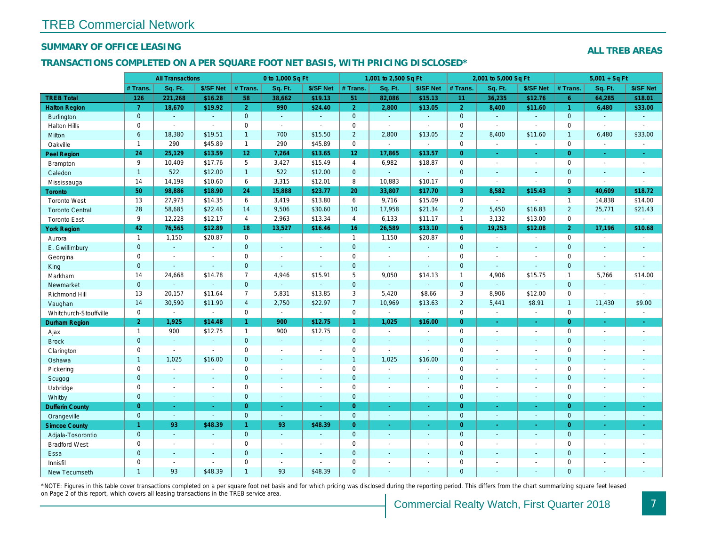## SUMMARY OF OFFICE LEASING

## TRANSACTIONS COMPLETED ON A PER SQUARE FOOT NET BASIS, WITH PRICING DISCLOSED\*

|                        |                | <b>All Transactions</b> |                |                 | 0 to 1,000 Sq Ft            |                          |                 | 1,001 to 2,500 Sq Ft |                |                | 2,001 to 5,000 Sq Ft |                  |
|------------------------|----------------|-------------------------|----------------|-----------------|-----------------------------|--------------------------|-----------------|----------------------|----------------|----------------|----------------------|------------------|
|                        | # Trans.       | Sq. Ft.                 | \$/SF Net      | # Trans.        | Sq. Ft.                     | \$/SF Net                | $#$ Trans.      | Sq. Ft.              | \$/SF Net      | # Trans.       | Sq. Ft.              | \$/SF Ne         |
| <b>TREB Total</b>      | 126            | 221,268                 | \$16.28        | 58              | 38,662                      | \$19.13                  | 51              | 82,086               | \$15.13        | 11             | 36,235               | \$12.76          |
| <b>Halton Region</b>   | $\overline{7}$ | 18,670                  | \$19.92        | $\overline{2}$  | 990                         | \$24.40                  | $\overline{2}$  | 2,800                | \$13.05        | $\overline{2}$ | 8,400                | \$11.60          |
| <b>Burlington</b>      | $\mathbf{0}$   | $\omega$                | $\sim$         | $\mathbf{0}$    | $\sim$                      | $\blacksquare$           | $\mathbf{0}$    | $\blacksquare$       | $\Delta$       | $\overline{0}$ | $\blacksquare$       | $\blacksquare$   |
| <b>Halton Hills</b>    | $\mathbf 0$    | $\blacksquare$          | $\blacksquare$ | $\mathbf 0$     | $\sim$                      | $\blacksquare$           | $\mathbf 0$     | $\blacksquare$       | $\blacksquare$ | $\mathbf 0$    | $\blacksquare$       | $\blacksquare$   |
| Milton                 | $6\phantom{a}$ | 18,380                  | \$19.51        | $\mathbf{1}$    | 700                         | \$15.50                  | $\overline{2}$  | 2,800                | \$13.05        | $\overline{2}$ | 8,400                | \$11.60          |
| Oakville               | $\mathbf{1}$   | 290                     | \$45.89        | $\mathbf{1}$    | 290                         | \$45.89                  | $\mathbf 0$     | $\blacksquare$       | $\mathbf{r}$   | $\mathbf 0$    | $\blacksquare$       | $\blacksquare$   |
| <b>Peel Region</b>     | 24             | 25,129                  | \$13.59        | 12 <sup>2</sup> | 7,264                       | \$13.65                  | 12 <sub>2</sub> | 17,865               | \$13.57        | $\overline{0}$ | ÷.                   | $\sim$           |
| Brampton               | 9              | 10,409                  | \$17.76        | 5               | 3,427                       | \$15.49                  | $\overline{4}$  | 6,982                | \$18.87        | $\mathbf 0$    | $\blacksquare$       | $\blacksquare$   |
| Caledon                | $\mathbf{1}$   | 522                     | \$12.00        | $\mathbf{1}$    | 522                         | \$12.00                  | $\mathbf{0}$    | $\blacksquare$       | $\blacksquare$ | $\mathbf{0}$   | $\blacksquare$       | $\bullet$        |
| Mississauga            | 14             | 14,198                  | \$10.60        | 6               | 3,315                       | \$12.01                  | 8               | 10,883               | \$10.17        | $\mathbf 0$    | $\omega$             | $\blacksquare$   |
| Toronto                | 50             | 98,886                  | \$18.90        | 24              | 15,888                      | \$23.77                  | 20              | 33,807               | \$17.70        | 3              | 8,582                | \$15.43          |
| <b>Toronto West</b>    | 13             | 27,973                  | \$14.35        | 6               | 3,419                       | \$13.80                  | 6               | 9,716                | \$15.09        | $\mathbf 0$    | $\sim$               | $\sim$           |
| <b>Toronto Central</b> | 28             | 58,685                  | \$22.46        | 14              | 9,506                       | \$30.60                  | 10 <sup>°</sup> | 17,958               | \$21.34        | $\overline{2}$ | 5,450                | \$16.83          |
| <b>Toronto East</b>    | 9              | 12,228                  | \$12.17        | $\overline{4}$  | 2,963                       | \$13.34                  | $\overline{4}$  | 6,133                | \$11.17        | $\overline{1}$ | 3,132                | \$13.00          |
| <b>York Region</b>     | 42             | 76,565                  | \$12.89        | 18              | 13,527                      | \$16.46                  | 16 <sup>°</sup> | 26,589               | \$13.10        | $6^{\circ}$    | 19,253               | \$12.08          |
| Aurora                 | $\mathbf{1}$   | 1,150                   | \$20.87        | $\mathbf 0$     | $\bullet$                   | $\omega$                 | $\mathbf{1}$    | 1,150                | \$20.87        | $\mathbf 0$    | $\omega$             | $\blacksquare$   |
| E. Gwillimbury         | $\overline{0}$ | $\omega$                | $\omega$       | $\mathbf{0}$    | ä,                          | $\blacksquare$           | $\mathbf{0}$    | $\omega$             | $\Delta$       | $\mathbf{0}$   | $\Delta$             | $\blacksquare$   |
| Georgina               | 0              | $\blacksquare$          |                | $\mathbf 0$     | $\blacksquare$              | $\blacksquare$           | $\mathbf 0$     | $\blacksquare$       | $\sim$         | $\mathbf 0$    | $\blacksquare$       | $\blacksquare$   |
| King                   | $\mathbf 0$    | $\mathbf{r}$            | $\Delta$       | $\mathbf 0$     | ä,                          | $\blacksquare$           | $\mathbf{0}$    | $\omega$             | $\Delta$       | $\mathbf{0}$   | $\omega$             | $\blacksquare$   |
| Markham                | 14             | 24,668                  | \$14.78        | $\overline{7}$  | 4,946                       | \$15.91                  | $5\phantom{.0}$ | 9,050                | \$14.13        | $\overline{1}$ | 4,906                | \$15.75          |
| Newmarket              | $\mathbf 0$    |                         | $\mathbf{r}$   | $\overline{0}$  | $\Box$                      |                          | $\mathbf{0}$    |                      | ä,             | $\mathbf{0}$   | $\omega$             |                  |
| Richmond Hill          | 13             | 20,157                  | \$11.64        | $\overline{7}$  | 5,831                       | \$13.85                  | $\mathbf{3}$    | 5,420                | \$8.66         | 3              | 8,906                | \$12.00          |
| Vaughan                | 14             | 30,590                  | \$11.90        | $\overline{4}$  | 2,750                       | \$22.97                  | $\overline{7}$  | 10,969               | \$13.63        | $\overline{2}$ | 5,441                | \$8.91           |
| Whitchurch-Stouffville | 0              | $\blacksquare$          | $\blacksquare$ | $\mathbf 0$     | $\sim$                      | $\blacksquare$           | $\mathbf 0$     | $\blacksquare$       | $\omega$       | $\mathbf 0$    | $\blacksquare$       | $\sim$           |
| Durham Region          | 2 <sup>1</sup> | 1,925                   | \$14.48        | $\mathbf{1}$    | 900                         | \$12.75                  | $\mathbf{1}$    | 1,025                | \$16.00        | $\overline{0}$ | $\omega$             | $\pm$            |
| Ajax                   | $\mathbf{1}$   | 900                     | \$12.75        | $\mathbf{1}$    | 900                         | \$12.75                  | $\mathbf 0$     | $\sim$               | $\sim$         | $\Omega$       | $\sim$               | $\sim$           |
| <b>Brock</b>           | $\mathbf 0$    | $\Box$                  | $\omega$       | $\mathbf{0}$    | $\omega$                    | $\blacksquare$           | $\mathbf{0}$    | $\omega$             | $\blacksquare$ | $\mathbf{0}$   | $\blacksquare$       | $\blacksquare$   |
| Clarington             | 0              | $\sim$                  | $\sim$         | $\mathbf 0$     | $\overline{a}$              | $\overline{\phantom{a}}$ | $\mathsf 0$     | $\overline{a}$       | $\blacksquare$ | $\mathbf 0$    | $\blacksquare$       | $\blacksquare$   |
| Oshawa                 | $\mathbf{1}$   | 1,025                   | \$16.00        | $\mathbf{0}$    | $\blacksquare$              | $\blacksquare$           | $\overline{1}$  | 1,025                | \$16.00        | $\mathbf{0}$   | $\blacksquare$       | $\blacksquare$   |
| Pickering              | $\mathbf 0$    | $\sim$                  | $\sim$         | $\mathbf 0$     | $\blacksquare$              | $\blacksquare$           | $\mathbf 0$     | $\blacksquare$       | $\overline{a}$ | $\mathbf 0$    | $\sim$               | $\blacksquare$   |
| Scugog                 | $\mathbf 0$    | $\mathbf{r}$            | $\sim$         | $\mathbf{0}$    | $\Delta$                    | $\sim$                   | $\mathbf 0$     | $\Delta$             | $\sim$         | $\mathbf{0}$   | $\Delta$             | $\blacksquare$   |
| Uxbridge               | 0              | $\mathbf{r}$            | $\blacksquare$ | $\mathbf 0$     | $\overline{a}$              | $\blacksquare$           | $\mathbf 0$     | $\mathbf{r}$         | $\omega$       | 0              | $\blacksquare$       | $\blacksquare$   |
| Whitby                 | $\mathbf 0$    | $\sim$                  | $\omega$       | $\mathbf{0}$    | $\blacksquare$              | $\blacksquare$           | $\mathbf{0}$    | $\blacksquare$       | $\omega$       | $\mathbf{0}$   | $\blacksquare$       | $\blacksquare$   |
| <b>Dufferin County</b> | $\overline{0}$ | $\sim$                  | ÷.             | $\overline{0}$  | $\omega$                    | $\blacksquare$           | $\overline{0}$  | $\omega$             | $\Delta$       | $\overline{0}$ | $\omega$             | $\sim$           |
| Orangeville            | $\mathbf{0}$   | $\omega$                | $\omega$       | $\mathbf{0}$    | $\mathcal{L}_{\mathcal{A}}$ | $\omega$                 | $\mathbf{0}$    | $\omega$             | $\omega$       | $\overline{0}$ | $\omega$             | $\bullet$ .      |
| <b>Simcoe County</b>   | $\mathbf{1}$   | 93                      | \$48.39        | $\mathbf{1}$    | 93                          | \$48.39                  | $\overline{0}$  | $\omega$             | ÷.             | $\overline{0}$ | $\omega$             | $\omega_{\rm c}$ |
| Adjala-Tosorontio      | $\pmb{0}$      | $\sim$                  |                | $\mathbf{0}$    | $\Delta$                    | $\blacksquare$           | $\mathbf{0}$    | $\blacksquare$       | $\omega$       | $\mathbf{0}$   | $\blacksquare$       | $\sim$           |
| <b>Bradford West</b>   | 0              | $\blacksquare$          | $\sim$         | $\mathbf 0$     | $\blacksquare$              | $\blacksquare$           | $\mathbf 0$     | $\sim$               | $\sim$         | $\mathbf 0$    | $\sim$               | $\blacksquare$   |
| Essa                   | $\mathbf 0$    | $\sim$                  |                | $\mathbf 0$     | $\blacksquare$              | $\blacksquare$           | $\mathbf 0$     | ä,                   | ä,             | $\mathbf{0}$   | $\sim$               | $\blacksquare$   |
| Innisfil               | 0              | $\blacksquare$          | $\sim$         | $\mathbf 0$     | $\blacksquare$              | $\blacksquare$           | $\mathbf 0$     | $\blacksquare$       | $\blacksquare$ | $\mathbf 0$    | $\sim$               | $\blacksquare$   |
| <b>New Tecumseth</b>   | $\overline{1}$ | 93                      | \$48.39        | $\mathbf{1}$    | 93                          | \$48.39                  | $\overline{0}$  |                      |                | $\Omega$       |                      |                  |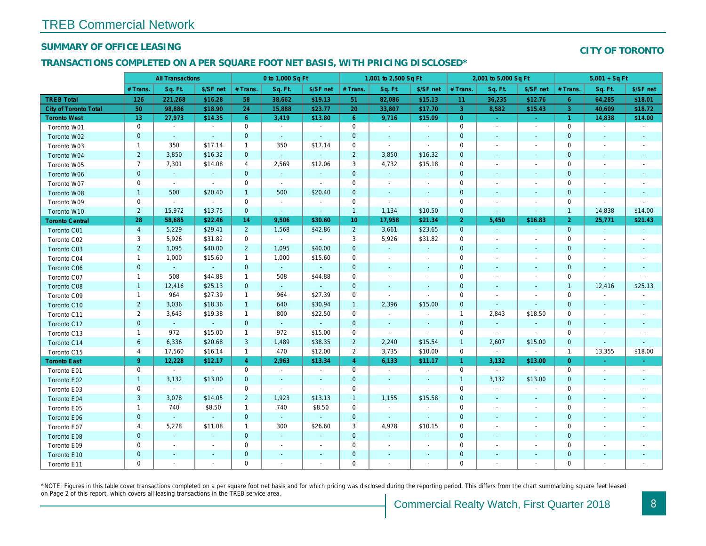## SUMMARY OF OFFICE LEASING

#### TRANSACTIONS COMPLETED ON A PER SQUARE FOOT NET BASIS, WITH PRICING DISCLOSED\*

|                        |                | <b>All Transactions</b>     |                |                | 0 to 1,000 Sq Ft |                |                 | 1,001 to 2,500 Sq Ft |                          |                | 2,001 to 5,000 Sq Ft     |                          |
|------------------------|----------------|-----------------------------|----------------|----------------|------------------|----------------|-----------------|----------------------|--------------------------|----------------|--------------------------|--------------------------|
|                        | # Trans.       | Sq. Ft.                     | \$/SF net      | # Trans.       | Sq. Ft.          | \$/SF net      | # Trans.        | Sq. Ft.              | \$/SF net                | # Trans.       | Sq. Ft.                  | \$/SF ne                 |
| <b>TREB Total</b>      | 126            | 221,268                     | \$16.28        | 58             | 38,662           | \$19.13        | 51              | 82,086               | \$15.13                  | 11             | 36,235                   | \$12.76                  |
| City of Toronto Total  | 50             | 98,886                      | \$18.90        | 24             | 15,888           | \$23.77        | 20              | 33,807               | \$17.70                  | 3              | 8,582                    | \$15.43                  |
| <b>Toronto West</b>    | 13             | 27,973                      | \$14.35        | 6              | 3,419            | \$13.80        | 6               | 9,716                | \$15.09                  | $\overline{0}$ | $\omega$                 | $\sim$                   |
| Toronto W01            | 0              | $\sim$                      | $\sim$         | $\mathbf 0$    | $\sim$           | $\sim$         | $\mathbf 0$     | $\blacksquare$       | $\sim$                   | $\mathbf 0$    | $\sim$                   | $\sim$                   |
| Toronto W02            | $\pmb{0}$      | $\sim$                      | $\sim$         | $\mathbf{0}$   | $\sim$           | $\blacksquare$ | $\mathbf{0}$    | $\sim$               | $\sim$                   | $\mathbf{0}$   | $\sim$                   | $\sim$                   |
| Toronto W03            | $\mathbf{1}$   | 350                         | \$17.14        | $\mathbf{1}$   | 350              | \$17.14        | $\mathbf 0$     | $\blacksquare$       | $\blacksquare$           | 0              | $\overline{\phantom{a}}$ | $\overline{\phantom{a}}$ |
| Toronto W04            | $\overline{2}$ | 3,850                       | \$16.32        | $\mathbf{0}$   | $\omega$         | $\blacksquare$ | $\overline{2}$  | 3,850                | \$16.32                  | $\mathbf 0$    |                          | $\blacksquare$           |
| Toronto W05            | $\overline{7}$ | 7,301                       | \$14.08        | $\overline{4}$ | 2,569            | \$12.06        | 3               | 4,732                | \$15.18                  | $\mathbf 0$    | $\sim$                   | $\blacksquare$           |
| Toronto W06            | $\pmb{0}$      | $\sim$                      | $\blacksquare$ | $\mathbf{0}$   | $\omega$         | $\omega$       | $\mathbf 0$     | $\sim$               | $\omega$                 | $\mathbf 0$    |                          | $\overline{\phantom{a}}$ |
| Toronto W07            | $\mathbf 0$    | $\sim$                      | $\sim$         | $\mathbf 0$    | $\sim$           | $\sim$         | $\mathbf 0$     | $\blacksquare$       | $\blacksquare$           | 0              | $\sim$                   | $\blacksquare$           |
| Toronto W08            | $\mathbf{1}$   | 500                         | \$20.40        | $\mathbf{1}$   | 500              | \$20.40        | $\mathbf 0$     | $\blacksquare$       | $\blacksquare$           | $\mathbf 0$    | $\blacksquare$           |                          |
| Toronto W09            | $\mathbf 0$    | $\bullet$                   | $\sim$         | $\mathbf 0$    | $\blacksquare$   | $\blacksquare$ | 0               | $\blacksquare$       | $\blacksquare$           | 0              | $\overline{\phantom{a}}$ | $\blacksquare$           |
| Toronto W10            | $\overline{2}$ | 15,972                      | \$13.75        | $\mathbf{0}$   | $\omega$         | $\blacksquare$ | $\mathbf{1}$    | 1,134                | \$10.50                  | $\mathbf 0$    | $\sim$                   | $\blacksquare$           |
| <b>Toronto Central</b> | 28             | 58,685                      | \$22.46        | 14             | 9,506            | \$30.60        | 10 <sup>°</sup> | 17,958               | \$21.34                  | 2 <sup>1</sup> | 5,450                    | \$16.83                  |
| Toronto C01            | $\overline{4}$ | 5,229                       | \$29.41        | $2^{\circ}$    | 1,568            | \$42.86        | $\overline{2}$  | 3,661                | \$23.65                  | $\mathbf 0$    | $\omega$                 | $\sim$                   |
| Toronto C02            | 3              | 5,926                       | \$31.82        | $\mathbf 0$    | $\sim$           | $\sim$         | 3               | 5,926                | \$31.82                  | 0              | $\overline{\phantom{a}}$ | $\blacksquare$           |
| Toronto C03            | $\overline{2}$ | 1,095                       | \$40.00        | $\overline{2}$ | 1,095            | \$40.00        | $\mathbf 0$     | $\blacksquare$       | $\sim$                   | $\mathbf{0}$   | $\overline{\phantom{0}}$ | $\sim$                   |
| Toronto C04            | $\mathbf{1}$   | 1,000                       | \$15.60        | $\mathbf{1}$   | 1,000            | \$15.60        | $\mathbf 0$     | $\blacksquare$       | $\overline{\phantom{a}}$ | $\mathbf 0$    |                          | $\overline{\phantom{a}}$ |
| Toronto C06            | $\mathbf{0}$   | $\omega$                    | $\sim$         | $\mathbf{0}$   | $\omega$         | $\omega$       | $\mathbf 0$     | $\blacksquare$       | $\blacksquare$           | $\mathbf 0$    | $\blacksquare$           | $\blacksquare$           |
| Toronto C07            | $\mathbf{1}$   | 508                         | \$44.88        | $\mathbf{1}$   | 508              | \$44.88        | $\mathbf 0$     | $\blacksquare$       | $\blacksquare$           | 0              |                          | $\overline{\phantom{a}}$ |
| Toronto C08            | $\mathbf{1}$   | 12,416                      | \$25.13        | $\mathbf{0}$   | $\omega$         | $\blacksquare$ | $\mathbf 0$     | $\blacksquare$       | $\blacksquare$           | $\mathbf 0$    | $\overline{\phantom{a}}$ | $\sim$                   |
| Toronto C09            | $\mathbf{1}$   | 964                         | \$27.39        | $\mathbf{1}$   | 964              | \$27.39        | $\mathbf 0$     | $\blacksquare$       | $\blacksquare$           | $\mathbf 0$    |                          |                          |
| Toronto C10            | $2^{\circ}$    | 3,036                       | \$18.36        | $\mathbf{1}$   | 640              | \$30.94        | $\overline{1}$  | 2,396                | \$15.00                  | $\mathbf{0}$   | $\sim$                   | $\sim$                   |
| Toronto C11            | $\overline{2}$ | 3,643                       | \$19.38        | $\mathbf{1}$   | 800              | \$22.50        | $\mathbf 0$     | $\blacksquare$       | $\blacksquare$           | $\overline{1}$ | 2,843                    | \$18.50                  |
| Toronto C12            | $\pmb{0}$      | $\bullet$                   | $\blacksquare$ | $\mathbf{0}$   | $\omega$         | $\blacksquare$ | $\mathbf 0$     | $\blacksquare$       | $\blacksquare$           | $\mathbf 0$    | $\blacksquare$           | $\bullet$                |
| Toronto C13            | $\mathbf{1}$   | 972                         | \$15.00        | $\mathbf{1}$   | 972              | \$15.00        | $\mathbf 0$     | $\blacksquare$       | $\blacksquare$           | $\mathbf 0$    | $\sim$                   | $\blacksquare$           |
| Toronto C14            | $6\phantom{1}$ | 6,336                       | \$20.68        | 3              | 1,489            | \$38.35        | $\overline{2}$  | 2,240                | \$15.54                  | $\mathbf{1}$   | 2,607                    | \$15.00                  |
| Toronto C15            | $\overline{4}$ | 17,560                      | \$16.14        | $\mathbf{1}$   | 470              | \$12.00        | $\overline{2}$  | 3,735                | \$10.00                  | $\mathbf 0$    | $\blacksquare$           | $\blacksquare$           |
| <b>Toronto East</b>    | $9^{\circ}$    | 12,228                      | \$12.17        | $\overline{4}$ | 2,963            | \$13.34        | $\overline{4}$  | 6,133                | \$11.17                  | $\mathbf{1}$   | 3,132                    | \$13.00                  |
| Toronto E01            | $\pmb{0}$      | $\sim$                      | $\sim$         | 0              | $\sim$           | $\blacksquare$ | $\mathbf 0$     | $\blacksquare$       | $\blacksquare$           | $\mathbf 0$    | $\sim$                   | $\sim$                   |
| Toronto E02            | $\mathbf{1}$   | 3,132                       | \$13.00        | $\mathbf{0}$   | $\blacksquare$   | $\blacksquare$ | $\mathbf 0$     | $\sim$               | $\sim$                   | $\overline{1}$ | 3,132                    | \$13.00                  |
| Toronto E03            | $\mathbf 0$    | $\sim$                      | $\sim$         | $\mathbf 0$    | $\omega$         | $\blacksquare$ | $\mathbf 0$     | $\blacksquare$       | $\sim$                   | $\mathbf 0$    | $\sim$                   | $\blacksquare$           |
| Toronto E04            | $\mathbf{3}$   | 3,078                       | \$14.05        | $\overline{2}$ | 1,923            | \$13.13        | $\mathbf{1}$    | 1,155                | \$15.58                  | $\mathbf{0}$   | $\sim$                   | $\sim$                   |
| Toronto E05            | $\mathbf{1}$   | 740                         | \$8.50         | $\mathbf{1}$   | 740              | \$8.50         | $\mathbf 0$     | $\blacksquare$       | $\blacksquare$           | 0              | $\overline{\phantom{a}}$ | $\sim$                   |
| Toronto E06            | $\mathbf{0}$   | $\mathcal{L}_{\mathcal{C}}$ | $\sim$         | $\mathbf{0}$   | $\omega$         | $\omega$       | $\mathbf 0$     | $\blacksquare$       | $\blacksquare$           | $\mathbf 0$    | $\sim$                   | $\sim$                   |
| Toronto E07            | 4              | 5,278                       | \$11.08        | $\mathbf{1}$   | 300              | \$26.60        | 3               | 4,978                | \$10.15                  | 0              | $\overline{\phantom{a}}$ | $\blacksquare$           |
| Toronto E08            | $\mathbf 0$    | $\omega$                    | $\sim$         | $\mathbf{0}$   | $\omega$         | $\blacksquare$ | $\mathbf 0$     | $\omega$             | $\sim$                   | $\mathbf 0$    | $\sim$                   | $\overline{\phantom{a}}$ |
| Toronto E09            | $\mathbf 0$    | $\sim$                      | $\blacksquare$ | $\mathbf 0$    | $\blacksquare$   | $\blacksquare$ | 0               | $\blacksquare$       | $\overline{\phantom{a}}$ | 0              | $\overline{\phantom{a}}$ | $\sim$                   |
| Toronto E10            | $\pmb{0}$      | $\overline{\phantom{a}}$    | $\sim$         | $\mathbf 0$    | $\sim$           | $\blacksquare$ | $\mathbf 0$     | $\blacksquare$       | $\sim$                   | $\mathbf 0$    | $\sim$                   |                          |
| Toronto E11            | $\mathbf 0$    | $\overline{\phantom{a}}$    | $\blacksquare$ | $\mathbf 0$    | $\blacksquare$   | $\blacksquare$ | 0               | $\blacksquare$       | $\blacksquare$           | $\mathbf 0$    |                          | $\overline{\phantom{a}}$ |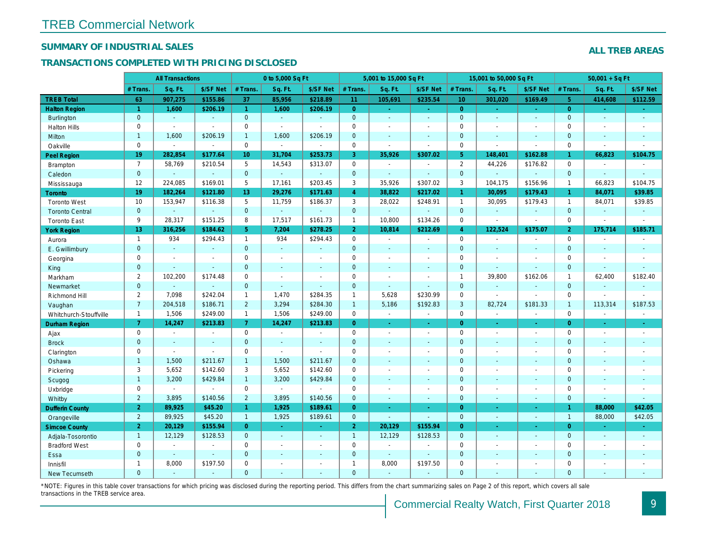## SUMMARY OF INDUSTRIAL SALES

## TRANSACTIONS COMPLETED WITH PRICING DISCLOSED

|                        |                | <b>All Transactions</b> |                |                 | 0 to 5,000 Sq Ft |                          |                     | 5,001 to 15,000 Sq Ft |                     |                 | 15,001 to 50,000 Sq Ft |                  |
|------------------------|----------------|-------------------------|----------------|-----------------|------------------|--------------------------|---------------------|-----------------------|---------------------|-----------------|------------------------|------------------|
|                        | # Trans.       | Sq. Ft.                 | \$/SF Net      | # Trans.        | Sq. Ft.          | \$/SF Net                | # Trans.            | Sq. Ft.               | \$/SF Net           | # Trans.        | Sq. Ft.                | \$/SF Ne         |
| <b>TREB Total</b>      | 63             | 907,275                 | \$155.86       | 37              | 85,956           | \$218.89                 | 11                  | 105,691               | \$235.54            | 10 <sup>°</sup> | 301,020                | \$169.49         |
| <b>Halton Region</b>   | $\mathbf{1}$   | 1,600                   | \$206.19       | $\mathbf{1}$    | 1,600            | \$206.19                 | $\overline{0}$      | $\omega_{\rm c}$      | $\omega_{\rm{eff}}$ | $\overline{0}$  | $\sim$                 | $\sim$           |
| <b>Burlington</b>      | $\overline{0}$ | $\omega$                | $\mathbf{r}$   | $\mathbf{0}$    | $\omega$         | $\blacksquare$           | $\mathbf{0}$        | $\omega$              | $\sim$              | $\mathbf{0}$    | $\blacksquare$         | $\blacksquare$   |
| <b>Halton Hills</b>    | 0              | $\blacksquare$          | $\sim$         | $\mathbf 0$     | $\mathbf{r}$     |                          | $\mathbf 0$         | $\blacksquare$        | ä,                  | $\mathbf 0$     | $\sim$                 | $\blacksquare$   |
| Milton                 | $\mathbf{1}$   | 1,600                   | \$206.19       | $\mathbf{1}$    | 1,600            | \$206.19                 | $\mathbf 0$         | $\blacksquare$        | $\blacksquare$      | $\mathbf{0}$    | $\blacksquare$         | $\blacksquare$   |
| Oakville               | 0              | $\blacksquare$          | $\blacksquare$ | $\mathbf 0$     | $\blacksquare$   | $\blacksquare$           | $\mathbf 0$         | $\blacksquare$        | $\blacksquare$      | $\mathbf 0$     | $\blacksquare$         | $\sim$           |
| <b>Peel Region</b>     | 19             | 282,854                 | \$177.64       | 10 <sup>1</sup> | 31,704           | \$253.73                 | 3                   | 35,926                | \$307.02            | 5 <sup>5</sup>  | 148,401                | \$162.8          |
| <b>Brampton</b>        | $\overline{7}$ | 58,769                  | \$210.54       | 5               | 14,543           | \$313.07                 | $\mathsf{O}$        | $\blacksquare$        | $\blacksquare$      | $\overline{2}$  | 44,226                 | \$176.82         |
| Caledon                | $\mathbf{0}$   | $\sim$                  | $\sim$         | $\mathbf 0$     | $\sim$           | $\blacksquare$           | $\mathbf 0$         | $\blacksquare$        | $\blacksquare$      | $\mathbf 0$     | $\blacksquare$         | $\blacksquare$   |
| Mississauga            | 12             | 224,085                 | \$169.01       | 5               | 17,161           | \$203.45                 | 3                   | 35,926                | \$307.02            | 3               | 104,175                | \$156.96         |
| <b>Toronto</b>         | 19             | 182,264                 | \$121.80       | 13              | 29,276           | \$171.63                 | $\overline{4}$      | 38,822                | \$217.02            | $\mathbf{1}$    | 30,095                 | \$179.43         |
| <b>Toronto West</b>    | 10             | 153,947                 | \$116.38       | 5               | 11,759           | \$186.37                 | 3                   | 28,022                | \$248.91            | $\overline{1}$  | 30,095                 | \$179.43         |
| <b>Toronto Central</b> | $\mathbf{0}$   |                         | $\sim$         | $\mathbf 0$     | ä,               | $\blacksquare$           | $\mathbf{0}$        | $\blacksquare$        | $\blacksquare$      | $\mathbf{0}$    | $\omega$               | $\blacksquare$   |
| <b>Toronto East</b>    | 9              | 28,317                  | \$151.25       | 8               | 17,517           | \$161.73                 | $\mathbf{1}$        | 10,800                | \$134.26            | $\mathbf 0$     | $\blacksquare$         | $\blacksquare$   |
| <b>York Region</b>     | 13             | 316,256                 | \$184.62       | 5 <sup>1</sup>  | 7,204            | \$278.25                 | 2 <sup>1</sup>      | 10,814                | \$212.69            | $\overline{4}$  | 122,524                | \$175.07         |
| Aurora                 | $\overline{1}$ | 934                     | \$294.43       | $\mathbf{1}$    | 934              | \$294.43                 | $\mathsf{O}$        | $\blacksquare$        | $\sim$              | $\mathbf 0$     | $\blacksquare$         | $\sim$           |
| E. Gwillimbury         | $\mathbf{0}$   | $\omega$                | $\omega$       | $\overline{0}$  | $\omega$         | $\blacksquare$           | $\mathbf{0}$        | $\blacksquare$        | $\blacksquare$      | $\mathbf{0}$    | $\omega$               | $\blacksquare$   |
| Georgina               | 0              | $\sim$                  | $\blacksquare$ | 0               | $\blacksquare$   | $\blacksquare$           | $\mathbf 0$         | $\blacksquare$        | $\blacksquare$      | $\mathbf 0$     | $\blacksquare$         | $\blacksquare$   |
| King                   | $\mathbf{0}$   | $\sim$                  | $\sim$         | $\mathbf{0}$    | $\sim$           | $\sim$                   | $\mathbf 0$         | $\blacksquare$        | $\sim$              | $\mathbf{0}$    | $\blacksquare$         | $\blacksquare$   |
| Markham                | $\overline{2}$ | 102,200                 | \$174.48       | $\mathbf 0$     | $\blacksquare$   | $\overline{\phantom{a}}$ | $\mathsf 0$         | $\blacksquare$        | $\blacksquare$      | $\mathbf{1}$    | 39,800                 | \$162.06         |
| Newmarket              | $\overline{0}$ |                         | $\blacksquare$ | $\mathbf{0}$    | ÷.               | $\overline{\phantom{a}}$ | $\mathbf{0}$        | ä,                    | ä,                  | $\mathbf{0}$    | $\omega$               | $\sim$           |
| Richmond Hill          | $\overline{2}$ | 7,098                   | \$242.04       | $\mathbf{1}$    | 1,470            | \$284.35                 | $\mathbf{1}$        | 5,628                 | \$230.99            | 0               | $\blacksquare$         | $\blacksquare$   |
| Vaughan                | $\overline{7}$ | 204,518                 | \$186.71       | $\overline{2}$  | 3,294            | \$284.30                 | $\mathbf{1}$        | 5,186                 | \$192.83            | 3               | 82,724                 | \$181.33         |
| Whitchurch-Stouffville | $\overline{1}$ | 1,506                   | \$249.00       | $\mathbf{1}$    | 1,506            | \$249.00                 | $\mathsf 0$         | $\blacksquare$        | ä,                  | $\mathbf 0$     | $\tilde{\phantom{a}}$  | $\sim$           |
| <b>Durham Region</b>   | $\mathbf{7}$   | 14,247                  | \$213.83       | 7 <sup>1</sup>  | 14,247           | \$213.83                 | $\overline{0}$      | $\frac{1}{\sqrt{2}}$  | ÷                   | $\overline{0}$  | $\bullet$              | $\sigma_{\rm c}$ |
| Ajax                   | 0              | $\blacksquare$          | $\sim$         | $\mathbf 0$     | $\sim$           | $\blacksquare$           | $\mathbf 0$         | $\blacksquare$        | $\blacksquare$      | $\mathbf 0$     | $\blacksquare$         | $\sim$           |
| <b>Brock</b>           | $\overline{0}$ | $\sim$                  | $\sim$         | $\overline{0}$  | $\mathbf{r}$     | $\blacksquare$           | $\mathbf{0}$        | $\blacksquare$        | $\blacksquare$      | $\mathbf{0}$    | $\Delta$               | $\blacksquare$   |
| Clarington             | 0              | $\sim$                  | $\sim$         | $\mathbf 0$     | $\sim$           | $\sim$                   | $\mathsf{O}\xspace$ | ÷,                    | $\overline{a}$      | $\mathbf 0$     | ÷,                     | $\blacksquare$   |
| Oshawa                 | $\mathbf{1}$   | 1,500                   | \$211.67       | $\mathbf{1}$    | 1,500            | \$211.67                 | $\mathbf{0}$        | ÷,                    | ٠                   | $\mathbf{0}$    | $\blacksquare$         | $\blacksquare$   |
| Pickering              | 3              | 5,652                   | \$142.60       | 3               | 5,652            | \$142.60                 | $\mathbf 0$         | $\blacksquare$        | $\blacksquare$      | $\mathbf 0$     | $\sim$                 | $\blacksquare$   |
| Scugog                 | $\mathbf{1}$   | 3,200                   | \$429.84       | 1               | 3,200            | \$429.84                 | $\mathbf{0}$        | $\blacksquare$        | $\omega$            | $\mathbf{0}$    | $\blacksquare$         | $\blacksquare$   |
| Uxbridge               | 0              | $\blacksquare$          | $\blacksquare$ | 0               | $\blacksquare$   |                          | $\mathbf 0$         | $\overline{a}$        | $\overline{a}$      | $\mathbf 0$     | $\sim$                 | $\blacksquare$   |
| Whitby                 | $\overline{2}$ | 3,895                   | \$140.56       | $\overline{2}$  | 3,895            | \$140.56                 | $\mathbf{0}$        | $\blacksquare$        | $\blacksquare$      | $\mathbf{0}$    | $\blacksquare$         | $\sim$           |
| <b>Dufferin County</b> | $\overline{2}$ | 89,925                  | \$45.20        | $\mathbf{1}$    | 1,925            | \$189.61                 | $\overline{0}$      | ÷.                    | ×.                  | $\overline{0}$  | $\sim$                 | $\sim$           |
| Orangeville            | $\overline{2}$ | 89,925                  | \$45.20        | $\mathbf{1}$    | 1,925            | \$189.61                 | $\mathbf{0}$        | ä,                    | $\omega$            | $\mathbf{0}$    | $\Box$                 | $\omega_{\rm c}$ |
| <b>Simcoe County</b>   | 2 <sup>1</sup> | 20,129                  | \$155.94       | $\overline{0}$  | $\omega$         | $\bullet$                | 2 <sup>1</sup>      | 20,129                | \$155.94            | $\overline{0}$  | $\omega$               | $\sim$           |
| Adjala-Tosorontio      | $\mathbf{1}$   | 12,129                  | \$128.53       | $\mathbf{0}$    | $\omega$         | $\sim$                   | $\mathbf{1}$        | 12,129                | \$128.53            | $\mathbf{0}$    | $\Delta$               | $\sim$           |
| <b>Bradford West</b>   | 0              | $\blacksquare$          | $\blacksquare$ | 0               | $\sim$           | $\sim$                   | $\mathsf{O}\xspace$ | $\blacksquare$        | $\blacksquare$      | $\mathbf 0$     | $\blacksquare$         | $\blacksquare$   |
| Essa                   | $\mathbf{0}$   | $\sim$                  | $\sim$         | $\mathbf{0}$    | $\blacksquare$   | $\blacksquare$           | $\mathbf 0$         | $\blacksquare$        | $\blacksquare$      | $\mathbf{0}$    | $\sim$                 |                  |
| Innisfil               | $\mathbf{1}$   | 8,000                   | \$197.50       | 0               | $\blacksquare$   | $\blacksquare$           | $\mathbf{1}$        | 8,000                 | \$197.50            | $\mathbf 0$     | $\sim$                 | $\blacksquare$   |
| <b>New Tecumseth</b>   | $\Omega$       |                         |                | $\Omega$        |                  |                          | $\mathbf{0}$        |                       |                     | $\Omega$        |                        |                  |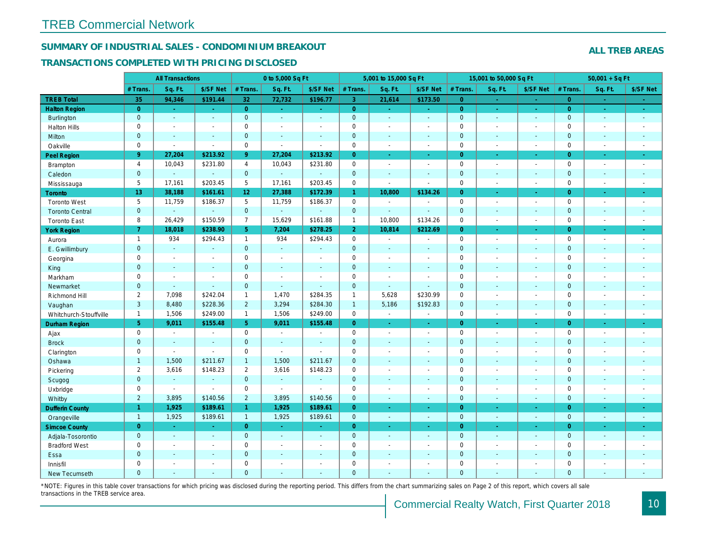## SUMMARY OF INDUSTRIAL SALES - CONDOMINIUM BREAKOUT

#### TRANSACTIONS COMPLETED WITH PRICING DISCLOSED

|                        |                | <b>All Transactions</b> |                       |                 | 0 to 5,000 Sq Ft |                          |                | 5,001 to 15,000 Sq Ft |                          |                | 15,001 to 50,000 Sq Ft |                  |
|------------------------|----------------|-------------------------|-----------------------|-----------------|------------------|--------------------------|----------------|-----------------------|--------------------------|----------------|------------------------|------------------|
|                        | # Trans.       | Sq. Ft.                 | \$/SF Net             | # Trans.        | Sq. Ft.          | \$/SF Net                | # Trans.       | Sq. Ft.               | \$/SF Net                | # Trans.       | Sq. Ft.                | \$/SF Ne         |
| <b>TREB Total</b>      | 35             | 94,346                  | \$191.44              | 32              | 72,732           | \$196.77                 | $\overline{3}$ | 21,614                | \$173.50                 | $\overline{0}$ | $\omega$               | $\sim$           |
| <b>Halton Region</b>   | $\overline{0}$ | $\omega$                | $\omega$              | $\overline{0}$  | $\sim$           | $\sim$                   | $\overline{0}$ | $\omega_{\rm c}$      | $\sim$ .                 | $\overline{0}$ | $\omega$               | $\sim$           |
| Burlington             | $\mathbf{0}$   | $\sim$                  | $\blacksquare$        | $\mathbf{0}$    | $\sim$           | $\sim$                   | $\mathbf{0}$   | $\sim$                | $\omega$                 | $\mathbf 0$    | $\omega$               | $\sim$           |
| <b>Halton Hills</b>    | $\mathbf 0$    | $\sim$                  | $\blacksquare$        | $\mathbf 0$     | $\sim$           | $\sim$                   | $\pmb{0}$      | $\blacksquare$        | $\blacksquare$           | $\mathbf 0$    | $\blacksquare$         | $\sim$           |
| Milton                 | $\mathbf{0}$   | $\sim$                  | $\sim$                | $\mathbf{0}$    | $\sim$           | $\sim$                   | $\mathbf 0$    | $\Delta$              | $\mathbf{r}$             | $\mathbf 0$    | $\blacksquare$         | $\blacksquare$   |
| Oakville               | $\mathbf 0$    | $\blacksquare$          | $\blacksquare$        | $\mathbf 0$     | $\blacksquare$   | $\blacksquare$           | $\pmb{0}$      | $\blacksquare$        | $\blacksquare$           | $\mathbf 0$    | $\blacksquare$         | $\sim$           |
| Peel Region            | 9 <sup>°</sup> | 27,204                  | \$213.92              | 9 <sup>°</sup>  | 27,204           | \$213.92                 | $\overline{0}$ | $\blacksquare$        | ä,                       | $\overline{0}$ | $\blacksquare$         | $\omega_{\rm c}$ |
| Brampton               | $\overline{4}$ | 10,043                  | \$231.80              | $\overline{4}$  | 10,043           | \$231.80                 | 0              | $\blacksquare$        | $\blacksquare$           | $\mathbf 0$    | $\blacksquare$         | $\sim$           |
| Caledon                | $\mathbf{0}$   | $\mathbf{r}$            | $\omega$              | $\mathbf{0}$    | ÷.               |                          | $\mathbf 0$    | $\blacksquare$        | $\sim$                   | $\mathbf 0$    | $\blacksquare$         | $\sim$           |
| Mississauga            | 5              | 17,161                  | \$203.45              | 5               | 17,161           | \$203.45                 | $\pmb{0}$      | $\blacksquare$        | $\blacksquare$           | $\mathbf 0$    | $\blacksquare$         | $\blacksquare$   |
| Toronto                | 13             | 38,188                  | \$161.61              | 12 <sub>2</sub> | 27,388           | \$172.39                 | $\mathbf{1}$   | 10,800                | \$134.26                 | $\overline{0}$ | $\blacksquare$         | ÷                |
| <b>Toronto West</b>    | 5              | 11,759                  | \$186.37              | 5               | 11,759           | \$186.37                 | 0              | $\sim$                | $\blacksquare$           | $\mathbf 0$    | $\blacksquare$         | $\sim$           |
| <b>Toronto Central</b> | $\mathbf{0}$   | $\omega$                | $\omega$              | $\overline{0}$  | $\omega$         | $\Delta$                 | $\mathbf{0}$   | $\blacksquare$        | $\sim$                   | $\mathbf{0}$   | $\blacksquare$         | $\sim$           |
| <b>Toronto East</b>    | 8              | 26,429                  | \$150.59              | $\overline{7}$  | 15,629           | \$161.88                 | $\mathbf{1}$   | 10,800                | \$134.26                 | $\mathbf 0$    | $\blacksquare$         | $\blacksquare$   |
| <b>York Region</b>     | $\overline{7}$ | 18,018                  | \$238.90              | 5 <sup>5</sup>  | 7,204            | \$278.25                 | 2 <sup>1</sup> | 10,814                | \$212.69                 | $\overline{0}$ | ×.                     | $\sim$           |
| Aurora                 | $\mathbf{1}$   | 934                     | \$294.43              | $\mathbf{1}$    | 934              | \$294.43                 | 0              | $\blacksquare$        | $\blacksquare$           | $\mathbf 0$    | $\blacksquare$         | $\sim$           |
| E. Gwillimbury         | $\mathbf{0}$   | $\omega$                | $\Delta$              | $\mathbf{0}$    | $\omega$         | $\sim$                   | $\mathbf{0}$   | ä,                    | $\blacksquare$           | $\mathbf{0}$   | ÷.                     | $\sim$           |
| Georgina               | $\mathbf 0$    | $\blacksquare$          | $\omega$              | $\mathbf 0$     | $\mathbf{r}$     | $\overline{\phantom{a}}$ | $\pmb{0}$      | $\blacksquare$        | $\blacksquare$           | $\mathbf 0$    | $\sim$                 | $\blacksquare$   |
| King                   | $\mathbf{0}$   | $\sim$                  | $\sim$                | $\mathbf{0}$    | $\sim$           | $\sim$                   | $\mathbf 0$    | $\mathbf{r}$          | $\blacksquare$           | $\mathbf{0}$   | $\blacksquare$         | $\sim$           |
| Markham                | $\mathbf 0$    | $\blacksquare$          | $\tilde{\phantom{a}}$ | $\mathbf 0$     | $\sim$           |                          | $\pmb{0}$      | $\tilde{\phantom{a}}$ | $\blacksquare$           | $\mathbf 0$    | $\overline{a}$         | $\blacksquare$   |
| Newmarket              | $\overline{0}$ | $\sim$                  | $\Delta$              | $\mathbf{0}$    | $\sim$           |                          | $\mathbf 0$    | ä,                    | $\blacksquare$           | $\mathbf{0}$   | $\blacksquare$         | $\blacksquare$   |
| Richmond Hill          | $\overline{2}$ | 7,098                   | \$242.04              | $\mathbf{1}$    | 1,470            | \$284.35                 | $\mathbf{1}$   | 5,628                 | \$230.99                 | $\mathsf 0$    | $\blacksquare$         | $\blacksquare$   |
| Vaughan                | 3              | 8,480                   | \$228.36              | $\overline{2}$  | 3,294            | \$284.30                 | $\mathbf{1}$   | 5,186                 | \$192.83                 | $\mathbf 0$    | $\omega$               | $\sim$           |
| Whitchurch-Stouffville | $\mathbf{1}$   | 1,506                   | \$249.00              | $\mathbf{1}$    | 1,506            | \$249.00                 | 0              | $\blacksquare$        | $\sim$                   | $\mathbf 0$    | $\blacksquare$         | $\sim$           |
| <b>Durham Region</b>   | 5 <sup>5</sup> | 9,011                   | \$155.48              | 5               | 9,011            | \$155.48                 | $\overline{0}$ | $\frac{1}{\sqrt{2}}$  | $\omega$                 | $\overline{0}$ | $\blacksquare$         | $\sigma_{\rm c}$ |
| Ajax                   | $\mathsf 0$    | $\blacksquare$          | $\blacksquare$        | $\mathbf 0$     | $\blacksquare$   |                          | $\mathbf 0$    | $\blacksquare$        | $\overline{\phantom{a}}$ | $\mathbf 0$    | $\blacksquare$         | $\sim$           |
| <b>Brock</b>           | $\mathbf{0}$   | $\blacksquare$          | $\blacksquare$        | $\mathbf{0}$    | $\blacksquare$   | $\sim$                   | $\mathbf 0$    | $\omega$              | $\blacksquare$           | $\mathbf 0$    | $\blacksquare$         | $\blacksquare$   |
| Clarington             | $\mathbf 0$    | $\blacksquare$          | $\blacksquare$        | $\mathbf 0$     | $\mathbf{r}$     | $\overline{a}$           | $\pmb{0}$      | $\blacksquare$        | $\blacksquare$           | $\mathbf 0$    | $\blacksquare$         | $\blacksquare$   |
| Oshawa                 | $\mathbf{1}$   | 1,500                   | \$211.67              | $\mathbf{1}$    | 1,500            | \$211.67                 | $\mathbf 0$    | $\blacksquare$        | $\blacksquare$           | $\mathbf{0}$   | $\blacksquare$         | $\blacksquare$   |
| Pickering              | $\overline{2}$ | 3,616                   | \$148.23              | $\overline{2}$  | 3,616            | \$148.23                 | 0              | $\blacksquare$        | $\blacksquare$           | $\mathbf 0$    | $\blacksquare$         | $\blacksquare$   |
| Scugog                 | $\mathbf{0}$   | $\blacksquare$          | $\blacksquare$        | $\mathbf{0}$    | $\omega$         | $\sim$                   | $\mathbf 0$    | $\blacksquare$        | $\blacksquare$           | $\mathbf 0$    | $\blacksquare$         | $\blacksquare$   |
| Uxbridge               | $\mathbf 0$    | $\blacksquare$          | $\blacksquare$        | $\mathbf 0$     | $\mathbf{r}$     |                          | 0              | $\blacksquare$        | $\blacksquare$           | $\mathbf 0$    | $\blacksquare$         | $\blacksquare$   |
| Whitby                 | $\overline{2}$ | 3,895                   | \$140.56              | $\overline{2}$  | 3,895            | \$140.56                 | $\mathbf{0}$   | $\omega$              | $\blacksquare$           | $\mathbf{0}$   | $\blacksquare$         | $\sim$           |
| <b>Dufferin County</b> | $\mathbf{1}$   | 1,925                   | \$189.61              | $\mathbf{1}$    | 1,925            | \$189.61                 | $\overline{0}$ | $\blacksquare$        | $\blacksquare$           | $\overline{0}$ | $\blacksquare$         | $\sim$           |
| Orangeville            | $\overline{1}$ | 1,925                   | \$189.61              | $\mathbf{1}$    | 1,925            | \$189.61                 | $\mathbf{0}$   | $\omega$              | $\omega$                 | $\mathbf{0}$   | $\omega$               | $\sim$           |
| <b>Simcoe County</b>   | $\overline{0}$ | $\omega$ .              | $\sim$                | $\overline{0}$  | $\omega$         | $\sim$                   | $\overline{0}$ | ä,                    | ÷.                       | $\overline{0}$ | $\blacksquare$         | $\omega_{\rm c}$ |
| Adjala-Tosorontio      | $\overline{0}$ | $\sim$                  | $\sim$                | $\mathbf{0}$    | $\sim$           | $\sim$                   | $\mathbf 0$    | $\mathbf{r}$          | $\blacksquare$           | $\mathbf{0}$   | $\blacksquare$         | $\sim$           |
| <b>Bradford West</b>   | $\mathbf 0$    | $\sim$                  | $\blacksquare$        | $\mathbf 0$     | $\blacksquare$   | $\sim$                   | $\pmb{0}$      | $\blacksquare$        | $\blacksquare$           | $\mathbf 0$    | $\blacksquare$         | $\blacksquare$   |
| Essa                   | $\mathbf{0}$   | $\sim$                  | $\blacksquare$        | $\mathbf{0}$    |                  | $\sim$                   | $\pmb{0}$      | $\blacksquare$        | $\blacksquare$           | $\mathbf 0$    | $\blacksquare$         |                  |
| Innisfil               | $\mathbf 0$    | $\blacksquare$          | $\blacksquare$        | $\mathbf 0$     | $\blacksquare$   | $\sim$                   | $\pmb{0}$      | $\blacksquare$        | $\blacksquare$           | $\mathbf 0$    | $\blacksquare$         | $\blacksquare$   |
| <b>New Tecumseth</b>   | $\Omega$       |                         |                       | $\Omega$        |                  |                          | $\Omega$       |                       |                          | $\Omega$       |                        |                  |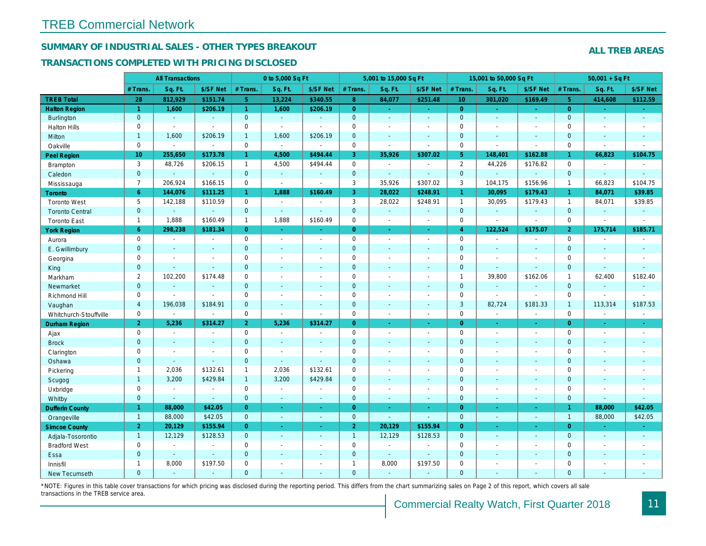## SUMMARY OF INDUSTRIAL SALES - OTHER TYPES BREAKOUT

#### TRANSACTIONS COMPLETED WITH PRICING DISCLOSED

|                        |                     | <b>All Transactions</b> |                       |                      | 0 to 5,000 Sq Ft |                          |                | 5,001 to 15,000 Sq Ft |                          |                 | 15,001 to 50,000 Sq Ft |                  |
|------------------------|---------------------|-------------------------|-----------------------|----------------------|------------------|--------------------------|----------------|-----------------------|--------------------------|-----------------|------------------------|------------------|
|                        | # Trans.            | Sq. Ft.                 | \$/SF Net             | # Trans.             | Sq. Ft.          | \$/SF Net                | # Trans.       | Sq. Ft.               | \$/SF Net                | # Trans.        | Sq. Ft.                | \$/SF Ne         |
| <b>TREB Total</b>      | 28                  | 812,929                 | \$151.74              | 5 <sup>1</sup>       | 13,224           | \$340.55                 | 8 <sup>°</sup> | 84,077                | \$251.48                 | 10 <sup>°</sup> | 301,020                | \$169.49         |
| <b>Halton Region</b>   | $\mathbf{1}$        | 1,600                   | \$206.19              | $\blacktriangleleft$ | 1,600            | \$206.19                 | $\overline{0}$ | ÷.                    | $\omega_{\rm{eff}}$      | $\overline{0}$  | $\omega$               | $\sim$           |
| Burlington             | $\mathbf{0}$        | $\omega$                | $\omega$              | $\mathbf{0}$         | $\sim$           | $\sim$                   | $\mathbf{0}$   | $\blacksquare$        | $\blacksquare$           | $\mathbf{0}$    | $\blacksquare$         | $\sim$           |
| <b>Halton Hills</b>    | $\mathbf 0$         | $\sim$                  | $\blacksquare$        | $\mathbf 0$          | $\mathbf{r}$     |                          | $\mathbf 0$    | $\blacksquare$        | $\blacksquare$           | $\mathbf 0$     | L.                     | $\sim$           |
| Milton                 | $\mathbf{1}$        | 1,600                   | \$206.19              | $\mathbf{1}$         | 1,600            | \$206.19                 | $\pmb{0}$      | $\blacksquare$        | $\blacksquare$           | $\mathbf{0}$    | $\blacksquare$         | $\sim$           |
| Oakville               | $\mathbf 0$         | $\blacksquare$          | $\blacksquare$        | $\mathbf 0$          | $\omega$         | $\sim$                   | 0              | $\blacksquare$        | $\sim$                   | $\mathbf 0$     | $\blacksquare$         | $\sim$           |
| Peel Region            | 10 <sup>°</sup>     | 255,650                 | \$173.78              | $\mathbf{1}$         | 4,500            | \$494.44                 | 3              | 35,926                | \$307.02                 | 5 <sup>5</sup>  | 148,401                | \$162.88         |
| Brampton               | 3                   | 48,726                  | \$206.15              | $\mathbf{1}$         | 4,500            | \$494.44                 | 0              | $\blacksquare$        | $\sim$                   | $\overline{2}$  | 44,226                 | \$176.82         |
| Caledon                | $\mathbf{0}$        | $\blacksquare$          | $\blacksquare$        | $\mathbf{0}$         | $\omega$         | $\sim$                   | $\mathbf 0$    | $\blacksquare$        | $\blacksquare$           | $\mathbf 0$     | $\omega$               | $\omega$         |
| Mississauga            | $\overline{7}$      | 206,924                 | \$166.15              | $\mathbf 0$          | $\mathbf{r}$     | $\sim$                   | 3              | 35,926                | \$307.02                 | 3               | 104,175                | \$156.96         |
| <b>Toronto</b>         | $6^{\circ}$         | 144,076                 | \$111.25              | $\mathbf{1}$         | 1,888            | \$160.49                 | 3              | 28,022                | \$248.91                 | $\mathbf{1}$    | 30,095                 | \$179.43         |
| <b>Toronto West</b>    | 5                   | 142,188                 | \$110.59              | $\mathbf 0$          | $\sim$           | $\sim$                   | 3              | 28,022                | \$248.91                 | $\mathbf{1}$    | 30,095                 | \$179.43         |
| <b>Toronto Central</b> | $\mathbf{0}$        | $\mathbf{r}$            | $\omega$              | $\mathbf{0}$         | $\sim$           | $\sim$                   | $\mathbf 0$    | $\omega$              | $\blacksquare$           | $\mathbf 0$     | $\omega$               | $\blacksquare$   |
| <b>Toronto East</b>    | $\mathbf{1}$        | 1,888                   | \$160.49              | $\mathbf{1}$         | 1,888            | \$160.49                 | $\pmb{0}$      | $\blacksquare$        | $\sim$                   | $\mathbf 0$     | $\blacksquare$         | $\blacksquare$   |
| <b>York Region</b>     | 6 <sup>°</sup>      | 298,238                 | \$181.34              | $\overline{0}$       | $\sim$           | $\blacksquare$           | $\overline{0}$ | $\blacksquare$        | $\blacksquare$           | $\overline{4}$  | 122,524                | \$175.07         |
| Aurora                 | $\mathbf 0$         | $\sim$                  | $\blacksquare$        | $\mathbf 0$          | $\blacksquare$   | $\blacksquare$           | $\pmb{0}$      | $\blacksquare$        | $\blacksquare$           | $\mathbf 0$     | $\blacksquare$         | $\sim$           |
| E. Gwillimbury         | $\mathbf{0}$        | $\sim$                  | $\sim$                | $\mathbf{0}$         | ÷.               | $\sim$                   | $\mathbf 0$    | $\blacksquare$        | $\blacksquare$           | $\mathbf{0}$    | $\blacksquare$         | $\blacksquare$   |
| Georgina               | $\mathbf 0$         | $\blacksquare$          | $\blacksquare$        | $\mathbf 0$          | $\sim$           | $\sim$                   | $\pmb{0}$      | $\blacksquare$        | $\blacksquare$           | $\mathbf 0$     | $\sim$                 | $\sim$           |
| King                   | $\mathbf{0}$        | $\sim$                  | $\blacksquare$        | $\mathbf{0}$         | $\sim$           | $\sim$                   | $\mathbf 0$    | $\sim$                | $\blacksquare$           | $\mathbf{0}$    | $\blacksquare$         | $\blacksquare$   |
| Markham                | 2                   | 102,200                 | \$174.48              | $\mathbf 0$          | $\sim$           | $\sim$                   | $\mathbf 0$    | $\blacksquare$        | $\blacksquare$           | $\mathbf{1}$    | 39,800                 | \$162.06         |
| Newmarket              | $\overline{0}$      | $\sim$                  | $\sim$                | $\mathbf{0}$         | ÷.               | $\sim$                   | $\mathbf{0}$   | $\blacksquare$        | $\blacksquare$           | $\mathbf{0}$    | $\mathbf{r}$           | $\sim$           |
| Richmond Hill          | 0                   | $\sim$                  | $\blacksquare$        | 0                    | $\sim$           | $\overline{\phantom{a}}$ | $\mathbf 0$    | $\blacksquare$        | $\blacksquare$           | $\mathbf 0$     | $\blacksquare$         | $\blacksquare$   |
| Vaughan                | $\overline{4}$      | 196,038                 | \$184.91              | $\mathbf{0}$         | $\sim$           | $\sim$                   | $\mathbf 0$    | $\sim$                | $\sim$                   | 3               | 82,724                 | \$181.33         |
| Whitchurch-Stouffville | $\mathbf 0$         | $\omega$                | $\blacksquare$        | $\mathbf 0$          | $\mathbf{r}$     | $\sim$                   | $\pmb{0}$      | $\blacksquare$        | $\blacksquare$           | $\mathbf 0$     | $\sim$                 | $\sim$           |
| <b>Durham Region</b>   | $\overline{2}$      | 5,236                   | \$314.27              | 2 <sup>1</sup>       | 5,236            | \$314.27                 | $\overline{0}$ | $\blacksquare$        | $\omega$                 | $\overline{0}$  | $\bullet$              | $\sigma_{\rm c}$ |
| Ajax                   | $\mathbf 0$         | $\blacksquare$          | $\blacksquare$        | $\mathbf 0$          | $\sim$           | $\blacksquare$           | $\pmb{0}$      | $\blacksquare$        | $\blacksquare$           | $\mathbf 0$     | $\blacksquare$         | $\sim$           |
| <b>Brock</b>           | $\mathbf{0}$        | $\blacksquare$          | $\sim$                | $\mathbf{0}$         | $\Delta$         | $\sim$                   | $\mathbf 0$    | ä,                    | $\blacksquare$           | $\mathbf{0}$    | $\blacksquare$         | $\sim$           |
| Clarington             | $\mathsf{O}\xspace$ | $\tilde{\phantom{a}}$   | $\tilde{\phantom{a}}$ | $\mathbf 0$          | $\sim$           |                          | $\pmb{0}$      | $\overline{a}$        | $\blacksquare$           | $\mathbf 0$     | ÷,                     | $\blacksquare$   |
| Oshawa                 | $\mathbf{0}$        | $\blacksquare$          | $\blacksquare$        | $\mathbf{0}$         | $\mathbf{r}$     | $\blacksquare$           | $\mathbf 0$    | $\blacksquare$        | $\blacksquare$           | $\mathbf{0}$    | $\blacksquare$         | $\blacksquare$   |
| Pickering              | $\mathbf{1}$        | 2,036                   | \$132.61              | $\mathbf{1}$         | 2,036            | \$132.61                 | $\pmb{0}$      | $\blacksquare$        | $\blacksquare$           | $\mathbf 0$     | L.                     | $\blacksquare$   |
| Scugog                 | $\mathbf{1}$        | 3,200                   | \$429.84              | $\mathbf{1}$         | 3,200            | \$429.84                 | $\mathbf 0$    | $\omega$              | $\blacksquare$           | $\mathbf{0}$    | $\blacksquare$         | $\blacksquare$   |
| Uxbridge               | $\mathbf 0$         | $\blacksquare$          | $\blacksquare$        | $\mathbf 0$          | $\blacksquare$   |                          | $\mathbf 0$    | $\blacksquare$        | $\overline{\phantom{a}}$ | $\mathbf 0$     | L.                     | $\blacksquare$   |
| Whitby                 | $\mathbf{0}$        | $\blacksquare$          | $\blacksquare$        | $\mathbf{0}$         | $\sim$           | $\sim$                   | $\mathbf{0}$   | $\blacksquare$        | $\blacksquare$           | $\mathbf{0}$    | $\blacksquare$         | $\sim$           |
| <b>Dufferin County</b> | $\mathbf{1}$        | 88,000                  | \$42.05               | $\overline{0}$       | a.               | a.                       | $\overline{0}$ | $\omega$              | ×.                       | $\overline{0}$  | ×.                     | $\sim$           |
| Orangeville            | $\overline{1}$      | 88,000                  | \$42.05               | $\mathbf{0}$         | $\omega$         | $\omega$                 | $\mathbf{0}$   | ä,                    | ä,                       | $\mathbf 0$     | $\omega$               | $\omega_{\rm c}$ |
| <b>Simcoe County</b>   | $\overline{2}$      | 20,129                  | \$155.94              | $\overline{0}$       | $\omega$         | $\omega$                 | 2 <sup>1</sup> | 20,129                | \$155.94                 | $\overline{0}$  | $\blacksquare$         | $\sim$           |
| Adjala-Tosorontio      | $\overline{1}$      | 12,129                  | \$128.53              | $\mathbf{0}$         | $\sim$           | $\sim$                   | $\mathbf{1}$   | 12,129                | \$128.53                 | $\mathbf{0}$    | $\mathbf{r}$           | $\sim$           |
| <b>Bradford West</b>   | $\mathbf 0$         | $\blacksquare$          | $\blacksquare$        | $\mathbf 0$          | $\sim$           | $\sim$                   | $\pmb{0}$      | $\blacksquare$        | $\sim$                   | $\mathbf 0$     | $\blacksquare$         | $\blacksquare$   |
| Essa                   | $\mathbf{0}$        | $\sim$                  | $\blacksquare$        | $\mathbf{0}$         |                  | $\sim$                   | $\pmb{0}$      | $\blacksquare$        | $\sim$                   | $\mathbf 0$     | $\blacksquare$         |                  |
| Innisfil               | $\mathbf{1}$        | 8,000                   | \$197.50              | $\mathbf 0$          | $\sim$           | $\sim$                   | $\mathbf{1}$   | 8,000                 | \$197.50                 | $\mathbf 0$     | $\blacksquare$         | $\blacksquare$   |
| <b>New Tecumseth</b>   | $\Omega$            |                         |                       | $\Omega$             |                  |                          | $\Omega$       |                       |                          | $\Omega$        |                        |                  |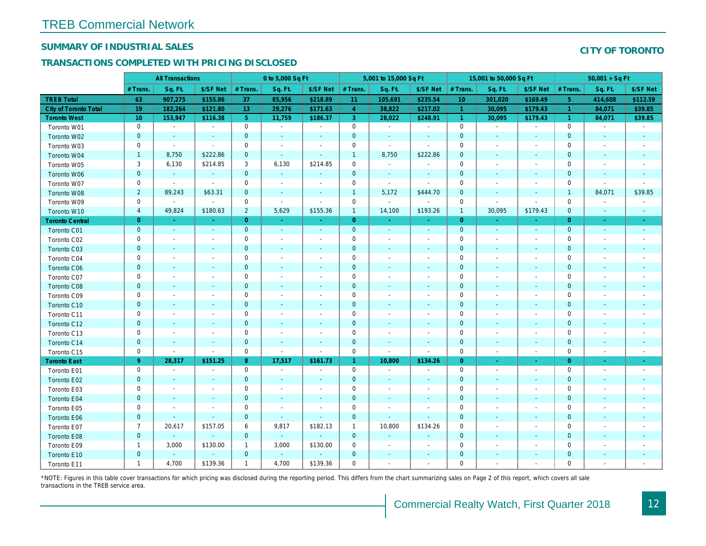## SUMMARY OF INDUSTRIAL SALES

## TRANSACTIONS COMPLETED WITH PRICING DISCLOSED

|                        |                 | <b>All Transactions</b>  |                          |                | 0 to 5,000 Sq Ft         |                          |                | 5,001 to 15,000 Sq Ft        |                              |                | 15,001 to 50,000 Sq Ft   |                          |
|------------------------|-----------------|--------------------------|--------------------------|----------------|--------------------------|--------------------------|----------------|------------------------------|------------------------------|----------------|--------------------------|--------------------------|
|                        | # Trans         | Sq. Ft.                  | \$/SF Net                | # Trans.       | Sq. Ft.                  | \$/SF Net                | # Trans.       | Sq. Ft.                      | \$/SF Net                    | # Trans.       | Sq. Ft.                  | \$/SF Ne                 |
| <b>TREB Total</b>      | 63              | 907,275                  | \$155.86                 | 37             | 85,956                   | \$218.89                 | 11             | 105,691                      | \$235.54                     | 10             | 301,020                  | \$169.49                 |
| City of Toronto Total  | 19              | 182,264                  | \$121.80                 | 13             | 29,276                   | \$171.63                 | $\overline{4}$ | 38,822                       | \$217.02                     | $\overline{1}$ | 30,095                   | \$179.4                  |
| <b>Toronto West</b>    | 10 <sup>°</sup> | 153,947                  | \$116.38                 | 5 <sup>5</sup> | 11,759                   | \$186.37                 | 3 <sup>°</sup> | 28,022                       | \$248.91                     | $\vert$ 1      | 30,095                   | \$179.43                 |
| Toronto W01            | 0               | $\blacksquare$           | $\blacksquare$           | $\mathbf 0$    | $\blacksquare$           | $\blacksquare$           | $\mathbf 0$    | $\blacksquare$               | $\blacksquare$               | $\mathbf 0$    | $\blacksquare$           | $\sim$                   |
| Toronto W02            | $\mathbf 0$     | $\sim$                   | $\sim$                   | $\mathbf{0}$   | $\sim$                   | $\sim$                   | $\mathbf 0$    | $\sim$                       | $\sim$                       | $\mathbf 0$    | $\sim$                   | $\sim$                   |
| Toronto W03            | 0               | $\sim$                   | $\sim$                   | $\mathbf 0$    | $\sim$                   | $\blacksquare$           | $\mathbf 0$    | $\blacksquare$               | $\blacksquare$               | $\mathbf 0$    | $\blacksquare$           | $\blacksquare$           |
| Toronto W04            | $\mathbf{1}$    | 8,750                    | \$222.86                 | $\mathbf 0$    | $\omega$                 | $\blacksquare$           | $\mathbf{1}$   | 8,750                        | \$222.86                     | $\mathbf 0$    | $\blacksquare$           | $\blacksquare$           |
| Toronto W05            | 3               | 6,130                    | \$214.85                 | 3              | 6,130                    | \$214.85                 | $\mathbf 0$    | $\blacksquare$               | $\blacksquare$               | 0              | $\blacksquare$           | $\overline{\phantom{a}}$ |
| Toronto W06            | $\mathbf{0}$    | $\blacksquare$           | $\blacksquare$           | $\mathbf{0}$   | $\blacksquare$           | $\blacksquare$           | $\mathbf 0$    | $\blacksquare$               | $\blacksquare$               | $\mathbf 0$    | $\blacksquare$           | $\blacksquare$           |
| Toronto W07            | 0               | $\blacksquare$           | $\sim$                   | $\mathbf 0$    | $\blacksquare$           | $\blacksquare$           | $\mathbf 0$    | $\omega$                     | $\omega$                     | 0              | $\blacksquare$           | $\overline{\phantom{a}}$ |
| Toronto W08            | $\sqrt{2}$      | 89,243                   | \$63.31                  | $\mathbf 0$    | $\sim$                   | $\blacksquare$           | $\mathbf{1}$   | 5,172                        | \$444.70                     | $\mathbf 0$    | $\blacksquare$           | $\overline{\phantom{a}}$ |
| Toronto W09            | $\mathbf 0$     | $\blacksquare$           | $\sim$                   | $\mathbf 0$    | $\sim$                   | $\blacksquare$           | $\mathbf 0$    | $\blacksquare$               | $\blacksquare$               | $\mathbf 0$    | $\blacksquare$           | $\blacksquare$           |
| Toronto W10            | $\overline{4}$  | 49,824                   | \$180.63                 | $\overline{2}$ | 5,629                    | \$155.36                 | $\mathbf{1}$   | 14,100                       | \$193.26                     | $\mathbf{1}$   | 30,095                   | \$179.43                 |
| <b>Toronto Central</b> | $\mathbf{0}$    | $\sim$                   | $\sim$                   | $\overline{0}$ | $\sim$                   | $\blacksquare$           | $\overline{0}$ | $\omega$                     | ÷.                           | $\overline{0}$ | ÷.                       | $\blacksquare$           |
| Toronto C01            | $\mathbf 0$     | $\blacksquare$           | $\sim$                   | $\mathbf{0}$   | $\blacksquare$           | $\blacksquare$           | $\mathbf 0$    | $\blacksquare$               | $\blacksquare$               | $\mathbf{0}$   | $\blacksquare$           | $\bullet$                |
| Toronto C02            | 0               | $\sim$                   |                          | $\mathbf 0$    | $\sim$                   | $\blacksquare$           | $\mathbf 0$    | $\sim$                       | $\sim$                       | 0              | $\blacksquare$           | $\blacksquare$           |
| Toronto C03            | $\mathbf{0}$    | $\sim$                   | $\omega$                 | $\overline{0}$ | ä,                       | $\blacksquare$           | $\mathbf 0$    | $\blacksquare$               | $\blacksquare$               | $\mathbf{0}$   | $\blacksquare$           | $\blacksquare$           |
| Toronto C04            | 0               | $\overline{\phantom{a}}$ | $\overline{\phantom{a}}$ | $\mathbf 0$    | $\blacksquare$           | $\blacksquare$           | $\mathbf 0$    | $\blacksquare$               | $\sim$                       | 0              | $\blacksquare$           | $\blacksquare$           |
| Toronto C06            | $\mathbf{0}$    | $\sim$                   | $\sim$                   | $\mathbf 0$    | $\blacksquare$           | $\sim$                   | $\mathbf{0}$   | $\blacksquare$               | $\blacksquare$               | $\mathbf 0$    | $\blacksquare$           | $\blacksquare$           |
| Toronto C07            | 0               | $\overline{\phantom{a}}$ | $\overline{\phantom{a}}$ | $\mathbf 0$    | $\sim$                   | $\blacksquare$           | $\mathbf 0$    | $\blacksquare$               | $\blacksquare$               | $\mathbf 0$    | $\blacksquare$           | $\blacksquare$           |
| Toronto C08            | $\mathbf{0}$    | $\sim$                   | $\sim$                   | $\mathbf 0$    | $\sim$                   | $\blacksquare$           | $\mathbf 0$    | $\sim$                       | $\sim$                       | $\mathbf 0$    | $\sim$                   | $\blacksquare$           |
| Toronto C09            | 0               | $\overline{\phantom{a}}$ | $\overline{\phantom{a}}$ | 0              | $\blacksquare$           | $\overline{\phantom{a}}$ | 0              | $\overline{\phantom{a}}$     | $\blacksquare$               | 0              | $\blacksquare$           | $\overline{\phantom{a}}$ |
| Toronto C10            | $\mathbf{0}$    | $\sim$                   | $\sim$                   | $\mathbf 0$    | $\sim$                   | $\blacksquare$           | $\mathbf 0$    | $\sim$                       | $\sim$                       | $\mathbf 0$    | $\sim$                   | $\sim$                   |
| Toronto C11            | 0               | $\blacksquare$           | $\overline{\phantom{a}}$ | $\mathbf 0$    | $\blacksquare$           | $\overline{\phantom{a}}$ | $\mathbf 0$    | $\blacksquare$               | $\overline{\phantom{a}}$     | $\mathbf 0$    | $\blacksquare$           | $\blacksquare$           |
| Toronto C12            | $\mathbf 0$     | $\sim$                   | $\sim$                   | $\mathbf 0$    | $\sim$                   | $\sim$                   | $\mathbf 0$    | $\sim$                       | $\sim$                       | $\mathbf{0}$   | $\sim$                   | $\sim$                   |
| Toronto C13            | 0               | $\overline{\phantom{a}}$ | $\overline{\phantom{a}}$ | $\mathbf 0$    | $\overline{\phantom{a}}$ | $\overline{\phantom{a}}$ | $\mathbf 0$    | $\overline{\phantom{a}}$     | $\overline{\phantom{a}}$     | 0              | $\overline{\phantom{a}}$ | $\overline{\phantom{a}}$ |
| Toronto C14            | $\mathbf 0$     |                          | $\sim$                   | $\mathbf 0$    | $\blacksquare$           | $\blacksquare$           | $\mathbf 0$    | $\sim$                       | $\sim$                       | $\mathbf{0}$   | $\blacksquare$           | $\blacksquare$           |
| Toronto C15            | 0               | $\blacksquare$           | $\blacksquare$           | $\mathbf 0$    | $\blacksquare$           | $\blacksquare$           | $\mathbf 0$    | $\blacksquare$               | $\blacksquare$               | $\mathbf 0$    | $\blacksquare$           | $\blacksquare$           |
| <b>Toronto East</b>    | $9^{\circ}$     | 28,317                   | \$151.25                 | 8              | 17,517                   | \$161.73                 | $\mathbf{1}$   | 10,800                       | \$134.26                     | $\overline{0}$ | $\blacksquare$           | $\sim$                   |
| Toronto E01            | 0               | $\blacksquare$           | $\sim$                   | $\mathbf 0$    | $\sim$                   | $\blacksquare$           | $\mathbf 0$    | $\blacksquare$               | $\blacksquare$               | $\mathbf 0$    | $\blacksquare$           | $\sim$                   |
| Toronto E02            | $\pmb{0}$       |                          |                          | $\mathbf 0$    | ä,                       | $\blacksquare$           | $\mathbf 0$    | ٠                            |                              | $\mathbf{0}$   | $\sim$                   | $\blacksquare$           |
| Toronto E03            | 0               | $\overline{\phantom{a}}$ | $\overline{\phantom{a}}$ | $\mathbf 0$    | $\blacksquare$           | $\blacksquare$           | $\pmb{0}$      | $\blacksquare$               | $\blacksquare$               | 0              | $\blacksquare$           | $\blacksquare$           |
| Toronto E04            | $\mathbf 0$     | $\sim$                   | $\sim$                   | $\mathbf 0$    | $\blacksquare$           | $\blacksquare$           | $\mathbf 0$    | $\blacksquare$               | $\blacksquare$               | $\mathbf 0$    | $\blacksquare$           | $\sim$                   |
| Toronto E05            | 0               | $\sim$                   | $\sim$                   | $\mathbf 0$    | $\sim$                   | $\sim$                   | $\mathbf 0$    | $\blacksquare$               | $\blacksquare$               | $\mathbf 0$    | $\blacksquare$           | $\blacksquare$           |
| Toronto E06            | $\mathbf 0$     | $\sim$                   | $\sim$                   | $\mathbf 0$    | $\omega$                 | $\sim$                   | $\mathbf 0$    | ÷.                           | $\omega$                     | $\mathbf 0$    | $\sim$                   | $\sim$                   |
| Toronto E07            | $\overline{7}$  | 20,617                   | \$157.05                 | 6              | 9,817                    | \$182.13                 | $\mathbf{1}$   | 10,800                       | \$134.26                     | 0              | $\blacksquare$           | $\overline{\phantom{a}}$ |
| Toronto E08            | $\mathbf{0}$    | $\omega$                 | $\sim$                   | $\mathbf{0}$   | $\omega$ .               | $\blacksquare$           | $\mathbf 0$    | ٠                            | $\qquad \qquad \blacksquare$ | $\mathbf 0$    | $\sim$                   | $\sim$                   |
| Toronto E09            | $\mathbf{1}$    | 3,000                    | \$130.00                 | $\mathbf{1}$   | 3,000                    | \$130.00                 | $\mathbf 0$    | $\blacksquare$               | $\overline{\phantom{a}}$     | $\mathbf 0$    |                          | $\overline{\phantom{a}}$ |
| Toronto E10            | $\mathbf{0}$    |                          | $\blacksquare$           | $\mathbf 0$    | $\blacksquare$           | ÷,                       | $\mathbf 0$    | $\qquad \qquad \blacksquare$ | $\blacksquare$               | $\mathbf 0$    | $\overline{\phantom{a}}$ |                          |
| Toronto E11            | $\mathbf{1}$    | 4,700                    | \$139.36                 | $\mathbf{1}$   | 4,700                    | \$139.36                 | $\mathbf 0$    | $\blacksquare$               | $\blacksquare$               | $\mathbf 0$    |                          | $\sim$                   |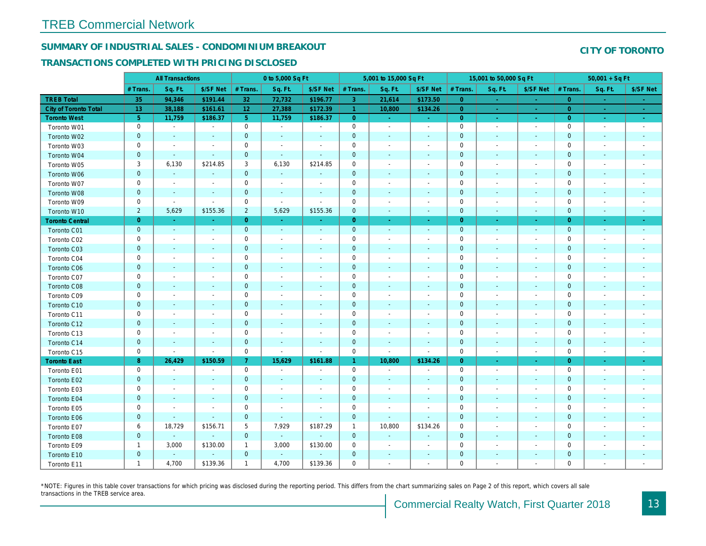## SUMMARY OF INDUSTRIAL SALES - CONDOMINIUM BREAKOUT

#### TRANSACTIONS COMPLETED WITH PRICING DISCLOSED

|                        |                | <b>All Transactions</b>  |                          |                | 0 to 5,000 Sq Ft |                          |                     | 5,001 to 15,000 Sq Ft    |                          |                | 15,001 to 50,000 Sq Ft   |                          |
|------------------------|----------------|--------------------------|--------------------------|----------------|------------------|--------------------------|---------------------|--------------------------|--------------------------|----------------|--------------------------|--------------------------|
|                        | # Trans.       | Sq. Ft.                  | \$/SF Net                | # Trans.       | Sq. Ft.          | \$/SF Net                | # Trans.            | Sq. Ft.                  | \$/SF Net                | # Trans.       | Sq. Ft.                  | \$/SF Ne                 |
| <b>TREB Total</b>      | 35             | 94,346                   | \$191.44                 | 32             | 72,732           | \$196.77                 | $\mathbf{3}$        | 21,614                   | \$173.50                 | $\overline{0}$ | $\sim$                   | $\sim$                   |
| City of Toronto Total  | 13             | 38,188                   | \$161.61                 | 12             | 27,388           | \$172.39                 | $\overline{1}$      | 10,800                   | \$134.26                 | $\overline{0}$ | $\sim$                   | $\sim$ $^{-1}$           |
| <b>Toronto West</b>    | 5 <sub>5</sub> | 11,759                   | \$186.37                 | 5 <sup>5</sup> | 11,759           | \$186.37                 | $\overline{0}$      | $\sim$                   | $\sim$                   | $\overline{0}$ | $\bullet$                | $\sigma_{\rm eff}$       |
| Toronto W01            | 0              | $\sim$                   | $\overline{\phantom{a}}$ | $\mathbf 0$    | $\sim$           | $\blacksquare$           | $\mathbf 0$         | $\sim$                   | $\sim$                   | $\mathbf 0$    | $\overline{\phantom{a}}$ | $\sim$                   |
| Toronto W02            | $\mathbf 0$    | $\blacksquare$           | $\sim$                   | $\mathbf 0$    | $\sim$           | $\blacksquare$           | $\mathbf 0$         | $\blacksquare$           | ä,                       | $\mathbf{0}$   | $\blacksquare$           | $\blacksquare$           |
| Toronto W03            | 0              | $\overline{\phantom{a}}$ | $\overline{\phantom{a}}$ | $\mathbf 0$    | $\blacksquare$   | $\blacksquare$           | $\mathbf 0$         | $\blacksquare$           | $\blacksquare$           | $\mathbf 0$    | $\blacksquare$           | $\blacksquare$           |
| Toronto W04            | $\mathbf{0}$   | $\blacksquare$           | $\sim$                   | $\mathbf 0$    | $\blacksquare$   | $\blacksquare$           | $\mathbf 0$         | $\overline{\phantom{a}}$ | $\blacksquare$           | $\mathbf{0}$   | $\blacksquare$           | $\blacksquare$           |
| Toronto W05            | 3              | 6,130                    | \$214.85                 | 3              | 6,130            | \$214.85                 | $\mathsf{O}\xspace$ | $\blacksquare$           | $\blacksquare$           | $\mathbf 0$    | $\blacksquare$           | $\blacksquare$           |
| Toronto W06            | $\mathbf 0$    | $\blacksquare$           | $\sim$                   | $\mathbf 0$    | $\blacksquare$   | $\frac{1}{2}$            | $\pmb{0}$           | $\overline{\phantom{a}}$ | ٠                        | $\mathbf 0$    | $\blacksquare$           | ۰                        |
| Toronto W07            | 0              | $\sim$                   | $\overline{\phantom{a}}$ | $\mathbf 0$    | $\blacksquare$   | $\blacksquare$           | $\mathbf 0$         | $\blacksquare$           | $\blacksquare$           | 0              | $\blacksquare$           | $\overline{\phantom{a}}$ |
| Toronto W08            | $\mathbf 0$    | $\blacksquare$           | $\sim$                   | $\mathbf 0$    | $\sim$           | $\sim$                   | $\pmb{0}$           | $\blacksquare$           | $\blacksquare$           | $\mathbf 0$    | $\blacksquare$           | $\blacksquare$           |
| Toronto W09            | 0              | $\sim$                   | $\sim$                   | $\mathbf 0$    | $\blacksquare$   | $\sim$                   | $\mathbf 0$         | $\overline{a}$           | $\blacksquare$           | $\mathbf 0$    | $\sim$                   | $\overline{\phantom{a}}$ |
| Toronto W10            | $\overline{2}$ | 5,629                    | \$155.36                 | $\overline{2}$ | 5,629            | \$155.36                 | $\mathbf{0}$        | $\blacksquare$           | $\blacksquare$           | $\mathbf 0$    | $\blacksquare$           | ٠.                       |
| <b>Toronto Central</b> | $\overline{0}$ | $\sim$                   | $\sim$                   | $\overline{0}$ | <b>Co</b>        | $\blacksquare$           | $\overline{0}$      | $\blacksquare$           | $\blacksquare$           | $\overline{0}$ | $\sim$                   | $\sim$                   |
| Toronto C01            | $\mathbf 0$    | $\blacksquare$           | $\sim$                   | $\mathbf 0$    | $\sim$           | $\blacksquare$           | $\mathbf 0$         | $\blacksquare$           | $\sim$                   | $\mathbf 0$    | $\blacksquare$           | $\sim$                   |
| Toronto C02            | 0              | $\overline{\phantom{a}}$ |                          | $\mathbf 0$    | $\blacksquare$   |                          | $\mathbf 0$         | $\overline{\phantom{a}}$ | $\overline{a}$           | $\mathbf 0$    | $\overline{a}$           | $\blacksquare$           |
| Toronto C03            | $\mathbf 0$    | $\blacksquare$           | $\sim$                   | $\mathbf 0$    | $\blacksquare$   | $\blacksquare$           | $\mathbf 0$         | $\blacksquare$           | $\blacksquare$           | $\mathbf 0$    | $\blacksquare$           | $\blacksquare$           |
| Toronto C04            | 0              | $\blacksquare$           | $\overline{\phantom{a}}$ | $\mathbf 0$    | $\blacksquare$   | $\blacksquare$           | $\mathbf 0$         | $\overline{a}$           | $\blacksquare$           | $\mathbf 0$    | ÷,                       | $\blacksquare$           |
| Toronto C06            | $\mathbf 0$    | $\blacksquare$           | $\blacksquare$           | $\pmb{0}$      | $\blacksquare$   | $\blacksquare$           | $\mathbf 0$         | $\blacksquare$           | $\blacksquare$           | $\mathbf 0$    | $\blacksquare$           | ٠                        |
| Toronto C07            | 0              | $\sim$                   | $\sim$                   | $\mathsf 0$    | $\blacksquare$   | $\blacksquare$           | $\mathbf 0$         | $\overline{a}$           | $\blacksquare$           | $\mathbf 0$    | ÷,                       | $\blacksquare$           |
| Toronto C08            | $\mathbf 0$    | $\sim$                   | $\sim$                   | $\mathbf 0$    | $\blacksquare$   | $\blacksquare$           | $\mathbf 0$         | $\blacksquare$           | $\blacksquare$           | $\mathbf 0$    | $\blacksquare$           | ٠                        |
| Toronto C09            | 0              | $\overline{\phantom{a}}$ | $\overline{\phantom{a}}$ | $\mathbf 0$    | $\blacksquare$   | $\blacksquare$           | $\mathbf 0$         | $\overline{\phantom{a}}$ | $\overline{a}$           | 0              | $\overline{\phantom{a}}$ | $\blacksquare$           |
| Toronto C10            | $\mathbf{0}$   | $\sim$                   | $\sim$                   | $\mathbf 0$    | $\mathbf{r}$     | $\sim$                   | $\mathbf 0$         | $\sim$                   | $\blacksquare$           | $\mathbf{0}$   | $\omega$                 | $\blacksquare$           |
| Toronto C11            | 0              | $\overline{\phantom{a}}$ | $\overline{\phantom{a}}$ | $\mathbf 0$    | $\blacksquare$   | $\overline{\phantom{a}}$ | $\mathbf 0$         | $\overline{\phantom{a}}$ | $\blacksquare$           | 0              | $\blacksquare$           | $\overline{\phantom{a}}$ |
| Toronto C12            | $\mathbf 0$    | $\overline{\phantom{a}}$ | $\sim$                   | $\mathbf 0$    | $\sim$           | $\overline{\phantom{a}}$ | $\mathbf 0$         | $\overline{\phantom{a}}$ | $\blacksquare$           | $\mathbf 0$    | $\sim$                   | $\blacksquare$           |
| Toronto C13            | 0              | $\overline{\phantom{a}}$ | $\overline{\phantom{a}}$ | $\mathbf 0$    | $\blacksquare$   | $\blacksquare$           | $\mathbf 0$         | $\overline{\phantom{a}}$ | $\blacksquare$           | $\mathbf 0$    | $\blacksquare$           | $\blacksquare$           |
| Toronto C14            | $\mathbf 0$    | $\blacksquare$           | $\blacksquare$           | $\mathbf 0$    | $\sim$           | $\blacksquare$           | $\mathbf 0$         | $\overline{\phantom{a}}$ | $\overline{\phantom{a}}$ | $\mathbf 0$    | $\blacksquare$           | $\blacksquare$           |
| Toronto C15            | 0              | $\blacksquare$           | $\blacksquare$           | $\mathbf 0$    | $\blacksquare$   | $\overline{\phantom{a}}$ | $\mathbf 0$         | $\overline{\phantom{a}}$ | $\blacksquare$           | $\mathbf 0$    | $\overline{\phantom{a}}$ | $\blacksquare$           |
| <b>Toronto East</b>    | 8              | 26,429                   | \$150.59                 | $\mathbf{7}$   | 15,629           | \$161.88                 | $\mathbf{1}$        | 10,800                   | \$134.26                 | $\overline{0}$ | $\omega$                 | $\sim$                   |
| Toronto E01            | 0              | $\blacksquare$           | $\sim$                   | $\mathbf 0$    | $\sim$           | $\blacksquare$           | $\mathsf 0$         | $\blacksquare$           | $\blacksquare$           | $\mathbf 0$    | $\blacksquare$           | $\blacksquare$           |
| Toronto E02            | $\mathbf 0$    | $\blacksquare$           |                          | $\mathbf 0$    | $\blacksquare$   |                          | $\mathbf 0$         | $\overline{\phantom{a}}$ | ÷,                       | $\mathbf 0$    | $\overline{\phantom{a}}$ | $\blacksquare$           |
| Toronto E03            | 0              | $\sim$                   | $\overline{\phantom{a}}$ | $\mathsf 0$    | $\blacksquare$   | $\blacksquare$           | $\mathbf 0$         | $\blacksquare$           | $\blacksquare$           | $\mathbf 0$    | $\blacksquare$           | $\blacksquare$           |
| Toronto E04            | $\mathbf 0$    | $\sim$                   | $\sim$                   | $\mathbf 0$    | $\blacksquare$   | $\blacksquare$           | $\pmb{0}$           | $\blacksquare$           | $\overline{\phantom{a}}$ | $\mathbf 0$    | $\blacksquare$           | $\blacksquare$           |
| Toronto E05            | 0              | $\sim$                   | $\overline{\phantom{a}}$ | $\mathbf 0$    | $\blacksquare$   | $\blacksquare$           | $\mathbf 0$         | $\overline{\phantom{a}}$ | $\blacksquare$           | 0              | $\blacksquare$           | $\blacksquare$           |
| Toronto E06            | $\mathbf{0}$   | $\sim$                   | $\sim$                   | $\mathbf 0$    | $\sim$           | $\blacksquare$           | $\pmb{0}$           | $\mathbf{r}$             | $\blacksquare$           | $\mathbf 0$    | $\sim$                   | $\sim$                   |
| Toronto E07            | 6              | 18,729                   | \$156.71                 | 5              | 7,929            | \$187.29                 | $\mathbf{1}$        | 10,800                   | \$134.26                 | 0              | ÷,                       | $\overline{\phantom{a}}$ |
| Toronto E08            | $\mathbf 0$    | $\blacksquare$           | $\sim$                   | $\mathbf 0$    | ◆                | $\blacksquare$           | $\mathbf 0$         | $\blacksquare$           | ÷,                       | $\mathbf 0$    | $\blacksquare$           | ٠                        |
| Toronto E09            | $\mathbf{1}$   | 3,000                    | \$130.00                 | $\mathbf{1}$   | 3,000            | \$130.00                 | 0                   | $\overline{a}$           | $\overline{a}$           | $\mathbf 0$    |                          | $\blacksquare$           |
| Toronto E10            | $\mathbf 0$    |                          | $\blacksquare$           | $\mathbf 0$    | $\sim$           |                          | $\mathbf 0$         | ÷,                       | ÷,                       | 0              | $\blacksquare$           |                          |
| Toronto E11            | $\mathbf{1}$   | 4,700                    | \$139.36                 | $\mathbf{1}$   | 4,700            | \$139.36                 | $\mathbf 0$         | $\blacksquare$           | $\blacksquare$           | $\mathbf 0$    |                          | $\sim$                   |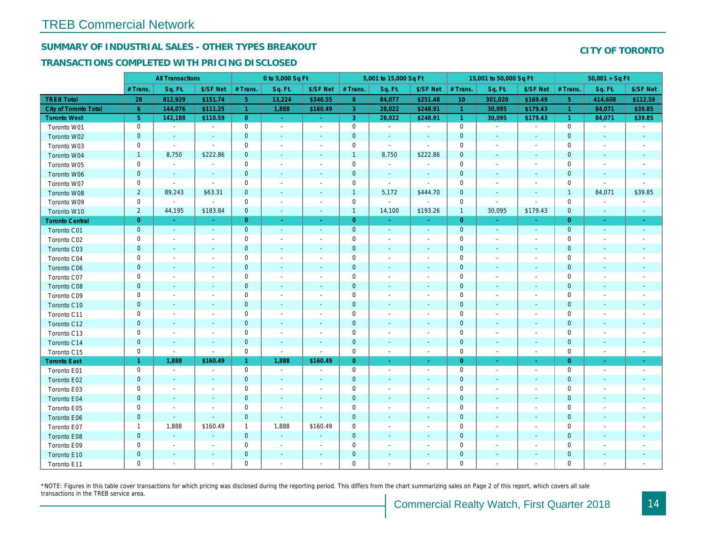## SUMMARY OF INDUSTRIAL SALES - OTHER TYPES BREAKOUT

#### TRANSACTIONS COMPLETED WITH PRICING DISCLOSED

|                        |                 | <b>All Transactions</b>  |                          |                      | 0 to 5,000 Sq Ft         |                          |                     | 5,001 to 15,000 Sq Ft    |                  |                 | 15,001 to 50,000 Sq Ft   |                          |
|------------------------|-----------------|--------------------------|--------------------------|----------------------|--------------------------|--------------------------|---------------------|--------------------------|------------------|-----------------|--------------------------|--------------------------|
|                        | # Trans.        | Sq. Ft.                  | \$/SF Net                | # Trans.             | Sq. Ft.                  | \$/SF Net                | # Trans.            | Sq. Ft.                  | \$/SF Net        | # Trans.        | Sq. Ft.                  | \$/SF Ne                 |
| <b>TREB Total</b>      | 28              | 812,929                  | \$151.74                 | 5 <sub>1</sub>       | 13,224                   | \$340.55                 | 8 <sup>°</sup>      | 84,077                   | \$251.48         | 10 <sup>°</sup> | 301,020                  | \$169.49                 |
| City of Toronto Total  | $6\overline{6}$ | 144,076                  | \$111.25                 | $\blacktriangleleft$ | 1,888                    | \$160.49                 | 3 <sup>°</sup>      | 28,022                   | \$248.91         | $\overline{1}$  | 30,095                   | \$179.4                  |
| <b>Toronto West</b>    | 5 <sub>5</sub>  | 142,188                  | \$110.59                 | $\overline{0}$       | $\sim$                   | $\sim$ .                 | 3                   | 28,022                   | \$248.91         | $\vert$ 1       | 30,095                   | \$179.43                 |
| Toronto W01            | 0               | $\blacksquare$           | $\blacksquare$           | 0                    | $\sim$                   | $\blacksquare$           | $\mathbf 0$         | $\blacksquare$           | $\blacksquare$   | $\mathbf 0$     | $\blacksquare$           | $\blacksquare$           |
| Toronto W02            | $\mathbf{0}$    | $\sim$                   | $\sim$                   | $\mathbf{0}$         | $\blacksquare$           | $\blacksquare$           | $\mathbf 0$         | $\blacksquare$           | $\blacksquare$   | $\mathbf{0}$    | $\blacksquare$           | $\sim$                   |
| Toronto W03            | 0               | $\blacksquare$           | $\sim$                   | $\mathbf 0$          | $\blacksquare$           | $\blacksquare$           | $\mathbf 0$         | $\blacksquare$           | $\blacksquare$   | $\mathbf 0$     | $\blacksquare$           | $\blacksquare$           |
| Toronto W04            | $\mathbf{1}$    | 8,750                    | \$222.86                 | $\mathbf{0}$         | $\blacksquare$           | $\blacksquare$           | $\mathbf{1}$        | 8,750                    | \$222.86         | $\mathbf{0}$    | $\blacksquare$           | $\blacksquare$           |
| Toronto W05            | 0               | $\blacksquare$           | $\blacksquare$           | $\mathbf 0$          | $\blacksquare$           | $\blacksquare$           | $\mathbf 0$         | $\sim$                   | $\blacksquare$   | $\mathbf 0$     | $\blacksquare$           | $\blacksquare$           |
| Toronto W06            | $\mathbf{0}$    |                          |                          | $\mathbf 0$          |                          | $\omega$                 | $\mathbf 0$         | $\omega$                 | $\sim$           | $\mathbf 0$     | $\sim$                   |                          |
| Toronto W07            | $\mathbf 0$     | $\blacksquare$           | $\sim$                   | $\pmb{0}$            | $\blacksquare$           | $\blacksquare$           | $\mathbf 0$         | $\blacksquare$           | $\blacksquare$   | $\mathbf 0$     | $\blacksquare$           | $\overline{\phantom{a}}$ |
| Toronto W08            | $\overline{2}$  | 89,243                   | \$63.31                  | $\mathbf 0$          | $\blacksquare$           | $\blacksquare$           | $\mathbf{1}$        | 5,172                    | \$444.70         | $\mathbf 0$     | $\blacksquare$           | ٠                        |
| Toronto W09            | 0               | $\blacksquare$           | $\sim$                   | 0                    | $\blacksquare$           | $\blacksquare$           | $\mathbf 0$         | $\blacksquare$           | $\sim$           | 0               | $\blacksquare$           | $\blacksquare$           |
| Toronto W10            | $\overline{2}$  | 44,195                   | \$183.84                 | $\mathbf{0}$         | $\omega$                 | $\sim$                   | $\mathbf{1}$        | 14,100                   | \$193.26         | $\mathbf{1}$    | 30,095                   | \$179.43                 |
| <b>Toronto Central</b> | $\overline{0}$  | $\sim$                   | $\Delta \tau$            | $\overline{0}$       | $\omega$                 | $\sim$                   | $\overline{0}$      | $\omega$                 | $\sim$           | $\overline{0}$  | $\omega$                 | $\sim$                   |
| Toronto C01            | $\pmb{0}$       | $\blacksquare$           | $\sim$                   | $\mathbf{0}$         | $\omega$                 | $\blacksquare$           | $\mathbf 0$         | $\omega$                 | $\sim$           | $\mathbf{0}$    | $\omega$                 | $\bullet$                |
| Toronto C02            | 0               | $\overline{\phantom{a}}$ | $\sim$                   | $\mathbf 0$          | $\blacksquare$           | $\blacksquare$           | $\mathbf 0$         | $\sim$                   | $\blacksquare$   | $\mathbf 0$     | $\blacksquare$           | $\blacksquare$           |
| Toronto C03            | $\mathbf{0}$    | $\sim$                   | $\sim$                   | $\mathbf{0}$         | $\frac{1}{2}$            | $\blacksquare$           | $\mathbf 0$         | ٠                        | ٠                | $\mathbf 0$     | $\blacksquare$           | $\blacksquare$           |
| Toronto C04            | 0               | $\overline{\phantom{a}}$ | $\overline{\phantom{a}}$ | $\mathbf 0$          | $\blacksquare$           | $\blacksquare$           | $\mathbf 0$         | $\blacksquare$           | ٠                | $\mathbf 0$     | $\overline{\phantom{a}}$ | $\blacksquare$           |
| Toronto C06            | $\mathbf 0$     | $\sim$                   | $\sim$                   | $\mathbf 0$          | $\blacksquare$           | $\blacksquare$           | $\mathbf 0$         | $\blacksquare$           | $\blacksquare$   | $\mathbf{0}$    | $\blacksquare$           | $\blacksquare$           |
| Toronto C07            | $\mathbf 0$     | $\sim$                   | $\sim$                   | $\mathbf 0$          | $\blacksquare$           | $\blacksquare$           | $\mathbf 0$         | ä,                       | $\blacksquare$   | $\mathbf 0$     | J.                       | $\blacksquare$           |
| Toronto C08            | $\pmb{0}$       | $\blacksquare$           | $\sim$                   | $\mathbf 0$          | ä,                       | $\blacksquare$           | $\mathbf 0$         | ÷,                       | $\blacksquare$   | $\mathbf{0}$    | $\blacksquare$           |                          |
| Toronto C09            | 0               | $\blacksquare$           |                          | $\mathbf 0$          | $\blacksquare$           | $\blacksquare$           | $\mathbf 0$         |                          | $\overline{a}$   | $\mathbf 0$     |                          |                          |
| Toronto C10            | $\mathbf{0}$    | $\sim$                   | $\sim$                   | $\overline{0}$       | $\blacksquare$           | $\blacksquare$           | $\mathbf 0$         | $\blacksquare$           | $\sim$           | $\mathbf{0}$    | $\blacksquare$           | $\blacksquare$           |
| Toronto C11            | $\mathbf 0$     | $\sim$                   |                          | $\mathbf 0$          | $\sim$                   | $\blacksquare$           | $\mathsf{O}\xspace$ | $\sim$                   | $\sim$           | $\mathbf 0$     | $\blacksquare$           | $\blacksquare$           |
| Toronto C12            | $\mathbf{0}$    | $\sim$                   | $\sim$                   | $\mathbf 0$          | $\blacksquare$           | $\blacksquare$           | $\mathbf 0$         | $\blacksquare$           | $\blacksquare$   | $\mathbf{0}$    | $\blacksquare$           | $\overline{\phantom{a}}$ |
| Toronto C13            | 0               | $\overline{\phantom{a}}$ | $\overline{\phantom{a}}$ | $\mathbf 0$          | $\blacksquare$           | $\blacksquare$           | $\mathbf 0$         | $\blacksquare$           | $\blacksquare$   | 0               | $\overline{\phantom{a}}$ | $\blacksquare$           |
| Toronto C14            | $\mathbf{0}$    | $\sim$                   | $\sim$                   | $\mathbf 0$          | $\blacksquare$           | $\blacksquare$           | $\mathbf 0$         | $\sim$                   | $\sim$           | $\mathbf 0$     | $\blacksquare$           | $\sim$                   |
| Toronto C15            | $\mathbf 0$     | $\blacksquare$           | $\blacksquare$           | $\mathbf 0$          | $\blacksquare$           | $\blacksquare$           | $\mathbf 0$         | $\blacksquare$           | $\omega$         | $\mathbf 0$     | $\overline{\phantom{a}}$ | $\sim$                   |
| <b>Toronto East</b>    | $\mathbf{1}$    | 1,888                    | \$160.49                 | $\mathbf{1}$         | 1,888                    | \$160.49                 | $\overline{0}$      | $\omega$                 | $\omega_{\rm c}$ | $\overline{0}$  | $\bullet$                | $\sigma_{\rm c}$         |
| Toronto E01            | 0               | $\sim$                   | $\sim$                   | $\mathbf 0$          | $\sim$                   | $\blacksquare$           | $\mathbf 0$         | $\sim$                   | $\blacksquare$   | $\mathbf 0$     | $\blacksquare$           | $\sim$                   |
| Toronto E02            | $\mathbf{0}$    | $\sim$                   | $\sim$                   | $\mathbf{0}$         | $\sim$                   | $\blacksquare$           | $\mathbf 0$         | $\sim$                   | $\sim$           | $\mathbf{0}$    | $\sim$                   | $\sim$                   |
| Toronto E03            | 0               | $\overline{\phantom{a}}$ | $\overline{\phantom{a}}$ | $\mathbf 0$          | $\blacksquare$           | $\overline{\phantom{a}}$ | $\mathbf 0$         | $\overline{\phantom{a}}$ | $\blacksquare$   | 0               | $\blacksquare$           | $\blacksquare$           |
| Toronto E04            | $\mathbf 0$     | $\sim$                   | $\sim$                   | $\mathbf 0$          | $\blacksquare$           | $\blacksquare$           | $\mathbf 0$         | $\blacksquare$           | $\blacksquare$   | $\mathbf{0}$    | $\blacksquare$           | $\blacksquare$           |
| Toronto E05            | 0               | $\blacksquare$           | $\blacksquare$           | $\mathbf 0$          | $\overline{\phantom{a}}$ | $\blacksquare$           | $\mathbf 0$         | $\blacksquare$           | $\blacksquare$   | $\mathbf 0$     | $\blacksquare$           | $\blacksquare$           |
| Toronto E06            | $\mathbf 0$     | $\blacksquare$           | $\sim$                   | $\mathbf{0}$         | $\blacksquare$           | $\blacksquare$           | $\mathbf 0$         | ٠                        | $\sim$           | $\mathbf{0}$    | $\blacksquare$           | $\blacksquare$           |
| Toronto E07            | $\mathbf{1}$    | 1,888                    | \$160.49                 | $\mathbf{1}$         | 1,888                    | \$160.49                 | $\mathbf 0$         | $\overline{\phantom{a}}$ | $\blacksquare$   | $\mathbf 0$     | $\blacksquare$           | $\blacksquare$           |
| Toronto E08            | $\mathbf{0}$    | $\sim$                   | $\sim$                   | $\mathbf{0}$         | $\blacksquare$           | $\blacksquare$           | $\mathbf 0$         |                          | $\sim$           | $\mathbf{0}$    | $\sim$                   |                          |
| Toronto E09            | 0               | $\blacksquare$           | $\sim$                   | $\mathbf 0$          | $\blacksquare$           | $\blacksquare$           | $\mathbf 0$         | $\sim$                   | $\blacksquare$   | $\mathbf 0$     | $\sim$                   | $\blacksquare$           |
| Toronto E10            | $\mathbf 0$     |                          |                          | $\mathbf 0$          | $\blacksquare$           | $\blacksquare$           | $\mathbf 0$         |                          |                  | $\mathbf 0$     | $\blacksquare$           |                          |
| Toronto E11            | $\mathbf 0$     | $\blacksquare$           | $\sim$                   | $\mathbf 0$          | $\blacksquare$           | $\blacksquare$           | $\mathbf 0$         | $\blacksquare$           | $\blacksquare$   | $\mathbf 0$     | $\blacksquare$           | $\blacksquare$           |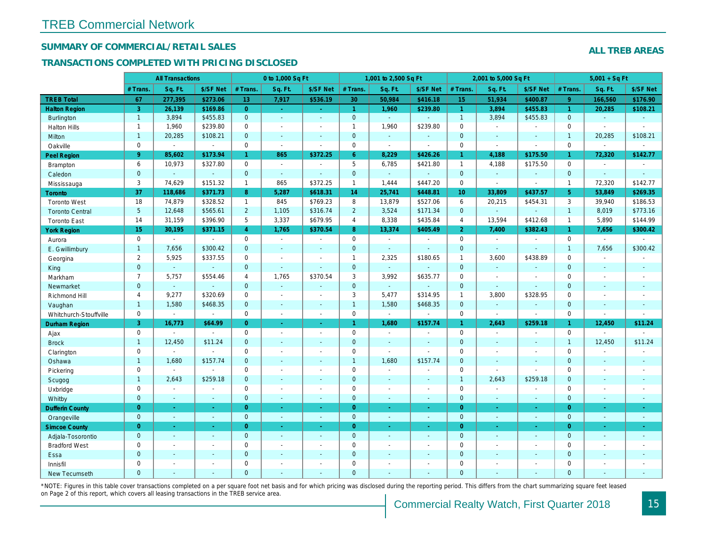## SUMMARY OF COMMERCIAL/RETAIL SALES

## TRANSACTIONS COMPLETED WITH PRICING DISCLOSED

|                        |                 | <b>All Transactions</b> |                |                 | 0 to 1,000 Sq Ft |                          |                | 1,001 to 2,500 Sq Ft     |                          |                      | 2,001 to 5,000 Sq Ft |                          |
|------------------------|-----------------|-------------------------|----------------|-----------------|------------------|--------------------------|----------------|--------------------------|--------------------------|----------------------|----------------------|--------------------------|
|                        | # Trans.        | Sq. Ft.                 | \$/SF Net      | # Trans.        | Sq. Ft.          | \$/SF Net                | # Trans.       | Sq. Ft.                  | \$/SF Net                | # Trans.             | Sq. Ft.              | \$/SF Ne                 |
| <b>TREB Total</b>      | 67              | 277,395                 | \$273.06       | 13 <sup>°</sup> | 7,917            | \$536.19                 | 30             | 50,984                   | \$416.18                 | 15 <sub>15</sub>     | 51,934               | \$400.87                 |
| <b>Halton Region</b>   | 3               | 26,139                  | \$169.86       | $\overline{0}$  | $\sim$           | $\omega_{\rm c}$         | $\mathbf{1}$   | 1,960                    | \$239.80                 | $\blacktriangleleft$ | 3,894                | \$455.83                 |
| <b>Burlington</b>      | $\mathbf{1}$    | 3,894                   | \$455.83       | $\mathbf{0}$    | $\blacksquare$   | $\mathbf{r}$             | $\overline{0}$ | ä,                       | ä,                       | $\overline{1}$       | 3,894                | \$455.83                 |
| <b>Halton Hills</b>    | $\mathbf{1}$    | 1,960                   | \$239.80       | $\mathbf 0$     | $\sim$           | $\blacksquare$           | $\mathbf{1}$   | 1,960                    | \$239.80                 | $\mathbf 0$          | $\sim$               | $\overline{\phantom{a}}$ |
| Milton                 | $\mathbf{1}$    | 20,285                  | \$108.21       | $\mathbf{0}$    | $\blacksquare$   | $\sim$                   | $\mathbf{0}$   | $\omega$                 | $\omega$                 | $\mathbf{0}$         | $\omega$             | $\sim$                   |
| Oakville               | $\mathbf 0$     | $\blacksquare$          | $\blacksquare$ | $\mathbf 0$     | $\blacksquare$   | $\sim$                   | $\mathsf{O}$   | $\tilde{\phantom{a}}$    | $\blacksquare$           | $\mathbf 0$          | $\blacksquare$       | $\blacksquare$           |
| Peel Region            | 9               | 85,602                  | \$173.94       | $\mathbf{1}$    | 865              | \$372.25                 | $6^{\circ}$    | 8,229                    | \$426.26                 | $\mathbf{1}$         | 4,188                | \$175.50                 |
| Brampton               | 6               | 10,973                  | \$327.80       | $\mathbf 0$     | $\sim$           |                          | 5              | 6,785                    | \$421.80                 | $\overline{1}$       | 4,188                | \$175.50                 |
| Caledon                | $\mathbf{0}$    | $\omega$                | $\omega$       | $\mathbf 0$     | $\sim$           | $\sim$                   | $\mathbf 0$    | $\omega_{\rm c}$         | $\blacksquare$           | $\mathbf 0$          | ä,                   | $\blacksquare$           |
| Mississauga            | 3               | 74,629                  | \$151.32       | $\mathbf{1}$    | 865              | \$372.25                 | $\mathbf{1}$   | 1,444                    | \$447.20                 | $\mathbf 0$          | $\sim$               | $\blacksquare$           |
| <b>Toronto</b>         | 37              | 118,686                 | \$371.73       | 8               | 5,287            | \$618.31                 | 14             | 25,741                   | \$448.81                 | 10 <sup>°</sup>      | 33,809               | \$437.57                 |
| <b>Toronto West</b>    | 18              | 74,879                  | \$328.52       | $\mathbf{1}$    | 845              | \$769.23                 | 8              | 13,879                   | \$527.06                 | 6                    | 20,215               | \$454.3'                 |
| <b>Toronto Central</b> | $5\phantom{.0}$ | 12,648                  | \$565.61       | $\overline{2}$  | 1,105            | \$316.74                 | $\overline{2}$ | 3,524                    | \$171.34                 | $\mathbf{0}$         | ÷.                   | $\blacksquare$           |
| <b>Toronto East</b>    | 14              | 31,159                  | \$396.90       | 5               | 3,337            | \$679.95                 | $\overline{4}$ | 8,338                    | \$435.84                 | $\overline{4}$       | 13,594               | \$412.68                 |
| <b>York Region</b>     | 15              | 30,195                  | \$371.15       | $\overline{4}$  | 1,765            | \$370.54                 | 8              | 13,374                   | \$405.49                 | $\overline{2}$       | 7,400                | \$382.43                 |
| Aurora                 | $\mathbf 0$     | $\sim$                  | $\omega$       | $\mathbf 0$     | $\sim$           | $\blacksquare$           | $\mathbf 0$    | $\sim$                   | $\blacksquare$           | $\mathbf 0$          | $\blacksquare$       | $\blacksquare$           |
| E. Gwillimbury         | $\mathbf{1}$    | 7,656                   | \$300.42       | $\mathbf{0}$    | $\sim$           | $\sim$                   | $\pmb{0}$      | $\omega$                 | $\blacksquare$           | $\mathbf 0$          | $\omega$             | $\blacksquare$           |
| Georgina               | $\overline{2}$  | 5,925                   | \$337.55       | $\mathbf 0$     | $\sim$           | $\sim$                   | $\mathbf{1}$   | 2,325                    | \$180.65                 | $\mathbf{1}$         | 3,600                | \$438.89                 |
| King                   | $\overline{0}$  | $\omega$                | $\sim$         | $\mathbf{0}$    | $\Delta$         | $\sim$                   | $\mathbf{0}$   | $\blacksquare$           | $\sim$                   | $\mathbf{0}$         | $\omega$             | $\sim$                   |
| Markham                | $\overline{7}$  | 5,757                   | \$554.46       | $\overline{4}$  | 1,765            | \$370.54                 | 3              | 3,992                    | \$635.77                 | $\mathbf 0$          | $\sim$               | $\sim$                   |
| Newmarket              | $\overline{0}$  | $\omega$                | $\blacksquare$ | $\Omega$        | $\omega$         | $\sim$                   | $\mathbf 0$    | $\blacksquare$           | $\blacksquare$           | $\mathbf{0}$         | $\blacksquare$       | $\blacksquare$           |
| Richmond Hill          | $\overline{4}$  | 9,277                   | \$320.69       | $\mathbf 0$     | $\sim$           | $\overline{\phantom{a}}$ | 3              | 5,477                    | \$314.95                 | $\mathbf{1}$         | 3,800                | \$328.95                 |
| Vaughan                | $\mathbf{1}$    | 1,580                   | \$468.35       | $\mathbf{0}$    | $\sim$           | $\sim$                   | $\mathbf{1}$   | 1,580                    | \$468.35                 | $\mathbf 0$          | $\omega$             | $\sim$                   |
| Whitchurch-Stouffville | $\mathbf 0$     | $\blacksquare$          | $\blacksquare$ | $\mathbf 0$     | $\sim$           | $\sim$                   | 0              | $\blacksquare$           | $\sim$                   | $\mathbf 0$          | $\sim$               | $\blacksquare$           |
| Durham Region          | 3               | 16,773                  | \$64.99        | $\overline{0}$  | $\bullet$        | $\omega$                 | $\mathbf{1}$   | 1,680                    | \$157.74                 | $\mathbf{1}$         | 2,643                | \$259.18                 |
| Ajax                   | $\mathbf 0$     | $\sim$                  | $\blacksquare$ | $\mathbf 0$     | $\sim$           | $\sim$                   | $\pmb{0}$      | $\sim$                   | $\blacksquare$           | $\mathbf 0$          | $\sim$               | $\blacksquare$           |
| <b>Brock</b>           | $\overline{1}$  | 12,450                  | \$11.24        | $\mathbf{0}$    | $\sim$           | $\blacksquare$           | $\mathbf 0$    | $\omega$                 | $\blacksquare$           | $\mathbf{0}$         | $\omega$             | $\blacksquare$           |
| Clarington             | $\mathbf 0$     | $\blacksquare$          | $\mathbf{r}$   | $\mathbf 0$     | $\blacksquare$   |                          | $\pmb{0}$      | $\overline{a}$           | $\overline{a}$           | $\mathbf 0$          | $\blacksquare$       | $\blacksquare$           |
| Oshawa                 | $\mathbf{1}$    | 1,680                   | \$157.74       | $\mathbf{0}$    | $\sim$           | $\sim$                   | $\mathbf{1}$   | 1,680                    | \$157.74                 | $\mathbf{0}$         | $\blacksquare$       | $\blacksquare$           |
| Pickering              | $\mathbf 0$     | $\omega$                | $\sim$         | $\Omega$        | $\sim$           | $\sim$                   | $\mathbf 0$    | $\blacksquare$           | $\overline{a}$           | $\mathbf 0$          | $\overline{a}$       | $\overline{a}$           |
| Scugog                 | $\mathbf{1}$    | 2,643                   | \$259.18       | $\mathbf{0}$    | $\sim$           | $\sim$                   | $\mathbf 0$    | $\blacksquare$           | $\blacksquare$           | $\overline{1}$       | 2,643                | \$259.18                 |
| Uxbridge               | $\mathbf 0$     | $\blacksquare$          | $\blacksquare$ | $\mathbf 0$     | $\sim$           | $\blacksquare$           | $\pmb{0}$      | $\blacksquare$           | $\blacksquare$           | $\mathbf 0$          | $\sim$               | $\blacksquare$           |
| Whitby                 | $\mathbf{0}$    | $\sim$                  | $\sim$         | $\mathbf{0}$    | $\sim$           | $\sim$                   | $\mathbf 0$    | $\mathbf{r}$             | $\blacksquare$           | $\mathbf{0}$         | $\mathbf{r}$         | $\sim$                   |
| <b>Dufferin County</b> | $\overline{0}$  | $\sim$                  | $\omega$       | $\overline{0}$  | $\sim$           | $\sim$                   | $\overline{0}$ | $\omega$                 | $\omega$                 | $\overline{0}$       | $\sim$               | $\sim$                   |
| Orangeville            | $\overline{0}$  | $\omega$                | $\blacksquare$ | $\mathbf{0}$    | $\blacksquare$   | $\omega$                 | $\mathbf{0}$   | $\omega$                 | $\omega$                 | $\mathbf{0}$         | $\omega$             | $\sim$                   |
| <b>Simcoe County</b>   | $\overline{0}$  | $\omega$                | $\blacksquare$ | $\overline{0}$  | $\blacksquare$   | $\blacksquare$           | $\overline{0}$ | $\blacksquare$           | $\omega$                 | $\overline{0}$       | $\blacksquare$       | $\frac{1}{\sqrt{2}}$     |
| Adjala-Tosorontio      | $\overline{0}$  | $\sim$                  | $\sim$         | $\mathbf{0}$    | $\sim$           | $\sim$                   | $\mathbf 0$    | $\blacksquare$           | $\blacksquare$           | $\mathbf{0}$         | $\blacksquare$       | $\sim$                   |
| <b>Bradford West</b>   | $\mathbf 0$     | $\blacksquare$          | $\blacksquare$ | $\mathbf 0$     | $\sim$           | $\blacksquare$           | $\pmb{0}$      | $\blacksquare$           | $\blacksquare$           | $\mathbf 0$          | $\blacksquare$       | $\blacksquare$           |
| Essa                   | $\overline{0}$  | $\sim$                  | $\sim$         | $\mathbf{0}$    | $\sim$           | $\sim$                   | $\pmb{0}$      | $\blacksquare$           | $\blacksquare$           | $\mathbf{0}$         | $\blacksquare$       | $\blacksquare$           |
| Innisfil               | $\mathbf 0$     | $\blacksquare$          | $\blacksquare$ | $\mathbf 0$     | $\sim$           | $\sim$                   | $\mathbf 0$    | $\blacksquare$           | $\blacksquare$           | $\mathbf 0$          | $\blacksquare$       | $\blacksquare$           |
| <b>New Tecumseth</b>   | $\Omega$        | $\sim$                  | $\sim$         | $\Omega$        | $\sim$           | $\sim$                   | $\overline{0}$ | $\overline{\phantom{a}}$ | $\overline{\phantom{a}}$ | $\mathbf{0}$         | ÷.                   | $\sim$                   |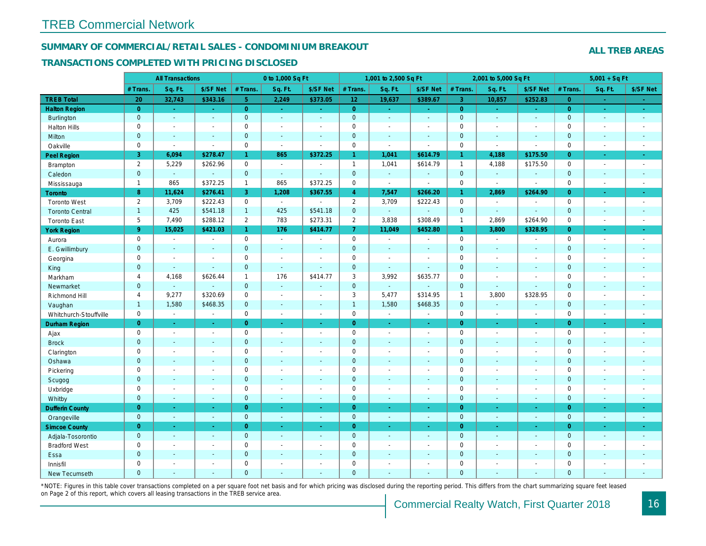## SUMMARY OF COMMERCIAL/RETAIL SALES - CONDOMINIUM BREAKOUT

#### TRANSACTIONS COMPLETED WITH PRICING DISCLOSED

|                        |                     | <b>All Transactions</b> |                       |                | 0 to 1,000 Sq Ft |                          |                 | 1,001 to 2,500 Sq Ft     |                |                | 2,001 to 5,000 Sq Ft     |                |
|------------------------|---------------------|-------------------------|-----------------------|----------------|------------------|--------------------------|-----------------|--------------------------|----------------|----------------|--------------------------|----------------|
|                        | # Trans             | Sq. Ft.                 | \$/SF Net             | # Trans.       | Sq. Ft.          | \$/SF Net                | # Trans.        | Sq. Ft.                  | \$/SF Net      | # Trans.       | Sq. Ft.                  | \$/SF Ne       |
| <b>TREB Total</b>      | 20                  | 32,743                  | \$343.16              | 5 <sup>5</sup> | 2,249            | \$373.05                 | 12 <sub>2</sub> | 19,637                   | \$389.67       | $\mathbf{3}$   | 10,857                   | \$252.83       |
| <b>Halton Region</b>   | $\overline{0}$      | $\omega_{\rm c}$        | $\sim$                | $\overline{0}$ | $\sim$           | $\sim$                   | $\overline{0}$  | $\sim$                   | $\sim$         | $\overline{0}$ | $\sim$                   | $\sim$         |
| <b>Burlington</b>      | $\mathbf{0}$        | $\omega$                | $\omega$              | $\mathbf{0}$   | $\Delta$         | $\mathbf{r}$             | $\mathbf{0}$    | $\omega$                 | ÷.             | $\mathbf{0}$   | $\omega$                 | $\sim$         |
| <b>Halton Hills</b>    | $\mathbf 0$         | $\blacksquare$          | $\blacksquare$        | 0              | $\sim$           | $\overline{\phantom{a}}$ | $\pmb{0}$       | $\blacksquare$           | $\blacksquare$ | $\mathbf 0$    | $\blacksquare$           | $\blacksquare$ |
| Milton                 | $\mathbf{0}$        | $\sim$                  | $\sim$                | $\mathbf{0}$   | $\sim$           | $\overline{\phantom{a}}$ | $\mathbf 0$     | $\Delta$                 | $\sim$         | $\mathbf 0$    | $\mathbf{r}$             | $\sim$         |
| Oakville               | $\mathbf 0$         | $\blacksquare$          | $\blacksquare$        | $\mathsf 0$    | $\blacksquare$   | $\overline{a}$           | $\pmb{0}$       | $\blacksquare$           | $\sim$         | $\mathsf 0$    | $\sim$                   | $\blacksquare$ |
| Peel Region            | 3                   | 6,094                   | \$278.47              | $\mathbf{1}$   | 865              | \$372.25                 | $\mathbf{1}$    | 1,041                    | \$614.79       | $\mathbf{1}$   | 4,188                    | \$175.50       |
| Brampton               | $\overline{2}$      | 5,229                   | \$262.96              | $\mathbf 0$    | $\sim$           | $\sim$                   | $\mathbf{1}$    | 1,041                    | \$614.79       | $\mathbf{1}$   | 4,188                    | \$175.50       |
| Caledon                | $\mathbf{0}$        | $\omega$                | $\mathbf{u}$          | $\mathbf 0$    | $\omega$         | $\blacksquare$           | $\mathbf 0$     | $\blacksquare$           | $\blacksquare$ | $\mathbf{0}$   | $\Box$                   | $\blacksquare$ |
| Mississauga            | $\mathbf{1}$        | 865                     | \$372.25              | $\mathbf{1}$   | 865              | \$372.25                 | 0               | $\overline{\phantom{a}}$ | $\blacksquare$ | $\mathbf 0$    | $\sim$                   | $\blacksquare$ |
| <b>Toronto</b>         | 8                   | 11,624                  | \$276.41              | 3              | 1,208            | \$367.55                 | $\overline{4}$  | 7,547                    | \$266.20       | $\mathbf{1}$   | 2,869                    | \$264.90       |
| <b>Toronto West</b>    | $\overline{2}$      | 3,709                   | \$222.43              | $\mathbf{0}$   | $\sim$           | $\overline{a}$           | $\overline{2}$  | 3,709                    | \$222.43       | $\mathbf 0$    | $\overline{\phantom{a}}$ | $\blacksquare$ |
| <b>Toronto Central</b> | $\mathbf{1}$        | 425                     | \$541.18              | $\mathbf{1}$   | 425              | \$541.18                 | $\mathbf{0}$    | $\omega_{\rm c}$         | $\omega$       | $\mathbf 0$    | $\omega$                 | $\sim$         |
| <b>Toronto East</b>    | 5                   | 7,490                   | \$288.12              | $\overline{2}$ | 783              | \$273.31                 | $\overline{2}$  | 3,838                    | \$308.49       | $\mathbf{1}$   | 2,869                    | \$264.90       |
| <b>York Region</b>     | 9                   | 15,025                  | \$421.03              | $\mathbf{1}$   | 176              | \$414.77                 | $\mathbf{7}$    | 11,049                   | \$452.80       | $\mathbf{1}$   | 3,800                    | \$328.95       |
| Aurora                 | $\mathbf 0$         | $\sim$                  | $\blacksquare$        | $\mathbf 0$    | $\sim$           | $\sim$                   | $\mathbf 0$     | $\blacksquare$           | $\blacksquare$ | $\mathbf 0$    | $\blacksquare$           | $\sim$         |
| E. Gwillimbury         | $\mathbf 0$         | $\blacksquare$          | $\blacksquare$        | $\mathbf 0$    | $\sim$           | $\sim$                   | $\pmb{0}$       | $\omega$                 | ä,             | $\mathbf 0$    | $\omega$                 | $\sim$         |
| Georgina               | $\mathbf 0$         | $\blacksquare$          | $\blacksquare$        | $\mathbf 0$    | $\sim$           | $\sim$                   | $\mathbf 0$     | $\blacksquare$           | $\blacksquare$ | $\mathbf 0$    | $\blacksquare$           | $\blacksquare$ |
| King                   | $\mathbf{0}$        | $\sim$                  | $\sim$                | $\mathbf{0}$   | $\sim$           |                          | $\mathbf 0$     | $\blacksquare$           | $\blacksquare$ | $\mathbf{0}$   | $\blacksquare$           | $\blacksquare$ |
| Markham                | 4                   | 4,168                   | \$626.44              | $\mathbf{1}$   | 176              | \$414.77                 | 3               | 3,992                    | \$635.77       | $\mathbf 0$    | $\blacksquare$           | $\blacksquare$ |
| Newmarket              | $\mathbf{0}$        | $\omega$                | $\blacksquare$        | $\mathbf{0}$   | $\sim$           | $\sim$                   | $\mathbf 0$     | $\blacksquare$           | $\blacksquare$ | $\mathbf 0$    | $\blacksquare$           | $\blacksquare$ |
| Richmond Hill          | $\overline{4}$      | 9,277                   | \$320.69              | $\mathbf 0$    | $\sim$           | $\sim$                   | 3               | 5,477                    | \$314.95       | $\mathbf{1}$   | 3,800                    | \$328.95       |
| Vaughan                | $\mathbf{1}$        | 1,580                   | \$468.35              | $\mathbf{0}$   | $\sim$           | $\sim$                   | $\overline{1}$  | 1,580                    | \$468.35       | $\mathbf 0$    | $\sim$                   | $\sim$         |
| Whitchurch-Stouffville | $\mathbf 0$         | $\blacksquare$          | $\omega$              | $\mathbf 0$    | $\blacksquare$   | $\blacksquare$           | $\mathsf 0$     | $\bullet$                | $\sim$         | $\mathbf 0$    | $\blacksquare$           | $\sim$         |
| <b>Durham Region</b>   | $\overline{0}$      | $\omega$                | $\omega$              | $\overline{0}$ | $\omega$         | $\omega$                 | $\overline{0}$  | $\Box$                   | $\omega$       | $\overline{0}$ | $\blacksquare$           | $\bullet$      |
| Ajax                   | $\mathbf 0$         | $\sim$                  | $\omega$              | $\mathbf 0$    | $\sim$           | $\sim$                   | $\pmb{0}$       | $\blacksquare$           | $\blacksquare$ | $\mathbf 0$    | $\sim$                   | $\sim$         |
| <b>Brock</b>           | $\mathbf{0}$        | $\sim$                  | $\sim$                | $\mathbf{0}$   | $\sim$           | $\sim$                   | $\mathbf 0$     | $\Delta$                 | $\blacksquare$ | $\mathbf{0}$   | $\blacksquare$           | $\sim$         |
| Clarington             | $\mathsf{O}\xspace$ | $\tilde{\phantom{a}}$   | $\tilde{\phantom{a}}$ | $\mathsf 0$    | $\sim$           | $\blacksquare$           | $\mathbf 0$     | $\tilde{\phantom{a}}$    | $\overline{a}$ | $\mathsf 0$    | $\overline{a}$           | $\blacksquare$ |
| Oshawa                 | $\overline{0}$      | $\blacksquare$          | $\blacksquare$        | $\mathbf{0}$   | $\sim$           | $\blacksquare$           | $\mathbf 0$     | $\blacksquare$           | $\blacksquare$ | $\mathbf{0}$   | $\blacksquare$           | $\blacksquare$ |
| Pickering              | $\mathbf 0$         | $\blacksquare$          | $\blacksquare$        | $\mathbf 0$    | $\sim$           |                          | $\pmb{0}$       | $\blacksquare$           | $\blacksquare$ | $\mathbf 0$    | ÷,                       | $\blacksquare$ |
| Scugog                 | $\mathbf{0}$        | $\blacksquare$          | $\blacksquare$        | $\mathbf{0}$   | $\blacksquare$   | $\blacksquare$           | $\mathbf 0$     | $\blacksquare$           | $\blacksquare$ | $\mathbf 0$    | $\blacksquare$           | $\blacksquare$ |
| Uxbridge               | $\mathbf 0$         | $\blacksquare$          | $\blacksquare$        | $\mathbf 0$    | $\sim$           | $\sim$                   | $\pmb{0}$       | $\blacksquare$           | $\blacksquare$ | $\mathbf 0$    | L.                       | $\blacksquare$ |
| Whitby                 | $\mathbf{0}$        | $\sim$                  | $\sim$                | $\mathbf{0}$   | $\sim$           | $\sim$                   | $\pmb{0}$       | $\blacksquare$           | $\omega$       | $\mathbf{0}$   | $\blacksquare$           | $\sim$         |
| <b>Dufferin County</b> | $\overline{0}$      | $\sim$                  | $\sim$                | $\overline{0}$ | ÷.               | $\blacksquare$           | $\overline{0}$  | $\blacksquare$           | $\blacksquare$ | $\overline{0}$ | $\blacksquare$           | $\sim$         |
| Orangeville            | $\mathbf{0}$        | $\sim$                  | $\sim$                | $\mathbf{0}$   | $\omega$         | $\sim$                   | $\mathbf 0$     | $\omega$                 | $\sim$         | $\mathbf{0}$   | $\omega$                 | $\sim$         |
| <b>Simcoe County</b>   | $\overline{0}$      | $\sim$                  | $\sim$                | $\overline{0}$ | $\omega$         | $\omega$                 | $\overline{0}$  | Ξ                        | ä,             | $\overline{0}$ | $\blacksquare$           | $\bullet$      |
| Adjala-Tosorontio      | $\mathbf{0}$        | $\sim$                  | $\sim$                | $\mathbf 0$    | $\sim$           | $\sim$                   | $\mathbf 0$     | $\blacksquare$           | $\blacksquare$ | $\mathbf 0$    | $\omega$                 | $\sim$         |
| <b>Bradford West</b>   | $\mathbf 0$         | $\sim$                  | $\blacksquare$        | $\mathbf 0$    | $\sim$           | $\sim$                   | $\pmb{0}$       | $\blacksquare$           | $\blacksquare$ | $\mathbf 0$    | $\blacksquare$           | $\sim$         |
| Essa                   | $\mathbf{0}$        | $\sim$                  | $\blacksquare$        | $\mathbf 0$    |                  | $\sim$                   | $\pmb{0}$       | $\blacksquare$           | $\blacksquare$ | $\mathbf 0$    | $\blacksquare$           | $\blacksquare$ |
| Innisfil               | $\mathbf 0$         | $\blacksquare$          | $\blacksquare$        | $\mathbf 0$    | $\sim$           | $\sim$                   | $\pmb{0}$       | $\blacksquare$           | $\blacksquare$ | $\mathbf 0$    | $\blacksquare$           | $\blacksquare$ |
| <b>New Tecumseth</b>   | $\Omega$            |                         |                       | $\Omega$       |                  |                          | $\Omega$        |                          |                | $\overline{0}$ |                          |                |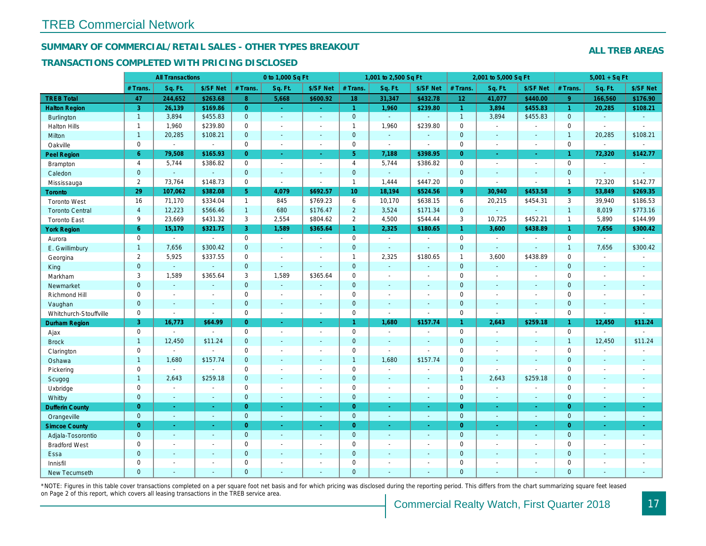## SUMMARY OF COMMERCIAL/RETAIL SALES - OTHER TYPES BREAKOUT

#### TRANSACTIONS COMPLETED WITH PRICING DISCLOSED

|                        |                | <b>All Transactions</b>  |                          |                | 0 to 1,000 Sq Ft |                          |                     | 1,001 to 2,500 Sq Ft     |                       |                 | 2,001 to 5,000 Sq Ft |                          |
|------------------------|----------------|--------------------------|--------------------------|----------------|------------------|--------------------------|---------------------|--------------------------|-----------------------|-----------------|----------------------|--------------------------|
|                        | # Trans        | Sq. Ft.                  | \$/SF Net                | # Trans.       | Sq. Ft.          | \$/SF Net                | # Trans.            | Sq. Ft.                  | \$/SF Net             | # Trans.        | Sq. Ft.              | \$/SF Ne                 |
| <b>TREB Total</b>      | 47             | 244,652                  | \$263.68                 | 8              | 5,668            | \$600.92                 | 18                  | 31,347                   | \$432.78              | 12 <sub>2</sub> | 41,077               | \$440.00                 |
| <b>Halton Region</b>   | 3              | 26,139                   | \$169.86                 | $\overline{0}$ | $\omega$         | $\sim$                   | $\overline{1}$      | 1,960                    | \$239.80              | $\mathbf{1}$    | 3,894                | \$455.83                 |
| <b>Burlington</b>      | $\overline{1}$ | 3,894                    | \$455.83                 | $\mathbf 0$    | $\omega$         | $\blacksquare$           | $\mathbf{0}$        | $\omega_{\rm c}$         | ä,                    | $\mathbf{1}$    | 3,894                | \$455.83                 |
| <b>Halton Hills</b>    | $\mathbf{1}$   | 1,960                    | \$239.80                 | $\mathbf 0$    | $\sim$           | $\blacksquare$           | $\mathbf{1}$        | 1,960                    | \$239.80              | $\mathbf 0$     | $\blacksquare$       | $\blacksquare$           |
| Milton                 | $\mathbf{1}$   | 20,285                   | \$108.21                 | $\mathbf{0}$   | $\mathbf{r}$     | $\sim$                   | $\mathbf{0}$        | $\Box$                   | $\blacksquare$        | $\mathbf{0}$    | $\omega$             | $\sim$                   |
| Oakville               | 0              | $\sim$                   | $\blacksquare$           | 0              | $\blacksquare$   | $\blacksquare$           | $\mathsf{O}\xspace$ | $\sim$                   | $\blacksquare$        | $\mathbf 0$     | $\blacksquare$       | $\blacksquare$           |
| Peel Region            | 6              | 79,508                   | \$165.93                 | $\overline{0}$ | $\blacksquare$   | $\omega$                 | 5 <sup>5</sup>      | 7,188                    | \$398.95              | $\overline{0}$  | $\omega$             | $\frac{1}{\sqrt{2}}$     |
| Brampton               | $\overline{4}$ | 5,744                    | \$386.82                 | $\mathbf 0$    | $\blacksquare$   | $\sim$                   | $\overline{4}$      | 5,744                    | \$386.82              | $\mathbf 0$     | $\blacksquare$       | $\sim$                   |
| Caledon                | $\mathbf{0}$   | $\sim$                   | $\blacksquare$           | $\mathbf 0$    | $\omega$         | $\blacksquare$           | $\overline{0}$      | $\omega_{\rm c}$         | $\blacksquare$        | $\mathbf 0$     | $\blacksquare$       | $\sim$                   |
| Mississauga            | $\overline{2}$ | 73,764                   | \$148.73                 | $\mathbf 0$    | $\mathbf{r}$     | $\blacksquare$           | $\mathbf{1}$        | 1,444                    | \$447.20              | $\mathbf 0$     | $\sim$               | $\blacksquare$           |
| Toronto                | 29             | 107,062                  | \$382.08                 | 5 <sub>5</sub> | 4,079            | \$692.57                 | 10 <sub>1</sub>     | 18,194                   | \$524.56              | $9^{\circ}$     | 30,940               | \$453.58                 |
| <b>Toronto West</b>    | 16             | 71,170                   | \$334.04                 | $\mathbf{1}$   | 845              | \$769.23                 | 6                   | 10,170                   | \$638.15              | 6               | 20,215               | \$454.3'                 |
| <b>Toronto Central</b> | $\overline{4}$ | 12,223                   | \$566.46                 | $\mathbf{1}$   | 680              | \$176.47                 | $\overline{2}$      | 3,524                    | \$171.34              | $\mathbf{0}$    | $\Delta$             | $\blacksquare$           |
| <b>Toronto East</b>    | 9              | 23,669                   | \$431.32                 | 3              | 2,554            | \$804.62                 | $\overline{2}$      | 4,500                    | \$544.44              | 3               | 10,725               | \$452.2                  |
| <b>York Region</b>     | 6              | 15,170                   | \$321.75                 | 3 <sup>1</sup> | 1,589            | \$365.64                 | $\overline{1}$      | 2,325                    | \$180.65              | $\mathbf{1}$    | 3,600                | \$438.89                 |
| Aurora                 | 0              | $\blacksquare$           | $\blacksquare$           | $\mathbf 0$    | $\sim$           | $\sim$                   | $\mathbf 0$         | $\blacksquare$           | $\sim$                | $\mathbf 0$     | $\blacksquare$       | $\sim$                   |
| E. Gwillimbury         | $\mathbf{1}$   | 7,656                    | \$300.42                 | $\mathbf{0}$   | $\sim$           | $\blacksquare$           | $\mathbf{0}$        | $\blacksquare$           | ä,                    | $\mathbf{0}$    | $\sim$               | $\blacksquare$           |
| Georgina               | $\overline{2}$ | 5,925                    | \$337.55                 | $\mathbf 0$    | $\blacksquare$   | $\sim$                   | $\mathbf{1}$        | 2,325                    | \$180.65              | $\mathbf{1}$    | 3,600                | \$438.89                 |
| King                   | $\mathbf{0}$   | $\blacksquare$           | $\sim$                   | $\mathbf 0$    | $\mathbf{r}$     | $\overline{\phantom{a}}$ | $\mathbf 0$         | $\sim$                   | $\overline{a}$        | $\mathbf{0}$    | $\sim$               | $\sim$                   |
| Markham                | 3              | 1,589                    | \$365.64                 | 3              | 1,589            | \$365.64                 | $\mathbf 0$         | $\overline{\phantom{a}}$ | $\overline{a}$        | $\mathbf 0$     | $\sim$               | $\blacksquare$           |
| Newmarket              | $\mathbf 0$    | $\omega$                 | $\sim$                   | $\mathbf 0$    | $\omega$         | $\sim$                   | $\mathbf 0$         | ÷,                       | $\blacksquare$        | $\mathbf{0}$    | $\blacksquare$       | $\blacksquare$           |
| Richmond Hill          | 0              | $\overline{\phantom{a}}$ | $\overline{\phantom{a}}$ | 0              | $\sim$           | $\overline{\phantom{a}}$ | $\mathsf 0$         | $\blacksquare$           | $\blacksquare$        | $\mathbf 0$     | $\blacksquare$       | $\blacksquare$           |
| Vaughan                | $\overline{0}$ | $\sim$                   | $\sim$                   | $\overline{0}$ | $\omega$         | $\sim$                   | $\mathbf{0}$        | $\blacksquare$           | $\blacksquare$        | $\mathbf{0}$    | $\Delta$             | $\sim$                   |
| Whitchurch-Stouffville | 0              | $\blacksquare$           | $\sim$                   | 0              | $\blacksquare$   | $\blacksquare$           | $\mathsf{O}\xspace$ | $\sim$                   | $\tilde{\phantom{a}}$ | $\mathbf 0$     | $\sim$               | $\blacksquare$           |
| Durham Region          | 3              | 16,773                   | \$64.99                  | $\overline{0}$ | $\blacksquare$   | $\omega$                 | $\mathbf{1}$        | 1,680                    | \$157.74              | $\mathbf{1}$    | 2,643                | \$259.18                 |
| Ajax                   | 0              | $\sim$                   | $\blacksquare$           | $\mathsf 0$    | $\blacksquare$   | $\blacksquare$           | $\mathsf{O}\xspace$ | $\blacksquare$           | $\blacksquare$        | $\mathbf 0$     | $\blacksquare$       | $\overline{\phantom{a}}$ |
| <b>Brock</b>           | $\mathbf{1}$   | 12,450                   | \$11.24                  | $\mathbf{0}$   | $\blacksquare$   | $\blacksquare$           | $\mathbf{0}$        | $\blacksquare$           | $\blacksquare$        | $\mathbf 0$     | $\blacksquare$       | $\blacksquare$           |
| Clarington             | 0              | $\sim$                   | $\sim$                   | $\mathbf 0$    | $\blacksquare$   | $\blacksquare$           | $\mathbf 0$         | ä,                       | $\blacksquare$        | $\mathbf 0$     | $\sim$               | $\blacksquare$           |
| Oshawa                 | $\mathbf{1}$   | 1,680                    | \$157.74                 | $\mathbf 0$    | $\blacksquare$   | $\blacksquare$           | $\mathbf{1}$        | 1,680                    | \$157.74              | $\mathbf{0}$    | $\blacksquare$       | $\blacksquare$           |
| Pickering              | 0              | $\sim$                   | $\sim$                   | 0              | $\sim$           | $\sim$                   | $\mathbf 0$         | $\blacksquare$           | $\ddot{\phantom{1}}$  | $\mathbf 0$     | $\overline{a}$       | $\blacksquare$           |
| Scugog                 | $\overline{1}$ | 2,643                    | \$259.18                 | $\overline{0}$ | $\sim$           | $\sim$                   | $\pmb{0}$           | $\blacksquare$           | $\blacksquare$        | $\overline{1}$  | 2,643                | \$259.18                 |
| Uxbridge               | 0              | $\blacksquare$           | $\blacksquare$           | $\mathbf 0$    | $\blacksquare$   | $\blacksquare$           | $\mathbf 0$         | $\blacksquare$           | $\blacksquare$        | $\mathbf 0$     | $\blacksquare$       | $\blacksquare$           |
| Whitby                 | $\mathbf{0}$   | $\sim$                   | $\sim$                   | $\mathbf{0}$   | $\mathbf{r}$     | $\blacksquare$           | $\mathbf{0}$        | $\blacksquare$           | $\blacksquare$        | $\mathbf{0}$    | $\sim$               | $\sim$                   |
| <b>Dufferin County</b> | $\overline{0}$ | $\omega$                 | $\sim$                   | $\overline{0}$ | $\omega$         | $\sim$                   | $\overline{0}$      | $\omega$                 | ÷.                    | $\overline{0}$  | $\omega$             | $\omega$                 |
| Orangeville            | $\mathbf{0}$   | $\omega$                 | $\sim$                   | $\mathbf{0}$   | $\omega$         | $\sim$                   | $\mathbf{0}$        | $\omega$                 | $\blacksquare$        | $\mathbf{0}$    | $\omega$             | $\sim$                   |
| <b>Simcoe County</b>   | $\overline{0}$ | $\sim$                   | $\sim$                   | $\overline{0}$ | $\omega$         | $\blacksquare$           | $\overline{0}$      | $\blacksquare$           | $\omega$              | $\overline{0}$  | $\omega$             | $\sigma_{\rm c}$         |
| Adjala-Tosorontio      | $\mathbf{0}$   | $\blacksquare$           | $\sim$                   | $\mathbf{0}$   | $\sim$           | $\blacksquare$           | $\mathbf 0$         | $\blacksquare$           | $\blacksquare$        | $\mathbf{0}$    | $\blacksquare$       | $\sim$                   |
| <b>Bradford West</b>   | 0              | $\blacksquare$           | $\overline{\phantom{a}}$ | $\mathbf 0$    | $\blacksquare$   | $\blacksquare$           | $\mathbf 0$         | $\blacksquare$           | $\blacksquare$        | $\mathbf 0$     | $\blacksquare$       | $\blacksquare$           |
| Essa                   | $\mathbf{0}$   | $\sim$                   | $\sim$                   | $\mathbf 0$    | $\sim$           | $\blacksquare$           | $\mathbf 0$         | $\blacksquare$           | $\blacksquare$        | $\mathbf{0}$    | $\sim$               | $\blacksquare$           |
| Innisfil               | 0              | $\sim$                   | $\overline{\phantom{a}}$ | $\mathbf 0$    | $\sim$           | $\overline{\phantom{a}}$ | $\mathbf 0$         | $\blacksquare$           | $\blacksquare$        | $\mathbf 0$     | $\blacksquare$       | $\blacksquare$           |
| <b>New Tecumseth</b>   | $\Omega$       | $\sim$                   |                          | $\mathbf{0}$   | $\overline{a}$   | $\overline{\phantom{a}}$ | $\mathbf{0}$        | $\blacksquare$           | $\overline{a}$        | $\mathbf{0}$    | $\sim$               | $\sim$                   |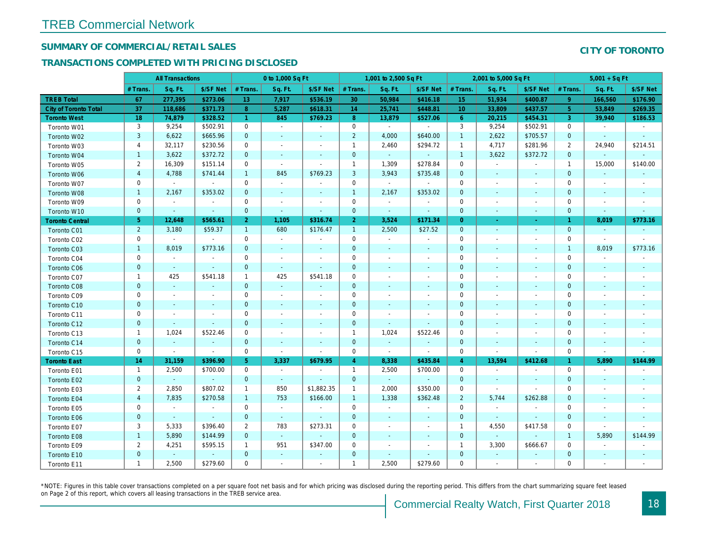## SUMMARY OF COMMERCIAL/RETAIL SALES

## TRANSACTIONS COMPLETED WITH PRICING DISCLOSED

|                              |                | <b>All Transactions</b> |                          |                      | 0 to 1,000 Sq Ft |                          |                | 1,001 to 2,500 Sq Ft     |                          |                  | 2,001 to 5,000 Sq Ft     |                          |
|------------------------------|----------------|-------------------------|--------------------------|----------------------|------------------|--------------------------|----------------|--------------------------|--------------------------|------------------|--------------------------|--------------------------|
|                              | # Trans        | Sq. Ft.                 | \$/SF Net                | # Trans.             | Sq. Ft.          | \$/SF Net                | # Trans.       | Sq. Ft.                  | \$/SF Net                | # Trans.         | Sq. Ft.                  | \$/SF Ne                 |
| <b>TREB Total</b>            | 67             | 277,395                 | \$273.06                 | 13                   | 7,917            | \$536.19                 | 30             | 50,984                   | \$416.18                 | 15 <sub>15</sub> | 51,934                   | \$400.87                 |
| <b>City of Toronto Total</b> | 37             | 118,686                 | \$371.73                 | 8                    | 5,287            | \$618.31                 | 14             | 25,741                   | \$448.81                 | 10               | 33,809                   | \$437.57                 |
| <b>Toronto West</b>          | 18             | 74,879                  | \$328.52                 | $\blacktriangleleft$ | 845              | \$769.23                 | 8 <sup>°</sup> | 13,879                   | \$527.06                 | 6                | 20,215                   | \$454.3'                 |
| Toronto W01                  | 3              | 9,254                   | \$502.91                 | 0                    | $\sim$           | $\blacksquare$           | $\mathbf 0$    | $\blacksquare$           | $\blacksquare$           | 3                | 9,254                    | \$502.9                  |
| Toronto W02                  | 3              | 6,622                   | \$665.96                 | $\mathbf{0}$         | $\blacksquare$   | $\blacksquare$           | $\overline{2}$ | 4,000                    | \$640.00                 | $\mathbf{1}$     | 2,622                    | \$705.57                 |
| Toronto W03                  | $\overline{4}$ | 32,117                  | \$230.56                 | $\mathbf 0$          | $\blacksquare$   | $\blacksquare$           | $\mathbf{1}$   | 2,460                    | \$294.72                 | $\mathbf{1}$     | 4,717                    | \$281.96                 |
| Toronto W04                  | $\mathbf{1}$   | 3,622                   | \$372.72                 | $\mathbf{0}$         | $\blacksquare$   | $\blacksquare$           | $\mathbf 0$    | $\omega$                 | $\blacksquare$           | $\overline{1}$   | 3,622                    | \$372.72                 |
| Toronto W05                  | $\overline{2}$ | 16,309                  | \$151.14                 | 0                    | $\sim$           | $\blacksquare$           | $\mathbf{1}$   | 1,309                    | \$278.84                 | 0                | $\blacksquare$           | $\blacksquare$           |
| Toronto W06                  | $\overline{4}$ | 4,788                   | \$741.44                 | $\mathbf{1}$         | 845              | \$769.23                 | 3              | 3,943                    | \$735.48                 | $\mathbf{0}$     | $\sim$                   | $\blacksquare$           |
| Toronto W07                  | 0              | $\sim$                  | $\sim$                   | $\mathbf 0$          | $\sim$           | $\blacksquare$           | $\mathbf 0$    | $\blacksquare$           | $\sim$                   | $\mathbf 0$      | $\blacksquare$           | $\blacksquare$           |
| Toronto W08                  | $\mathbf{1}$   | 2,167                   | \$353.02                 | $\mathbf 0$          | $\sim$           | $\blacksquare$           | $\mathbf{1}$   | 2,167                    | \$353.02                 | $\mathbf 0$      | $\blacksquare$           | $\overline{\phantom{a}}$ |
| Toronto W09                  | $\mathbf 0$    | $\blacksquare$          | $\blacksquare$           | 0                    | $\blacksquare$   | $\overline{\phantom{a}}$ | $\mathbf 0$    | $\blacksquare$           | $\blacksquare$           | $\mathbf 0$      | $\overline{\phantom{a}}$ | $\overline{\phantom{a}}$ |
| Toronto W10                  | $\mathbf{0}$   | $\blacksquare$          | $\sim$                   | $\mathbf 0$          | $\omega$         | $\blacksquare$           | $\mathbf 0$    | $\blacksquare$           | $\blacksquare$           | $\mathbf{0}$     | $\blacksquare$           | $\blacksquare$           |
| <b>Toronto Central</b>       | $\sqrt{5}$     | 12,648                  | \$565.61                 | 2 <sup>1</sup>       | 1,105            | \$316.74                 | 2 <sup>1</sup> | 3,524                    | \$171.34                 | $\overline{0}$   | $\sim$                   | $\sim$                   |
| Toronto C01                  | $\overline{2}$ | 3,180                   | \$59.37                  | $\mathbf{1}$         | 680              | \$176.47                 | $\mathbf{1}$   | 2,500                    | \$27.52                  | $\mathbf{0}$     | $\blacksquare$           | $\blacksquare$           |
| Toronto C02                  | $\mathbf 0$    | $\sim$                  | $\sim$                   | 0                    | $\sim$           | $\blacksquare$           | $\mathbf 0$    | $\blacksquare$           | $\blacksquare$           | $\mathbf 0$      | $\sim$                   | $\blacksquare$           |
| Toronto C03                  | $\mathbf{1}$   | 8,019                   | \$773.16                 | $\mathbf{0}$         | $\blacksquare$   | $\blacksquare$           | $\mathbf 0$    | $\blacksquare$           | $\blacksquare$           | $\mathbf{0}$     | $\blacksquare$           |                          |
| Toronto C04                  | 0              | $\blacksquare$          | $\overline{\phantom{a}}$ | $\mathbf 0$          | $\blacksquare$   | $\overline{\phantom{a}}$ | $\mathbf 0$    | $\overline{\phantom{a}}$ | $\overline{\phantom{a}}$ | $\mathbf 0$      | ÷,                       |                          |
| Toronto C06                  | $\mathbf 0$    | $\blacksquare$          | $\blacksquare$           | $\mathbf 0$          | $\omega$         | $\blacksquare$           | $\mathbf 0$    | $\blacksquare$           | $\blacksquare$           | $\mathbf 0$      | $\blacksquare$           | $\blacksquare$           |
| Toronto C07                  | $\mathbf{1}$   | 425                     | \$541.18                 | $\mathbf{1}$         | 425              | \$541.18                 | $\mathbf 0$    | $\sim$                   | $\sim$                   | $\mathbf 0$      | $\blacksquare$           | $\blacksquare$           |
| Toronto C08                  | $\mathbf{0}$   | $\omega$                | $\sim$                   | $\overline{0}$       | $\omega$         | $\blacksquare$           | $\mathbf 0$    | ٠                        | $\blacksquare$           | $\mathbf{0}$     | $\blacksquare$           | $\blacksquare$           |
| Toronto C09                  | 0              | $\blacksquare$          | $\overline{\phantom{a}}$ | 0                    | $\blacksquare$   | $\blacksquare$           | $\mathbf 0$    | $\blacksquare$           | $\sim$                   | 0                | $\blacksquare$           | $\blacksquare$           |
| Toronto C10                  | $\mathbf{0}$   | $\sim$                  | $\sim$                   | $\mathbf{0}$         | $\sim$           | $\sim$                   | $\mathbf{0}$   | $\sim$                   | $\sim$                   | $\mathbf{0}$     | $\sim$                   | $\sim$                   |
| Toronto C11                  | 0              | $\blacksquare$          | $\overline{\phantom{a}}$ | $\mathbf 0$          | $\sim$           | $\blacksquare$           | $\mathbf 0$    | $\blacksquare$           | $\blacksquare$           | $\mathbf 0$      | $\blacksquare$           | $\overline{\phantom{a}}$ |
| Toronto C12                  | $\mathbf{0}$   | $\blacksquare$          | $\sim$                   | $\mathbf{0}$         | $\blacksquare$   | $\blacksquare$           | $\mathbf 0$    | $\blacksquare$           | $\blacksquare$           | $\mathbf 0$      | $\blacksquare$           | $\blacksquare$           |
| Toronto C13                  | $\mathbf 1$    | 1,024                   | \$522.46                 | 0                    | $\sim$           | $\blacksquare$           | $\mathbf{1}$   | 1,024                    | \$522.46                 | 0                | $\overline{\phantom{a}}$ | $\overline{\phantom{a}}$ |
| Toronto C14                  | $\mathbf{0}$   | $\sim$                  | $\sim$                   | $\mathbf{0}$         | $\sim$           | $\sim$                   | $\mathbf 0$    | $\sim$                   | $\omega$                 | $\mathbf{0}$     | $\sim$                   | $\sim$                   |
| Toronto C15                  | $\mathbf 0$    | $\blacksquare$          | $\blacksquare$           | $\mathbf 0$          | $\blacksquare$   | $\blacksquare$           | $\mathbf 0$    | $\omega$                 | $\sim$                   | $\mathbf 0$      | $\overline{\phantom{a}}$ | $\blacksquare$           |
| <b>Toronto East</b>          | 14             | 31,159                  | \$396.90                 | 5 <sup>5</sup>       | 3,337            | \$679.95                 | $\overline{4}$ | 8,338                    | \$435.84                 | $\overline{4}$   | 13,594                   | \$412.68                 |
| Toronto E01                  | $\mathbf{1}$   | 2,500                   | \$700.00                 | 0                    | $\sim$           | $\overline{\phantom{a}}$ | $\mathbf{1}$   | 2,500                    | \$700.00                 | $\mathbf 0$      | $\blacksquare$           | $\sim$                   |
| Toronto E02                  | $\mathbf{0}$   | $\sim$                  | $\sim$                   | $\mathbf{0}$         | $\sim$           | ٠                        | $\mathbf 0$    | $\sim$                   | $\sim$                   | $\mathbf{0}$     | $\blacksquare$           | $\blacksquare$           |
| Toronto E03                  | $\overline{2}$ | 2,850                   | \$807.02                 | $\mathbf{1}$         | 850              | \$1,882.35               | $\mathbf{1}$   | 2,000                    | \$350.00                 | $\mathbf 0$      | $\omega$                 | $\blacksquare$           |
| Toronto E04                  | $\overline{4}$ | 7,835                   | \$270.58                 | $\mathbf{1}$         | 753              | \$166.00                 | $\mathbf{1}$   | 1,338                    | \$362.48                 | $\overline{2}$   | 5,744                    | \$262.88                 |
| Toronto E05                  | 0              | $\sim$                  | $\sim$                   | $\mathbf 0$          | $\sim$           | $\blacksquare$           | $\mathbf 0$    | $\blacksquare$           | $\blacksquare$           | $\mathbf 0$      | $\blacksquare$           | $\sim$                   |
| Toronto E06                  | $\mathbf{0}$   | $\sim$                  | $\sim$                   | $\mathbf 0$          | $\sim$           | $\blacksquare$           | $\mathbf 0$    | $\sim$                   | $\sim$                   | $\mathbf 0$      | $\sim$                   |                          |
| Toronto E07                  | 3              | 5,333                   | \$396.40                 | $\overline{2}$       | 783              | \$273.31                 | 0              | $\blacksquare$           | $\blacksquare$           | $\overline{1}$   | 4,550                    | \$417.58                 |
| Toronto E08                  | $\mathbf{1}$   | 5,890                   | \$144.99                 | $\mathbf{0}$         | $\sim$           | $\omega$                 | $\mathbf{0}$   | $\sim$                   | $\sim$                   | $\mathbf{0}$     | $\omega$                 | $\sim$                   |
| Toronto E09                  | $\overline{2}$ | 4,251                   | \$595.15                 | $\mathbf{1}$         | 951              | \$347.00                 | $\mathbf 0$    | $\sim$                   | $\blacksquare$           | $\overline{1}$   | 3,300                    | \$666.67                 |
| Toronto E10                  | $\mathbf{0}$   | $\sim$                  | $\sim$                   | $\mathbf 0$          | $\sim$           | $\blacksquare$           | $\mathbf 0$    | $\blacksquare$           | ٠                        | $\mathbf 0$      | $\blacksquare$           |                          |
| Toronto E11                  | $\mathbf{1}$   | 2,500                   | \$279.60                 | 0                    | $\blacksquare$   | $\sim$                   | $\mathbf{1}$   | 2,500                    | \$279.60                 | 0                | $\blacksquare$           | $\overline{\phantom{a}}$ |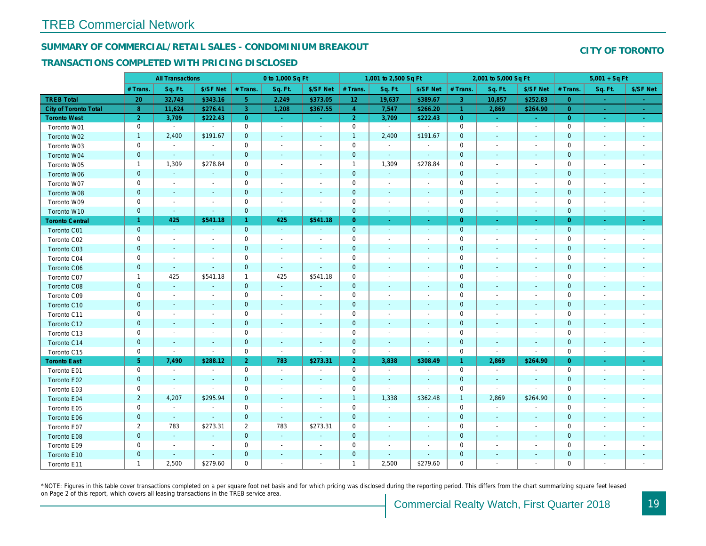## SUMMARY OF COMMERCIAL/RETAIL SALES - CONDOMINIUM BREAKOUT

#### TRANSACTIONS COMPLETED WITH PRICING DISCLOSED

|                              |                | <b>All Transactions</b>  |                          |                | 0 to 1,000 Sq Ft         |                          |                     | 1,001 to 2,500 Sq Ft     |                          |                      | 2,001 to 5,000 Sq Ft     |                          |
|------------------------------|----------------|--------------------------|--------------------------|----------------|--------------------------|--------------------------|---------------------|--------------------------|--------------------------|----------------------|--------------------------|--------------------------|
|                              | # Trans        | Sq. Ft.                  | \$/SF Net                | # Trans.       | Sq. Ft.                  | \$/SF Net                | # Trans.            | Sq. Ft.                  | \$/SF Net                | # Trans.             | Sq. Ft.                  | \$/SF Ne                 |
| <b>TREB Total</b>            | 20             | 32,743                   | \$343.16                 | 5 <sub>5</sub> | 2,249                    | \$373.05                 | 12                  | 19,637                   | \$389.67                 | 3                    | 10,857                   | \$252.83                 |
| <b>City of Toronto Total</b> | 8              | 11,624                   | \$276.41                 | 3              | 1,208                    | \$367.55                 | $\overline{4}$      | 7,547                    | \$266.20                 | $\blacktriangleleft$ | 2,869                    | \$264.90                 |
| <b>Toronto West</b>          | $\overline{2}$ | 3,709                    | \$222.43                 | $\overline{0}$ | $\sim$ .                 | $\omega_{\rm{eff}}$      | 2 <sup>1</sup>      | 3,709                    | \$222.43                 | $\overline{0}$       | $\omega$                 | $\sim$                   |
| Toronto W01                  | 0              | $\blacksquare$           | $\blacksquare$           | 0              | $\sim$                   | $\blacksquare$           | $\mathsf{O}\xspace$ | $\blacksquare$           | $\blacksquare$           | $\mathbf 0$          | $\blacksquare$           | $\sim$                   |
| Toronto W02                  | $\mathbf{1}$   | 2,400                    | \$191.67                 | $\mathbf 0$    | $\blacksquare$           | $\frac{1}{2}$            | $\mathbf{1}$        | 2,400                    | \$191.67                 | $\mathbf 0$          | $\blacksquare$           | $\blacksquare$           |
| Toronto W03                  | 0              | $\sim$                   | $\blacksquare$           | $\mathbf 0$    | $\sim$                   | $\sim$                   | $\mathbf 0$         | $\blacksquare$           | $\blacksquare$           | $\mathbf 0$          | $\blacksquare$           | $\blacksquare$           |
| Toronto W04                  | $\mathbf 0$    | $\sim$                   | $\sim$                   | $\mathbf 0$    | $\sim$                   | $\blacksquare$           | $\mathbf 0$         | $\omega$                 | $\blacksquare$           | $\mathbf{0}$         | $\blacksquare$           | $\blacksquare$           |
| Toronto W05                  | $\mathbf{1}$   | 1,309                    | \$278.84                 | 0              | $\blacksquare$           | $\blacksquare$           | $\mathbf{1}$        | 1,309                    | \$278.84                 | 0                    | $\blacksquare$           | $\blacksquare$           |
| Toronto W06                  | $\mathbf 0$    | $\blacksquare$           | $\overline{\phantom{a}}$ | $\pmb{0}$      | $\blacksquare$           | $\blacksquare$           | $\mathbf 0$         | $\sim$                   | $\blacksquare$           | $\mathbf 0$          | $\blacksquare$           | ۰                        |
| Toronto W07                  | 0              | $\sim$                   | $\sim$                   | $\mathbf 0$    | $\blacksquare$           | $\sim$                   | $\mathsf 0$         | $\blacksquare$           | $\blacksquare$           | $\mathbf 0$          | $\blacksquare$           | $\overline{\phantom{a}}$ |
| Toronto W08                  | $\mathbf 0$    | $\sim$                   | $\sim$                   | $\mathbf 0$    | $\sim$                   | $\sim$                   | $\pmb{0}$           | $\blacksquare$           | $\blacksquare$           | $\mathbf 0$          | $\blacksquare$           | $\blacksquare$           |
| Toronto W09                  | 0              | $\overline{\phantom{a}}$ | $\overline{\phantom{a}}$ | $\mathbf 0$    | $\blacksquare$           | $\blacksquare$           | $\mathsf{O}\xspace$ | $\ddot{\phantom{0}}$     | $\blacksquare$           | $\mathbf 0$          | $\blacksquare$           | $\blacksquare$           |
| Toronto W10                  | $\mathbf 0$    | $\blacksquare$           | $\sim$                   | $\mathbf 0$    | $\sim$                   | $\blacksquare$           | $\mathbf 0$         | $\blacksquare$           | $\blacksquare$           | $\mathbf 0$          | $\blacksquare$           | ٠                        |
| <b>Toronto Central</b>       | $\mathbf{1}$   | 425                      | \$541.18                 | $\mathbf{1}$   | 425                      | \$541.18                 | $\overline{0}$      | $\omega$                 | $\blacksquare$           | $\overline{0}$       | $\sim$                   | $\sim$                   |
| Toronto C01                  | $\mathbf 0$    | $\omega$                 | $\sim$                   | $\mathbf{0}$   | $\omega$                 | $\blacksquare$           | $\overline{0}$      | $\omega$                 | $\sim$                   | $\mathbf 0$          | $\omega$                 | $\sim$                   |
| Toronto C02                  | 0              | $\overline{\phantom{a}}$ | $\overline{\phantom{a}}$ | $\mathbf 0$    | $\sim$                   | $\overline{\phantom{a}}$ | $\mathbf 0$         | $\blacksquare$           | $\blacksquare$           | $\mathbf 0$          | $\blacksquare$           | $\blacksquare$           |
| Toronto C03                  | $\mathbf 0$    | $\overline{\phantom{a}}$ | $\overline{\phantom{a}}$ | $\mathbf 0$    | $\blacksquare$           | $\blacksquare$           | $\mathbf 0$         | $\blacksquare$           | $\blacksquare$           | $\mathbf 0$          | $\blacksquare$           | ٠                        |
| Toronto C04                  | 0              | $\overline{\phantom{a}}$ |                          | $\mathsf 0$    | $\sim$                   |                          | $\mathbf 0$         | $\overline{a}$           | ä,                       | $\mathbf 0$          | ÷,                       | $\blacksquare$           |
| Toronto C06                  | $\mathbf 0$    | $\sim$                   | $\omega$                 | $\mathbf 0$    | $\omega$                 | $\blacksquare$           | $\mathbf 0$         | $\blacksquare$           | $\blacksquare$           | $\mathbf 0$          | $\blacksquare$           | $\blacksquare$           |
| Toronto C07                  | $\mathbf{1}$   | 425                      | \$541.18                 | $\mathbf{1}$   | 425                      | \$541.18                 | $\mathbf 0$         | $\overline{a}$           | $\overline{a}$           | $\mathbf 0$          | ÷,                       | $\blacksquare$           |
| Toronto C08                  | $\mathbf{0}$   | $\blacksquare$           | $\blacksquare$           | $\mathbf{0}$   | $\blacksquare$           | $\blacksquare$           | $\mathbf{0}$        | $\overline{\phantom{a}}$ | $\overline{\phantom{a}}$ | $\mathbf{0}$         | $\blacksquare$           | ٠                        |
| Toronto C09                  | 0              | $\blacksquare$           | $\sim$                   | $\mathsf 0$    | $\blacksquare$           | $\blacksquare$           | $\mathbf 0$         | $\blacksquare$           | $\blacksquare$           | $\mathbf 0$          | ÷,                       | $\blacksquare$           |
| Toronto C10                  | $\mathbf 0$    | $\sim$                   | $\blacksquare$           | $\mathbf 0$    | $\blacksquare$           | $\blacksquare$           | $\mathbf 0$         | $\blacksquare$           | $\blacksquare$           | $\mathbf 0$          | $\blacksquare$           | $\blacksquare$           |
| Toronto C11                  | 0              | $\overline{\phantom{a}}$ | $\overline{\phantom{a}}$ | $\mathbf 0$    | $\blacksquare$           | $\overline{\phantom{a}}$ | $\mathbf 0$         | $\overline{a}$           | $\overline{a}$           | $\mathbf 0$          | $\overline{\phantom{a}}$ | $\blacksquare$           |
| Toronto C12                  | $\mathbf 0$    | $\sim$                   | $\sim$                   | $\mathbf{0}$   | $\blacksquare$           | $\blacksquare$           | $\mathbf 0$         | $\blacksquare$           | $\blacksquare$           | $\mathbf 0$          | $\sim$                   | $\sim$                   |
| Toronto C13                  | 0              | $\overline{\phantom{a}}$ | $\overline{\phantom{a}}$ | $\mathbf 0$    | $\sim$                   | $\overline{\phantom{a}}$ | $\mathbf 0$         | $\sim$                   | $\blacksquare$           | $\mathbf 0$          | $\sim$                   | $\blacksquare$           |
| Toronto C14                  | $\mathbf 0$    | $\sim$                   | $\sim$                   | $\mathbf 0$    | $\sim$                   | $\sim$                   | $\mathbf 0$         | $\blacksquare$           | $\sim$                   | $\mathbf 0$          | $\blacksquare$           | $\sim$                   |
| Toronto C15                  | 0              | $\blacksquare$           | $\blacksquare$           | $\mathsf 0$    | $\omega$                 | $\blacksquare$           | $\mathsf{O}\xspace$ | $\blacksquare$           | $\sim$                   | $\mathbf 0$          | $\blacksquare$           | $\blacksquare$           |
| <b>Toronto East</b>          | 5 <sup>5</sup> | 7,490                    | \$288.12                 | 2 <sup>1</sup> | 783                      | \$273.31                 | 2 <sup>1</sup>      | 3,838                    | \$308.49                 | $\mathbf{1}$         | 2,869                    | \$264.90                 |
| Toronto E01                  | 0              | $\sim$                   | $\blacksquare$           | $\mathbf 0$    | $\sim$                   | $\overline{\phantom{a}}$ | $\mathbf 0$         | $\sim$                   | $\blacksquare$           | $\mathbf 0$          | $\blacksquare$           | $\sim$                   |
| Toronto E02                  | $\mathbf 0$    | $\sim$                   | $\sim$                   | $\mathbf 0$    | $\sim$                   | $\blacksquare$           | $\mathbf 0$         | $\blacksquare$           | $\sim$                   | $\mathbf{0}$         | $\blacksquare$           | $\sim$                   |
| Toronto E03                  | 0              | $\blacksquare$           | $\sim$                   | 0              | $\overline{\phantom{a}}$ | $\overline{\phantom{a}}$ | $\mathbf 0$         | $\overline{\phantom{a}}$ | $\blacksquare$           | 0                    | $\blacksquare$           | $\blacksquare$           |
| Toronto E04                  | $\overline{2}$ | 4,207                    | \$295.94                 | $\mathbf{0}$   | $\sim$                   | $\sim$                   | $\overline{1}$      | 1,338                    | \$362.48                 | $\overline{1}$       | 2,869                    | \$264.90                 |
| Toronto E05                  | 0              | $\blacksquare$           | $\blacksquare$           | $\mathbf 0$    | $\blacksquare$           | $\overline{\phantom{a}}$ | $\mathbf 0$         | $\sim$                   | $\blacksquare$           | $\mathbf 0$          | $\blacksquare$           | $\blacksquare$           |
| Toronto E06                  | $\mathbf 0$    | $\blacksquare$           | $\sim$                   | $\mathbf 0$    | $\sim$                   | $\blacksquare$           | $\mathbf 0$         | $\blacksquare$           | $\overline{\phantom{a}}$ | $\mathbf{0}$         | $\blacksquare$           | $\blacksquare$           |
| Toronto E07                  | $\overline{2}$ | 783                      | \$273.31                 | $\overline{2}$ | 783                      | \$273.31                 | $\mathbf 0$         | $\blacksquare$           | $\blacksquare$           | 0                    | $\blacksquare$           | $\blacksquare$           |
| Toronto E08                  | $\mathbf 0$    | $\omega$                 | $\sim$                   | $\mathbf 0$    | $\blacksquare$           | $\blacksquare$           | $\mathbf 0$         | $\blacksquare$           | $\blacksquare$           | $\mathbf 0$          | $\sim$                   | $\blacksquare$           |
| Toronto E09                  | 0              | $\sim$                   | $\blacksquare$           | $\mathbf 0$    | $\sim$                   | $\blacksquare$           | $\mathbf 0$         | $\overline{a}$           | $\blacksquare$           | $\mathbf 0$          | $\blacksquare$           | $\blacksquare$           |
| Toronto E10                  | $\mathbf 0$    | $\sim$                   | $\sim$                   | $\mathbf 0$    | $\blacksquare$           | $\blacksquare$           | $\pmb{0}$           | $\blacksquare$           | $\blacksquare$           | $\mathbf 0$          | $\blacksquare$           |                          |
| Toronto E11                  | $\mathbf{1}$   | 2,500                    | \$279.60                 | $\mathbf 0$    | $\blacksquare$           | $\blacksquare$           | $\mathbf{1}$        | 2,500                    | \$279.60                 | $\mathbf 0$          | $\blacksquare$           | $\blacksquare$           |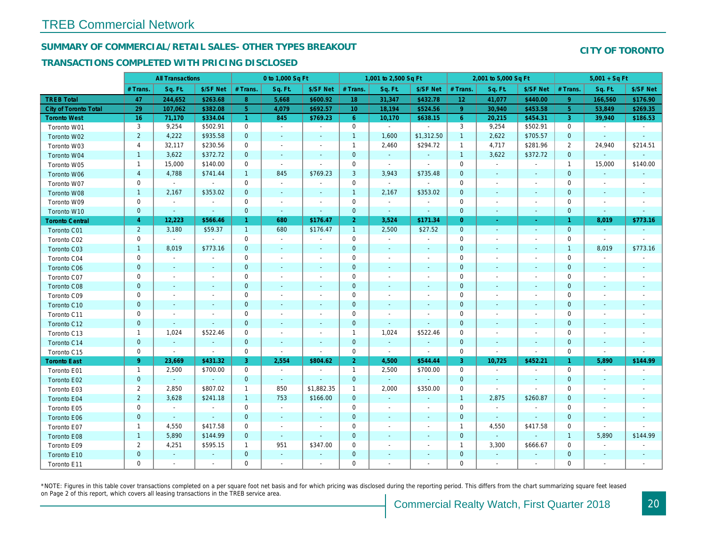## SUMMARY OF COMMERCIAL/RETAIL SALES- OTHER TYPES BREAKOUT

#### TRANSACTIONS COMPLETED WITH PRICING DISCLOSED

|                        |                | <b>All Transactions</b> |                          |                | 0 to 1,000 Sq Ft         |                          |                 | 1,001 to 2,500 Sq Ft     |                          |                 | 2,001 to 5,000 Sq Ft     |                          |
|------------------------|----------------|-------------------------|--------------------------|----------------|--------------------------|--------------------------|-----------------|--------------------------|--------------------------|-----------------|--------------------------|--------------------------|
|                        | # Trans.       | Sq. Ft.                 | \$/SF Net                | # Trans.       | Sq. Ft.                  | \$/SF Net                | # Trans.        | Sq. Ft.                  | \$/SF Net                | # Trans.        | Sq. Ft.                  | \$/SF Ne                 |
| <b>TREB Total</b>      | 47             | 244,652                 | \$263.68                 | 8              | 5,668                    | \$600.92                 | 18              | 31,347                   | \$432.78                 | 12 <sub>2</sub> | 41,077                   | \$440.00                 |
| City of Toronto Total  | 29             | 107,062                 | \$382.08                 | 5 <sup>5</sup> | 4,079                    | \$692.57                 | 10 <sup>°</sup> | 18,194                   | \$524.56                 | $\overline{9}$  | 30,940                   | \$453.58                 |
| <b>Toronto West</b>    | 16             | 71,170                  | \$334.04                 | $\mathbf{1}$   | 845                      | \$769.23                 | $6^{\circ}$     | 10,170                   | \$638.15                 | 6               | 20,215                   | \$454.3                  |
| Toronto W01            | 3              | 9,254                   | \$502.91                 | $\mathbf 0$    | $\sim$                   | $\omega$                 | $\mathbf 0$     | $\blacksquare$           | $\blacksquare$           | 3               | 9,254                    | \$502.9                  |
| Toronto W02            | $\overline{2}$ | 4,222                   | \$935.58                 | $\mathbf 0$    | $\blacksquare$           | $\blacksquare$           | $\mathbf{1}$    | 1,600                    | \$1,312.50               | $\mathbf{1}$    | 2,622                    | \$705.57                 |
| Toronto W03            | 4              | 32,117                  | \$230.56                 | 0              | $\blacksquare$           | $\blacksquare$           | $\mathbf{1}$    | 2,460                    | \$294.72                 | $\overline{1}$  | 4,717                    | \$281.96                 |
| Toronto W04            | $\mathbf{1}$   | 3,622                   | \$372.72                 | $\mathbf 0$    | $\sim$                   | $\blacksquare$           | $\mathbf 0$     | $\blacksquare$           | $\omega$                 | $\overline{1}$  | 3,622                    | \$372.72                 |
| Toronto W05            | $\mathbf{1}$   | 15,000                  | \$140.00                 | $\mathbf 0$    | $\mathbf{r}$             | $\blacksquare$           | $\mathbf 0$     | $\blacksquare$           | $\sim$                   | $\mathbf 0$     | $\blacksquare$           | $\blacksquare$           |
| Toronto W06            | $\overline{4}$ | 4,788                   | \$741.44                 | $\mathbf{1}$   | 845                      | \$769.23                 | 3               | 3,943                    | \$735.48                 | $\mathbf{0}$    | $\blacksquare$           | $\blacksquare$           |
| Toronto W07            | 0              | $\mathbf{r}$            | $\sim$                   | $\mathbf 0$    | $\blacksquare$           | $\blacksquare$           | $\mathbf 0$     | $\sim$                   | $\blacksquare$           | $\mathbf 0$     | $\blacksquare$           | $\overline{\phantom{a}}$ |
| Toronto W08            | $\mathbf{1}$   | 2,167                   | \$353.02                 | $\mathbf 0$    | $\blacksquare$           | $\blacksquare$           | $\mathbf{1}$    | 2,167                    | \$353.02                 | $\mathbf 0$     | $\blacksquare$           | $\blacksquare$           |
| Toronto W09            | $\mathbf 0$    | $\blacksquare$          | $\overline{\phantom{a}}$ | 0              | $\overline{\phantom{a}}$ | $\overline{\phantom{a}}$ | $\mathbf 0$     | $\blacksquare$           | $\overline{\phantom{a}}$ | $\mathbf 0$     | $\overline{\phantom{a}}$ | $\overline{\phantom{a}}$ |
| Toronto W10            | $\mathbf{0}$   | $\sim$                  | $\sim$                   | $\mathbf 0$    | $\omega$                 | $\blacksquare$           | $\mathbf 0$     | $\blacksquare$           | $\blacksquare$           | $\mathbf{0}$    | $\blacksquare$           | $\blacksquare$           |
| <b>Toronto Central</b> | $\overline{4}$ | 12,223                  | \$566.46                 | $\mathbf{1}$   | 680                      | \$176.47                 | 2 <sup>1</sup>  | 3,524                    | \$171.34                 | $\overline{0}$  | ÷.                       | $\omega$                 |
| Toronto C01            | $\overline{2}$ | 3,180                   | \$59.37                  | $\mathbf{1}$   | 680                      | \$176.47                 | $\mathbf{1}$    | 2,500                    | \$27.52                  | $\mathbf{0}$    | $\blacksquare$           | $\sim$                   |
| Toronto C02            | 0              | $\sim$                  | $\blacksquare$           | 0              | $\blacksquare$           | $\overline{\phantom{a}}$ | $\mathbf 0$     | $\overline{\phantom{a}}$ | $\blacksquare$           | $\mathbf 0$     | ÷,                       | $\overline{\phantom{a}}$ |
| Toronto C03            | $\mathbf{1}$   | 8,019                   | \$773.16                 | $\mathbf{0}$   | $\blacksquare$           | $\blacksquare$           | $\mathbf{0}$    | $\blacksquare$           | $\blacksquare$           | $\mathbf{0}$    | $\blacksquare$           | $\blacksquare$           |
| Toronto C04            | 0              | $\blacksquare$          | $\blacksquare$           | $\mathbf 0$    | $\blacksquare$           | $\blacksquare$           | $\mathbf 0$     | $\sim$                   | $\sim$                   | $\mathbf 0$     | $\sim$                   | $\overline{\phantom{a}}$ |
| Toronto C06            | $\mathbf{0}$   | $\sim$                  | $\sim$                   | $\overline{0}$ | $\blacksquare$           | $\sim$                   | $\mathbf 0$     | $\omega$                 | $\omega$                 | $\mathbf{0}$    | $\blacksquare$           | $\blacksquare$           |
| Toronto C07            | 0              | $\blacksquare$          | $\sim$                   | $\mathbf 0$    | $\blacksquare$           | $\blacksquare$           | $\mathbf 0$     | $\blacksquare$           | $\blacksquare$           | $\mathbf 0$     | $\blacksquare$           | $\blacksquare$           |
| Toronto C08            | $\mathbf{0}$   | $\sim$                  | $\sim$                   | $\mathbf 0$    | ä,                       | $\blacksquare$           | $\mathbf 0$     | ä,                       | $\blacksquare$           | $\mathbf 0$     | $\blacksquare$           | $\sim$                   |
| Toronto C09            | 0              | $\sim$                  | $\overline{\phantom{a}}$ | $\mathbf 0$    | $\sim$                   | $\blacksquare$           | $\mathbf 0$     | $\sim$                   | $\blacksquare$           | $\mathbf 0$     | $\sim$                   | $\overline{\phantom{a}}$ |
| Toronto C10            | $\mathbf{0}$   | $\sim$                  | $\sim$                   | $\overline{0}$ | $\sim$                   | $\blacksquare$           | $\mathbf{0}$    | $\omega$                 | $\sim$                   | $\mathbf 0$     | $\sim$                   | $\sim$                   |
| Toronto C11            | 0              | $\blacksquare$          | $\overline{\phantom{a}}$ | $\mathbf 0$    | $\sim$                   | $\blacksquare$           | $\mathbf 0$     | $\blacksquare$           | $\blacksquare$           | 0               | $\blacksquare$           | $\blacksquare$           |
| Toronto C12            | $\mathbf{0}$   | $\sim$                  | $\sim$                   | $\mathbf{0}$   | $\sim$                   | $\blacksquare$           | $\mathbf 0$     | $\blacksquare$           | $\sim$                   | $\mathbf 0$     | $\sim$                   | $\sim$                   |
| Toronto C13            | $\mathbf 1$    | 1,024                   | \$522.46                 | 0              | $\blacksquare$           | $\blacksquare$           | $\mathbf{1}$    | 1,024                    | \$522.46                 | 0               | $\overline{\phantom{a}}$ | $\overline{\phantom{a}}$ |
| Toronto C14            | $\mathbf{0}$   | $\sim$                  | $\sim$                   | $\mathbf{0}$   | $\sim$                   | $\sim$                   | $\mathbf 0$     | $\sim$                   | $\sim$                   | $\mathbf{0}$    | $\sim$                   | $\sim$                   |
| Toronto C15            | $\mathbf 0$    | $\blacksquare$          | $\blacksquare$           | $\mathbf 0$    | $\blacksquare$           | $\blacksquare$           | $\mathbf 0$     | $\omega$                 | $\blacksquare$           | $\mathbf 0$     | $\blacksquare$           | $\blacksquare$           |
| <b>Toronto East</b>    | 9 <sup>°</sup> | 23,669                  | \$431.32                 | 3              | 2,554                    | \$804.62                 | 2 <sup>1</sup>  | 4,500                    | \$544.44                 | 3               | 10,725                   | \$452.2                  |
| Toronto E01            | $\mathbf{1}$   | 2,500                   | \$700.00                 | 0              | $\sim$                   | $\blacksquare$           | $\mathbf{1}$    | 2,500                    | \$700.00                 | $\mathbf 0$     | $\blacksquare$           | $\sim$                   |
| Toronto E02            | $\mathbf{0}$   | $\sim$                  | $\sim$                   | $\mathbf{0}$   | $\sim$                   | $\sim$                   | $\mathbf{0}$    | $\omega$                 | $\sim$                   | $\mathbf{0}$    | $\sim$                   | $\sim$                   |
| Toronto E03            | $\overline{2}$ | 2,850                   | \$807.02                 | $\mathbf{1}$   | 850                      | \$1,882.35               | $\mathbf{1}$    | 2,000                    | \$350.00                 | $\mathbf 0$     | $\blacksquare$           | $\blacksquare$           |
| Toronto E04            | $\overline{2}$ | 3,628                   | \$241.18                 | $\mathbf{1}$   | 753                      | \$166.00                 | $\mathbf 0$     | $\omega$                 | $\blacksquare$           | $\overline{1}$  | 2,875                    | \$260.87                 |
| Toronto E05            | 0              | $\sim$                  | $\sim$                   | $\mathbf 0$    | $\sim$                   | $\blacksquare$           | $\mathbf 0$     | $\blacksquare$           | $\blacksquare$           | $\mathbf 0$     | $\blacksquare$           | $\sim$                   |
| Toronto E06            | $\mathbf 0$    | $\blacksquare$          | $\sim$                   | $\mathbf 0$    | $\blacksquare$           | ä,                       | $\mathbf 0$     |                          | ä,                       | $\mathbf 0$     | $\sim$                   | $\blacksquare$           |
| Toronto E07            | $\mathbf{1}$   | 4,550                   | \$417.58                 | 0              | $\blacksquare$           | $\blacksquare$           | 0               | $\blacksquare$           | $\sim$                   | $\overline{1}$  | 4,550                    | \$417.58                 |
| Toronto E08            | $\mathbf{1}$   | 5,890                   | \$144.99                 | $\mathbf{0}$   | $\blacksquare$           | $\omega$                 | $\mathbf 0$     |                          | $\omega$                 | $\mathbf{0}$    | $\omega$                 | $\sim$                   |
| Toronto E09            | $\overline{2}$ | 4,251                   | \$595.15                 | $\mathbf{1}$   | 951                      | \$347.00                 | $\mathbf 0$     | $\blacksquare$           | $\blacksquare$           | $\overline{1}$  | 3,300                    | \$666.67                 |
| Toronto E10            | $\mathbf 0$    | $\blacksquare$          |                          | $\mathbf 0$    | $\blacksquare$           | ٠                        | $\mathbf 0$     |                          |                          | $\mathbf 0$     | $\blacksquare$           | $\blacksquare$           |
| Toronto E11            | $\mathbf 0$    | $\sim$                  | $\blacksquare$           | $\mathbf 0$    | $\blacksquare$           | $\blacksquare$           | $\mathbf 0$     | $\blacksquare$           | $\blacksquare$           | $\mathbf 0$     | $\blacksquare$           | $\sim$                   |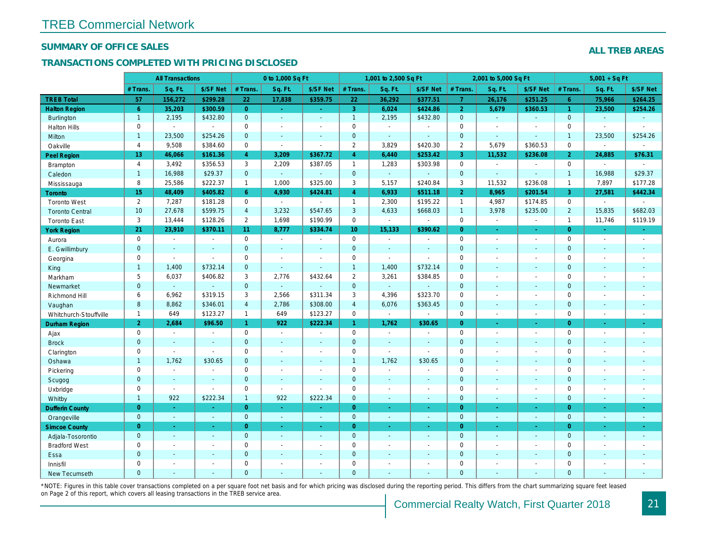#### SUMMARY OF OFFICE SALES

## TRANSACTIONS COMPLETED WITH PRICING DISCLOSED

|                        |                 | <b>All Transactions</b> |                          |                | 0 to 1,000 Sq Ft      |                     |                     | 1,001 to 2,500 Sq Ft        |                |                | 2,001 to 5,000 Sq Ft     |                          |
|------------------------|-----------------|-------------------------|--------------------------|----------------|-----------------------|---------------------|---------------------|-----------------------------|----------------|----------------|--------------------------|--------------------------|
|                        | # Trans.        | Sq. Ft.                 | \$/SF Net                | # Trans.       | Sq. Ft.               | \$/SF Net           | # Trans.            | Sq. Ft.                     | \$/SF Net      | # Trans.       | Sq. Ft.                  | \$/SF Ne                 |
| <b>TREB Total</b>      | 57              | 156,272                 | \$299.28                 | 22             | 17,838                | \$359.75            | 22                  | 36,292                      | \$377.51       | $\overline{7}$ | 26,176                   | \$251.25                 |
| <b>Halton Region</b>   | 6 <sup>°</sup>  | 35,203                  | \$300.59                 | $\overline{0}$ | $\omega_{\rm c}$      | $\omega_{\rm{eff}}$ | 3                   | 6,024                       | \$424.86       | $\overline{2}$ | 5,679                    | \$360.53                 |
| <b>Burlington</b>      | $\mathbf{1}$    | 2,195                   | \$432.80                 | $\mathbf{0}$   | $\omega$              | $\blacksquare$      | $\mathbf{1}$        | 2,195                       | \$432.80       | $\overline{0}$ | $\omega$                 | $\blacksquare$           |
| <b>Halton Hills</b>    | $\mathbf 0$     | $\sim$                  | $\sim$                   | $\Omega$       | $\blacksquare$        | $\blacksquare$      | $\mathbf 0$         | $\blacksquare$              | ÷.             | $\Omega$       | $\sim$                   | $\overline{\phantom{a}}$ |
| Milton                 | $\mathbf{1}$    | 23,500                  | \$254.26                 | $\mathbf{0}$   | $\blacksquare$        | $\blacksquare$      | $\mathbf 0$         | $\omega$                    | $\blacksquare$ | $\mathbf{0}$   | $\blacksquare$           | $\blacksquare$           |
| Oakville               | 4               | 9,508                   | \$384.60                 | $\mathbf 0$    | $\blacksquare$        | $\sim$              | $\overline{2}$      | 3,829                       | \$420.30       | $\overline{2}$ | 5,679                    | \$360.53                 |
| Peel Region            | 13 <sup>°</sup> | 46,066                  | \$161.36                 | $\overline{4}$ | 3,209                 | \$367.72            | $\overline{4}$      | 6,440                       | \$253.42       | 3              | 11,532                   | \$236.08                 |
| Brampton               | $\overline{4}$  | 3,492                   | \$356.53                 | 3              | 2,209                 | \$387.05            | $\mathbf{1}$        | 1,283                       | \$303.98       | $\mathbf 0$    | $\blacksquare$           | $\blacksquare$           |
| Caledon                | $\mathbf{1}$    | 16,988                  | \$29.37                  | $\mathbf{0}$   | $\omega$              | $\omega$            | $\mathbf 0$         | $\omega$                    | $\omega$       | $\mathbf{0}$   | $\sim$                   | $\sim$                   |
| Mississauga            | 8               | 25,586                  | \$222.37                 | $\mathbf{1}$   | 1,000                 | \$325.00            | 3                   | 5,157                       | \$240.84       | 3              | 11,532                   | \$236.08                 |
| <b>Toronto</b>         | 15              | 48,409                  | \$405.82                 | 6 <sup>°</sup> | 4,930                 | \$424.81            | $\overline{4}$      | 6,933                       | \$511.18       | $\overline{2}$ | 8,965                    | \$201.54                 |
| <b>Toronto West</b>    | $\overline{2}$  | 7,287                   | \$181.28                 | $\mathbf 0$    | $\sim$                | $\blacksquare$      | $\mathbf{1}$        | 2,300                       | \$195.22       | $\overline{1}$ | 4,987                    | \$174.85                 |
| <b>Toronto Central</b> | 10              | 27,678                  | \$599.75                 | $\overline{4}$ | 3,232                 | \$547.65            | $\mathbf{3}$        | 4,633                       | \$668.03       | $\overline{1}$ | 3,978                    | \$235.00                 |
| <b>Toronto East</b>    | 3               | 13,444                  | \$128.26                 | $\mathbf{2}$   | 1,698                 | \$190.99            | $\mathbf 0$         | $\blacksquare$              | $\blacksquare$ | $\mathbf 0$    | $\blacksquare$           | $\blacksquare$           |
| <b>York Region</b>     | 21              | 23,910                  | \$370.11                 | 11             | 8,777                 | \$334.74            | 10 <sub>1</sub>     | 15,133                      | \$390.62       | $\overline{0}$ | $\sim$                   | $\sim$                   |
| Aurora                 | $\mathbf 0$     | $\blacksquare$          | $\sim$                   | $\mathbf 0$    | $\sim$                | $\blacksquare$      | $\mathbf 0$         | $\blacksquare$              | $\blacksquare$ | $\mathbf 0$    | $\blacksquare$           | $\sim$                   |
| E. Gwillimbury         | $\mathbf{0}$    | $\sim$                  | $\sim$                   | $\mathbf{0}$   | $\sim$                | $\blacksquare$      | $\mathbf{0}$        | $\omega$                    | $\sim$         | $\mathbf{0}$   | $\omega$                 | $\blacksquare$           |
| Georgina               | $\mathbf 0$     | $\blacksquare$          | $\blacksquare$           | $\pmb{0}$      | $\blacksquare$        | $\blacksquare$      | $\mathsf 0$         | $\blacksquare$              | $\blacksquare$ | $\mathbf 0$    | $\overline{\phantom{a}}$ | $\blacksquare$           |
| King                   | $\mathbf{1}$    | 1,400                   | \$732.14                 | $\mathbf{0}$   | $\sim$                | $\blacksquare$      | $\mathbf{1}$        | 1,400                       | \$732.14       | $\mathbf{0}$   | $\sim$                   | $\sim$                   |
| Markham                | 5               | 6,037                   | \$406.82                 | 3              | 2,776                 | \$432.64            | $\overline{2}$      | 3,261                       | \$384.85       | $\mathbf 0$    | $\blacksquare$           | $\blacksquare$           |
| Newmarket              | $\mathbf{0}$    | $\omega$                | $\sim$                   | $\mathbf{0}$   | $\omega$              | $\sim$              | $\mathbf{0}$        | $\omega$                    |                | $\mathbf{0}$   | $\sim$                   | $\sim$                   |
| Richmond Hill          | 6               | 6,962                   | \$319.15                 | 3              | 2,566                 | \$311.34            | 3                   | 4,396                       | \$323.70       | $\mathbf 0$    | $\blacksquare$           | $\blacksquare$           |
| Vaughan                | 8               | 8,862                   | \$346.01                 | $\overline{4}$ | 2,786                 | \$308.00            | $\overline{4}$      | 6,076                       | \$363.45       | $\mathbf{0}$   | $\sim$                   | $\sim$                   |
| Whitchurch-Stouffville | $\mathbf{1}$    | 649                     | \$123.27                 | $\mathbf{1}$   | 649                   | \$123.27            | $\mathbf 0$         | $\mathcal{L}_{\mathcal{A}}$ | $\blacksquare$ | $\mathbf 0$    | $\blacksquare$           | $\blacksquare$           |
| Durham Region          | 2 <sup>1</sup>  | 2,684                   | \$96.50                  | $\mathbf{1}$   | 922                   | \$222.34            | $\mathbf{1}$        | 1,762                       | \$30.65        | $\overline{0}$ | $\blacksquare$           | $\bullet$                |
| Ajax                   | $\mathbf 0$     | $\sim$                  | $\sim$                   | $\mathbf 0$    | $\sim$                | $\blacksquare$      | $\mathbf 0$         | $\blacksquare$              | $\blacksquare$ | $\mathbf 0$    | $\blacksquare$           | $\sim$                   |
| <b>Brock</b>           | $\mathbf{0}$    | $\sim$                  | $\sim$                   | $\mathbf{0}$   | $\mathbf{u}$          | $\blacksquare$      | $\mathbf{0}$        | $\omega$                    | $\omega$       | $\mathbf{0}$   | $\omega$                 | $\sim$                   |
| Clarington             | $\mathbf 0$     | $\sim$                  | $\blacksquare$           | $\mathbf 0$    | $\tilde{\phantom{a}}$ | $\blacksquare$      | $\mathsf 0$         | $\tilde{\phantom{a}}$       | ÷,             | $\mathbf 0$    | ÷,                       | $\overline{\phantom{a}}$ |
| Oshawa                 | $\mathbf{1}$    | 1,762                   | \$30.65                  | $\overline{0}$ | ä,                    | $\blacksquare$      | $\mathbf{1}$        | 1,762                       | \$30.65        | $\mathbf{0}$   | $\blacksquare$           | $\blacksquare$           |
| Pickering              | $\mathbf 0$     | $\blacksquare$          | $\overline{\phantom{a}}$ | $\mathbf 0$    | $\blacksquare$        | $\blacksquare$      | $\mathbf 0$         | $\blacksquare$              | $\sim$         | $\mathbf 0$    | $\sim$                   | $\blacksquare$           |
| Scugog                 | $\mathbf{0}$    | $\sim$                  | $\sim$                   | $\mathbf{0}$   | $\omega$              | $\blacksquare$      | $\mathbf{0}$        | $\Delta$                    | $\sim$         | $\mathbf{0}$   | $\Delta$                 | $\blacksquare$           |
| Uxbridge               | 0               | $\blacksquare$          | $\sim$                   | $\mathbf 0$    | $\blacksquare$        | $\sim$              | $\mathbf 0$         | $\blacksquare$              | $\blacksquare$ | $\mathbf{0}$   | $\sim$                   | $\blacksquare$           |
| Whitby                 | $\mathbf{1}$    | 922                     | \$222.34                 | $\mathbf{1}$   | 922                   | \$222.34            | $\mathbf{0}$        | $\blacksquare$              | $\sim$         | $\mathbf{0}$   | $\blacksquare$           | $\blacksquare$           |
| <b>Dufferin County</b> | $\overline{0}$  | $\sim$                  | $\sim$                   | $\overline{0}$ | ÷.                    | ٠                   | $\overline{0}$      | ÷.                          | $\sim$         | $\overline{0}$ | $\sim$                   | $\sim$                   |
| Orangeville            | $\mathbf 0$     | $\omega$                | $\omega$                 | $\mathbf 0$    | $\omega$              | $\omega$            | $\mathbf{0}$        | $\omega$                    | $\omega$       | $\mathbf{0}$   | $\Box$                   | $\omega_{\rm c}$         |
| <b>Simcoe County</b>   | $\overline{0}$  | $\omega$                | $\sim$                   | $\overline{0}$ | $\omega$              | Ξ                   | $\overline{0}$      | $\omega$                    | $\omega$       | $\overline{0}$ | $\blacksquare$           | $\sim$                   |
| Adjala-Tosorontio      | $\mathbf{0}$    | $\omega$                | $\sim$                   | $\mathbf{0}$   | $\Delta$              | $\Delta$            | $\mathbf{0}$        | $\Delta$                    | $\Delta$       | $\overline{0}$ | $\Delta$                 | $\sim$                   |
| <b>Bradford West</b>   | $\mathbf 0$     | $\blacksquare$          | $\sim$                   | $\pmb{0}$      | $\tilde{\phantom{a}}$ | $\blacksquare$      | $\mathsf{O}\xspace$ | $\blacksquare$              | $\omega$       | $\mathbf 0$    | $\blacksquare$           | $\omega$                 |
| Essa                   | $\mathbf{0}$    |                         |                          | $\overline{0}$ | $\sim$                | $\blacksquare$      | $\mathbf 0$         |                             | $\omega$       | $\mathbf{0}$   | $\blacksquare$           |                          |
| Innisfil               | $\mathbf 0$     | $\blacksquare$          | $\sim$                   | $\mathbf 0$    | $\blacksquare$        | $\blacksquare$      | $\mathbf 0$         | ä,                          | $\blacksquare$ | $\mathbf 0$    | $\sim$                   | $\blacksquare$           |
| <b>New Tecumseth</b>   | $\Omega$        |                         |                          | $\Omega$       |                       |                     | $\mathbf{0}$        |                             |                | $\Omega$       |                          |                          |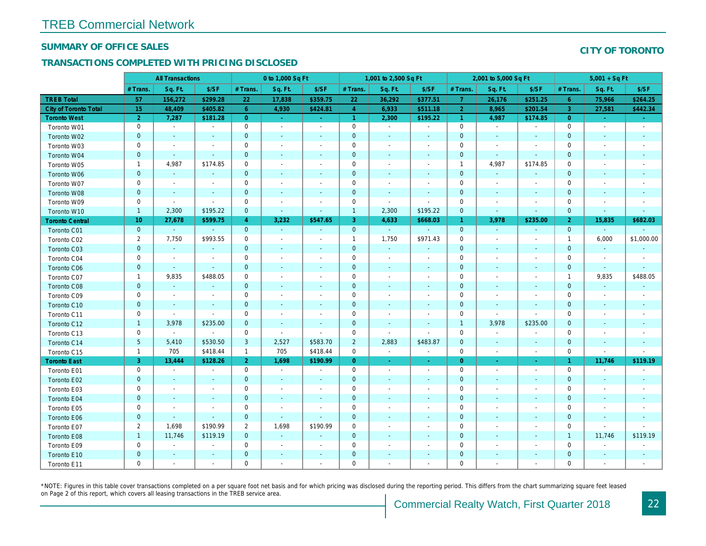#### SUMMARY OF OFFICE SALES

## TRANSACTIONS COMPLETED WITH PRICING DISCLOSED

|                              |                | <b>All Transactions</b> |                          |                | 0 to 1,000 Sq Ft         |                          |                | 1,001 to 2,500 Sq Ft        |                          |                | 2,001 to 5,000 Sq Ft     |                          |
|------------------------------|----------------|-------------------------|--------------------------|----------------|--------------------------|--------------------------|----------------|-----------------------------|--------------------------|----------------|--------------------------|--------------------------|
|                              | # Trans.       | Sq. Ft.                 | \$/SF                    | # Trans.       | Sq. Ft.                  | \$/SF                    | # Trans.       | Sq. Ft.                     | \$/SF                    | # Trans.       | Sq. Ft.                  | \$/SF                    |
| <b>TREB Total</b>            | 57             | 156,272                 | \$299.28                 | 22             | 17,838                   | \$359.75                 | 22             | 36,292                      | \$377.51                 | $\mathbf{7}$   | 26,176                   | \$251.25                 |
| <b>City of Toronto Total</b> | 15             | 48,409                  | \$405.82                 | 6              | 4,930                    | \$424.81                 | $\overline{4}$ | 6,933                       | \$511.18                 | $\overline{2}$ | 8,965                    | \$201.54                 |
| <b>Toronto West</b>          | $\overline{2}$ | 7,287                   | \$181.28                 | $\overline{0}$ | $\omega$                 | $\omega$                 | $\mathbf{1}$   | 2,300                       | \$195.22                 | $\mathbf{1}$   | 4,987                    | \$174.85                 |
| Toronto W01                  | 0              | $\blacksquare$          | $\blacksquare$           | 0              | $\sim$                   | $\sim$                   | $\mathbf 0$    | $\blacksquare$              | $\sim$                   | $\mathbf 0$    | $\mathbf{r}$             | $\sim$                   |
| Toronto W02                  | $\mathbf 0$    | $\blacksquare$          | $\sim$                   | $\mathbf{0}$   | $\sim$                   | $\blacksquare$           | $\mathbf 0$    | $\sim$                      | $\sim$                   | $\mathbf 0$    | $\sim$                   | $\sim$                   |
| Toronto W03                  | 0              | $\sim$                  | $\blacksquare$           | 0              | $\overline{\phantom{a}}$ | $\blacksquare$           | 0              | $\overline{\phantom{a}}$    | $\overline{\phantom{a}}$ | $\mathbf 0$    | $\overline{\phantom{a}}$ |                          |
| Toronto W04                  | $\mathbf{0}$   | $\sim$                  | $\sim$                   | $\overline{0}$ | $\sim$                   | $\blacksquare$           | $\mathbf{0}$   | $\sim$                      | $\sim$                   | $\mathbf 0$    | $\sim$                   | $\sim$                   |
| Toronto W05                  | $\mathbf{1}$   | 4,987                   | \$174.85                 | $\mathbf 0$    | $\overline{\phantom{a}}$ | $\blacksquare$           | 0              | $\overline{\phantom{a}}$    | $\overline{\phantom{a}}$ | $\mathbf{1}$   | 4,987                    | \$174.85                 |
| Toronto W06                  | $\mathbf 0$    | $\blacksquare$          | $\blacksquare$           | $\mathbf{0}$   |                          | $\blacksquare$           | $\mathbf 0$    | $\sim$                      |                          | $\mathbf 0$    | $\sim$                   | $\blacksquare$           |
| Toronto W07                  | 0              | $\blacksquare$          | $\blacksquare$           | 0              | $\overline{\phantom{a}}$ | $\overline{\phantom{a}}$ | 0              | $\overline{\phantom{a}}$    |                          | $\mathbf 0$    | $\overline{\phantom{a}}$ | $\overline{\phantom{a}}$ |
| Toronto W08                  | $\pmb{0}$      | $\blacksquare$          | $\blacksquare$           | $\mathbf{0}$   | $\sim$                   | $\blacksquare$           | $\mathbf 0$    | $\sim$                      | $\sim$                   | $\mathbf 0$    | $\sim$                   | $\sim$                   |
| Toronto W09                  | 0              | $\blacksquare$          | $\blacksquare$           | 0              | $\sim$                   | $\blacksquare$           | 0              | $\sim$                      | $\blacksquare$           | $\pmb{0}$      | ÷.                       |                          |
| Toronto W10                  | $\mathbf{1}$   | 2,300                   | \$195.22                 | $\mathbf 0$    | $\blacksquare$           | $\blacksquare$           | $\mathbf{1}$   | 2,300                       | \$195.22                 | $\mathbf 0$    | $\sim$                   | $\blacksquare$           |
| <b>Toronto Central</b>       | 10             | 27,678                  | \$599.75                 | $\overline{4}$ | 3,232                    | \$547.65                 | 3              | 4,633                       | \$668.03                 | $\mathbf{1}$   | 3,978                    | \$235.00                 |
| Toronto C01                  | $\mathbf{0}$   | $\sim$                  | $\sim$                   | $\mathbf{0}$   | $\sim$                   | $\sim$                   | $\mathbf{0}$   | $\omega$                    | $\sim$                   | $\mathbf{0}$   | $\sim$                   | $\sim$                   |
| Toronto C02                  | $\overline{2}$ | 7,750                   | \$993.55                 | 0              | $\blacksquare$           | $\blacksquare$           | $\mathbf{1}$   | 1,750                       | \$971.43                 | $\mathbf 0$    | $\sim$                   |                          |
| Toronto C03                  | $\mathbf 0$    | $\sim$                  | $\blacksquare$           | $\mathbf{0}$   | $\blacksquare$           | $\blacksquare$           | $\mathbf{0}$   | $\mathcal{L}_{\mathcal{C}}$ | $\blacksquare$           | $\mathbf{0}$   | $\blacksquare$           | $\sim$                   |
| Toronto C04                  | 0              | $\blacksquare$          | $\blacksquare$           | 0              | $\overline{\phantom{a}}$ | $\blacksquare$           | 0              | $\overline{\phantom{a}}$    | $\overline{\phantom{a}}$ | $\mathbf 0$    | $\blacksquare$           | $\overline{\phantom{a}}$ |
| Toronto C06                  | $\mathbf{0}$   | $\sim$                  | $\sim$                   | $\mathbf 0$    | $\blacksquare$           | $\blacksquare$           | $\mathbf{0}$   | $\sim$                      | $\overline{\phantom{a}}$ | $\mathbf 0$    | $\sim$                   | $\sim$                   |
| Toronto C07                  | $\mathbf{1}$   | 9,835                   | \$488.05                 | 0              | $\overline{\phantom{a}}$ | $\blacksquare$           | $\mathbf 0$    | $\sim$                      | $\sim$                   | $\pmb{0}$      | $\sim$                   |                          |
| Toronto C08                  | $\mathbf{0}$   | $\omega$                | $\sim$                   | $\overline{0}$ | $\sim$                   | $\sim$                   | $\mathbf{0}$   | $\sim$                      | $\sim$                   | $\mathbf 0$    | $\sim$                   | $\sim$                   |
| Toronto C09                  | 0              | $\blacksquare$          | $\blacksquare$           | 0              | $\overline{\phantom{a}}$ | $\blacksquare$           | 0              | $\sim$                      | $\overline{\phantom{a}}$ | $\mathbf 0$    | $\sim$                   |                          |
| Toronto C10                  | $\mathbf 0$    | $\sim$                  | $\sim$                   | $\mathbf 0$    | $\sim$                   | $\sim$                   | $\pmb{0}$      | $\sim$                      | $\sim$                   | $\mathbf 0$    | $\overline{\phantom{a}}$ | $\sim$                   |
| Toronto C11                  | 0              | $\blacksquare$          | $\sim$                   | $\mathbf 0$    | $\overline{\phantom{a}}$ | $\blacksquare$           | 0              | $\overline{\phantom{a}}$    | $\overline{\phantom{a}}$ | $\mathbf 0$    | $\sim$                   |                          |
| Toronto C12                  | $\mathbf{1}$   | 3,978                   | \$235.00                 | $\mathbf 0$    | $\blacksquare$           | $\blacksquare$           | $\mathbf{0}$   | $\blacksquare$              | $\sim$                   | $\mathbf{1}$   | 3,978                    | \$235.00                 |
| Toronto C13                  | 0              | $\blacksquare$          | $\blacksquare$           | 0              | $\overline{\phantom{a}}$ | $\blacksquare$           | 0              | $\overline{\phantom{a}}$    | $\overline{\phantom{a}}$ | $\mathbf 0$    | $\blacksquare$           | $\overline{\phantom{a}}$ |
| Toronto C14                  | 5              | 5,410                   | \$530.50                 | 3              | 2,527                    | \$583.70                 | $\overline{2}$ | 2,883                       | \$483.87                 | $\pmb{0}$      | $\sim$                   | $\sim$                   |
| Toronto C15                  | $\mathbf{1}$   | 705                     | \$418.44                 | $\mathbf{1}$   | 705                      | \$418.44                 | $\mathbf 0$    | $\blacksquare$              | $\blacksquare$           | $\mathbf 0$    | $\blacksquare$           | $\blacksquare$           |
| <b>Toronto East</b>          | 3              | 13,444                  | \$128.26                 | 2 <sup>1</sup> | 1,698                    | \$190.99                 | $\overline{0}$ | $\sim$                      | $\omega$                 | $\overline{0}$ | $\omega$                 | $\sim$                   |
| Toronto E01                  | 0              | $\blacksquare$          | $\blacksquare$           | 0              | $\sim$                   | $\blacksquare$           | 0              | $\blacksquare$              | $\blacksquare$           | $\mathbf 0$    | $\blacksquare$           | $\blacksquare$           |
| Toronto E02                  | $\mathbf 0$    | $\blacksquare$          | $\blacksquare$           | $\mathbf 0$    | $\sim$                   | $\blacksquare$           | $\mathbf 0$    | $\blacksquare$              |                          | $\pmb{0}$      | $\sim$                   | $\sim$                   |
| Toronto E03                  | 0              | $\sim$                  | $\overline{\phantom{a}}$ | $\mathbf 0$    | $\overline{\phantom{a}}$ | $\blacksquare$           | 0              | $\sim$                      | $\overline{\phantom{a}}$ | $\mathbf 0$    | $\overline{\phantom{a}}$ |                          |
| Toronto E04                  | $\mathbf 0$    | $\blacksquare$          | $\omega$                 | $\mathbf 0$    | $\sim$                   | $\sim$                   | $\pmb{0}$      | $\blacksquare$              | $\sim$                   | $\mathbf 0$    |                          |                          |
| Toronto E05                  | 0              | $\blacksquare$          | $\blacksquare$           | 0              | $\blacksquare$           | $\blacksquare$           | 0              | $\blacksquare$              | $\overline{\phantom{a}}$ | $\mathbf 0$    | $\blacksquare$           | $\overline{\phantom{a}}$ |
| Toronto E06                  | $\mathbf 0$    | $\blacksquare$          | $\blacksquare$           | $\mathbf 0$    | $\blacksquare$           | $\blacksquare$           | $\mathbf 0$    | $\sim$                      |                          | $\mathbf 0$    |                          |                          |
| Toronto E07                  | $\overline{2}$ | 1,698                   | \$190.99                 | $\overline{2}$ | 1,698                    | \$190.99                 | 0              | $\overline{\phantom{a}}$    | $\overline{\phantom{a}}$ | $\mathbf 0$    | $\blacksquare$           |                          |
| Toronto E08                  | $\mathbf{1}$   | 11,746                  | \$119.19                 | $\mathbf 0$    | $\mathbf{r}$             | $\sim$                   | $\mathbf{0}$   | $\sim$                      | $\sim$                   | $\mathbf 0$    | $\sim$                   |                          |
| Toronto E09                  | 0              | $\sim$                  | $\blacksquare$           | 0              | $\sim$                   | $\sim$                   | 0              | $\sim$                      | $\sim$                   | $\mathbf 0$    | $\sim$                   |                          |
| Toronto E10                  | $\mathbf 0$    | $\sim$                  | $\sim$                   | $\mathbf 0$    |                          | $\sim$                   | $\mathbf 0$    |                             |                          | $\mathbf 0$    |                          |                          |
| Toronto E11                  | 0              | $\sim$                  | $\blacksquare$           | 0              | $\overline{\phantom{a}}$ | $\blacksquare$           | $\mathbf 0$    | $\overline{\phantom{a}}$    |                          | $\mathbf 0$    | $\sim$                   |                          |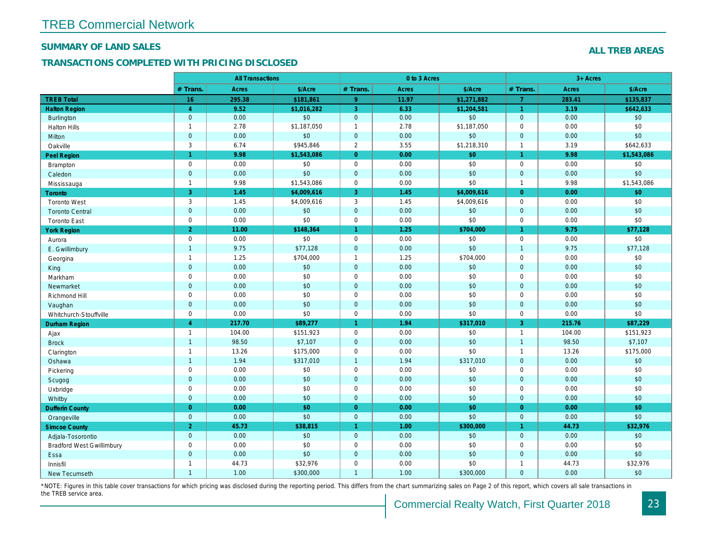#### SUMMARY OF LAND SALES

## TRANSACTIONS COMPLETED WITH PRICING DISCLOSED

|                                  |                     | <b>All Transactions</b> |             | 0 to 3 Acres         |       |             |                      |  |
|----------------------------------|---------------------|-------------------------|-------------|----------------------|-------|-------------|----------------------|--|
|                                  | # Trans.            | <b>Acres</b>            | \$/Acre     | # Trans.             | Acres | \$/Acre     | # Trans.             |  |
| <b>TREB Total</b>                | 16                  | 295.38                  | \$181,861   | 9                    | 11.97 | \$1,271,882 | $\overline{7}$       |  |
| <b>Halton Region</b>             | $\overline{4}$      | 9.52                    | \$1,016,282 | 3                    | 6.33  | \$1,204,581 | $\blacktriangleleft$ |  |
| <b>Burlington</b>                | $\mathbf{0}$        | 0.00                    | \$0         | $\mathbf 0$          | 0.00  | \$0         | $\mathbf{0}$         |  |
| <b>Halton Hills</b>              | $\mathbf{1}$        | 2.78                    | \$1,187,050 | $\mathbf{1}$         | 2.78  | \$1,187,050 | $\mathbf 0$          |  |
| Milton                           | $\mathbf{0}$        | 0.00                    | \$0         | $\mathbf 0$          | 0.00  | \$0         | $\mathbf{0}$         |  |
| Oakville                         | 3                   | 6.74                    | \$945,846   | $\mathbf{2}$         | 3.55  | \$1,218,310 | $\overline{1}$       |  |
| Peel Region                      | $\mathbf{1}$        | 9.98                    | \$1,543,086 | $\mathbf{0}$         | 0.00  | \$0         | $\mathbf{1}$         |  |
| <b>Brampton</b>                  | $\mathbf 0$         | 0.00                    | \$0         | $\mathbf 0$          | 0.00  | \$0         | $\mathbf 0$          |  |
| Caledon                          | $\mathbf 0$         | 0.00                    | \$0         | $\mathbf 0$          | 0.00  | \$0         | $\mathbf{0}$         |  |
| Mississauga                      | $\mathbf{1}$        | 9.98                    | \$1,543,086 | $\pmb{0}$            | 0.00  | \$0         | $\overline{1}$       |  |
| Toronto                          | $\overline{3}$      | 1.45                    | \$4,009,616 | 3                    | 1.45  | \$4,009,616 | $\overline{0}$       |  |
| <b>Toronto West</b>              | 3                   | 1.45                    | \$4,009,616 | 3                    | 1.45  | \$4,009,616 | $\mathbf 0$          |  |
| <b>Toronto Central</b>           | $\mathbf{0}$        | 0.00                    | \$0         | $\mathbf 0$          | 0.00  | \$0         | $\mathbf{0}$         |  |
| <b>Toronto East</b>              | $\mathbf 0$         | 0.00                    | \$0         | $\pmb{0}$            | 0.00  | \$0         | $\mathbf 0$          |  |
| <b>York Region</b>               | 2 <sup>1</sup>      | 11.00                   | \$148,364   | $\blacktriangleleft$ | 1.25  | \$704,000   | $\mathbf{1}$         |  |
| Aurora                           | $\mathbf 0$         | 0.00                    | \$0         | $\mathbf 0$          | 0.00  | \$0         | $\mathbf 0$          |  |
| E. Gwillimbury                   | $\mathbf{1}$        | 9.75                    | \$77,128    | $\mathbf 0$          | 0.00  | \$0         | $\overline{1}$       |  |
| Georgina                         | $\mathbf{1}$        | 1.25                    | \$704,000   | $\mathbf{1}$         | 1.25  | \$704,000   | $\mathbf 0$          |  |
| King                             | $\mathbf{0}$        | 0.00                    | $$0$$       | $\mathbf 0$          | 0.00  | \$0         | $\mathbf 0$          |  |
| Markham                          | $\mathbf 0$         | 0.00                    | \$0         | $\pmb{0}$            | 0.00  | \$0         | $\mathbf 0$          |  |
| Newmarket                        | $\mathbf{0}$        | 0.00                    | \$0         | $\mathbf 0$          | 0.00  | \$0         | $\mathbf 0$          |  |
| Richmond Hill                    | $\mathbf 0$         | 0.00                    | \$0         | $\mathbf 0$          | 0.00  | \$0         | $\mathbf 0$          |  |
| Vaughan                          | $\mathbf{0}$        | 0.00                    | \$0         | $\mathbf{0}$         | 0.00  | \$0         | $\mathbf{0}$         |  |
| Whitchurch-Stouffville           | $\mathbf 0$         | 0.00                    | \$0         | $\pmb{0}$            | 0.00  | \$0         | $\mathbf 0$          |  |
| <b>Durham Region</b>             | $\overline{4}$      | 217.70                  | \$89,277    | $\blacktriangleleft$ | 1.94  | \$317,010   | 3                    |  |
| Ajax                             | $\mathbf{1}$        | 104.00                  | \$151,923   | $\mathbf 0$          | 0.00  | \$0         | $\overline{1}$       |  |
| <b>Brock</b>                     | $\mathbf{1}$        | 98.50                   | \$7,107     | $\mathbf 0$          | 0.00  | \$0         | $\overline{1}$       |  |
| Clarington                       | $\mathbf{1}$        | 13.26                   | \$175,000   | $\pmb{0}$            | 0.00  | \$0         | $\overline{1}$       |  |
| Oshawa                           | $\overline{1}$      | 1.94                    | \$317,010   | $\mathbf{1}$         | 1.94  | \$317,010   | $\mathbf{0}$         |  |
| Pickering                        | $\mathsf{O}\xspace$ | 0.00                    | \$0         | $\pmb{0}$            | 0.00  | \$0         | $\mathbf 0$          |  |
| Scugog                           | $\mathbf 0$         | 0.00                    | \$0         | $\mathbf 0$          | 0.00  | \$0         | $\mathbf{0}$         |  |
| Uxbridge                         | $\mathbf 0$         | 0.00                    | \$0         | $\mathbf 0$          | 0.00  | \$0         | $\mathbf 0$          |  |
| Whitby                           | $\mathbf{0}$        | 0.00                    | \$0         | $\mathbf 0$          | 0.00  | \$0         | $\mathbf{0}$         |  |
| <b>Dufferin County</b>           | $\overline{0}$      | 0.00                    | \$0         | $\overline{0}$       | 0.00  | \$0         | $\overline{0}$       |  |
| Orangeville                      | $\mathbf{0}$        | 0.00                    | \$0         | $\mathbf 0$          | 0.00  | \$0         | $\mathbf{0}$         |  |
| <b>Simcoe County</b>             | $\overline{2}$      | 45.73                   | \$38,815    | $\blacktriangleleft$ | 1.00  | \$300,000   | $\mathbf{1}$         |  |
| Adjala-Tosorontio                | $\mathbf{0}$        | 0.00                    | \$0         | $\mathbf 0$          | 0.00  | \$0         | $\mathbf{0}$         |  |
| <b>Bradford West Gwillimbury</b> | $\mathbf 0$         | 0.00                    | \$0         | $\pmb{0}$            | 0.00  | \$0         | $\mathbf 0$          |  |
| Essa                             | $\overline{0}$      | 0.00                    | \$0         | $\mathbf{0}$         | 0.00  | \$0         | $\mathbf{0}$         |  |
| Innisfil                         | $\mathbf{1}$        | 44.73                   | \$32,976    | $\pmb{0}$            | 0.00  | \$0         | $\overline{1}$       |  |
| New Tecumseth                    | $\mathbf{1}$        | 1.00                    | \$300,000   | $\mathbf{1}$         | 1.00  | \$300,000   | $\mathbf{0}$         |  |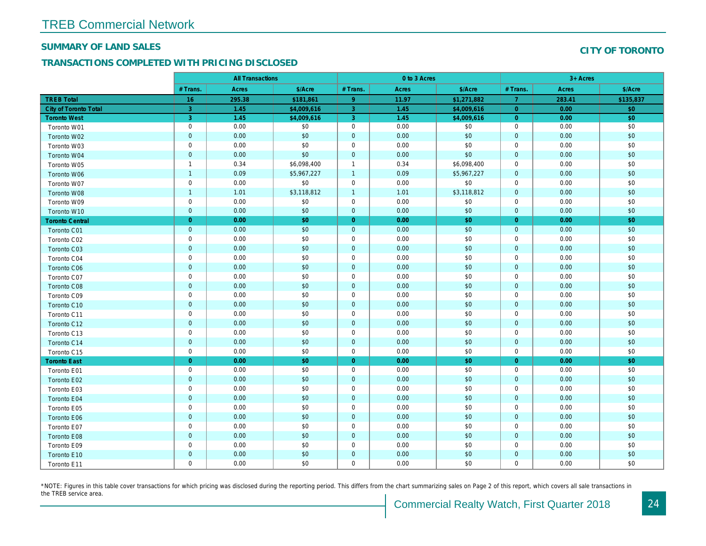#### SUMMARY OF LAND SALES

## TRANSACTIONS COMPLETED WITH PRICING DISCLOSED

|                              |                | <b>All Transactions</b> |             |                | 0 to 3 Acres |             |                |  |
|------------------------------|----------------|-------------------------|-------------|----------------|--------------|-------------|----------------|--|
|                              | # Trans.       | Acres                   | \$/Acre     | # Trans.       | Acres        | \$/Acre     | # Trans.       |  |
| <b>TREB Total</b>            | 16             | 295.38                  | \$181,861   | 9 <sup>°</sup> | 11.97        | \$1,271,882 | $\overline{7}$ |  |
| <b>City of Toronto Total</b> | 3              | 1.45                    | \$4,009,616 | 3              | 1.45         | \$4,009,616 | $\overline{0}$ |  |
| <b>Toronto West</b>          | 3              | 1.45                    | \$4,009,616 | 3              | 1.45         | \$4,009,616 | $\overline{0}$ |  |
| Toronto W01                  | $\mathbf 0$    | 0.00                    | \$0         | $\mathbf 0$    | 0.00         | \$0         | 0              |  |
| Toronto W02                  | $\mathbf 0$    | 0.00                    | \$0         | $\mathbf 0$    | 0.00         | \$0         | $\mathbf{0}$   |  |
| Toronto W03                  | $\mathbf 0$    | 0.00                    | \$0         | 0              | 0.00         | \$0         | 0              |  |
| Toronto W04                  | $\overline{0}$ | 0.00                    | \$0         | $\mathbf 0$    | 0.00         | \$0         | $\mathbf{0}$   |  |
| Toronto W05                  | $\overline{1}$ | 0.34                    | \$6,098,400 | $\overline{1}$ | 0.34         | \$6,098,400 | 0              |  |
| Toronto W06                  | $\overline{1}$ | 0.09                    | \$5,967,227 | $\overline{1}$ | 0.09         | \$5,967,227 | $\mathbf{0}$   |  |
| Toronto W07                  | $\mathbf 0$    | 0.00                    | \$0         | $\mathbf 0$    | 0.00         | \$0         | $\mathbf 0$    |  |
| Toronto W08                  | $\overline{1}$ | 1.01                    | \$3,118,812 | $\overline{1}$ | 1.01         | \$3,118,812 | $\mathbf{0}$   |  |
| Toronto W09                  | $\mathbf 0$    | 0.00                    | \$0         | $\mathbf 0$    | 0.00         | \$0         | $\mathbf 0$    |  |
| Toronto W10                  | $\mathbf 0$    | 0.00                    | \$0         | $\mathbf 0$    | 0.00         | \$0         | $\mathbf{0}$   |  |
| <b>Toronto Central</b>       | $\overline{0}$ | 0.00                    | \$0         | $\overline{0}$ | 0.00         | \$0         | $\overline{0}$ |  |
| <b>Toronto C01</b>           | $\mathbf 0$    | 0.00                    | \$0         | $\mathbf 0$    | 0.00         | \$0         | $\mathbf{0}$   |  |
| Toronto C02                  | $\mathbf 0$    | 0.00                    | \$0         | $\mathbf 0$    | 0.00         | \$0         | 0              |  |
| Toronto C03                  | $\mathbf 0$    | 0.00                    | \$0         | $\mathbf 0$    | 0.00         | \$0         | $\mathbf 0$    |  |
| Toronto C04                  | $\mathbf 0$    | 0.00                    | \$0         | $\mathbf 0$    | 0.00         | \$0         | $\mathbf 0$    |  |
| <b>Toronto C06</b>           | $\mathbf 0$    | 0.00                    | \$0         | $\mathbf 0$    | 0.00         | \$0         | $\mathbf 0$    |  |
| Toronto C07                  | $\mathbf 0$    | 0.00                    | \$0         | $\mathbf 0$    | 0.00         | \$0         | 0              |  |
| <b>Toronto C08</b>           | $\mathbf 0$    | 0.00                    | \$0         | $\mathbf 0$    | 0.00         | \$0         | $\mathbf{0}$   |  |
| Toronto C09                  | $\mathbf 0$    | 0.00                    | \$0         | $\mathbf 0$    | 0.00         | \$0         | $\mathbf{0}$   |  |
| Toronto C10                  | $\overline{0}$ | 0.00                    | \$0         | $\mathbf 0$    | 0.00         | \$0         | $\mathbf{0}$   |  |
| Toronto C11                  | $\mathbf 0$    | 0.00                    | \$0         | $\mathbf 0$    | 0.00         | \$0         | 0              |  |
| Toronto C12                  | $\mathbf 0$    | 0.00                    | \$0         | $\mathbf{0}$   | 0.00         | \$0         | $\mathbf{0}$   |  |
| Toronto C13                  | $\mathbf 0$    | 0.00                    | \$0         | $\mathbf 0$    | 0.00         | \$0         | $\mathbf 0$    |  |
| Toronto C14                  | $\overline{0}$ | 0.00                    | \$0         | $\mathbf 0$    | 0.00         | \$0         | $\mathbf 0$    |  |
| Toronto C15                  | $\mathbf 0$    | 0.00                    | \$0         | $\mathbf 0$    | 0.00         | \$0         | 0              |  |
| <b>Toronto East</b>          | $\overline{0}$ | 0.00                    | \$0         | $\overline{0}$ | 0.00         | \$0         | $\overline{0}$ |  |
| Toronto E01                  | $\mathbf 0$    | 0.00                    | \$0         | $\mathbf 0$    | 0.00         | \$0         | $\mathbf 0$    |  |
| Toronto E02                  | $\overline{0}$ | 0.00                    | \$0         | $\mathbf 0$    | 0.00         | \$0         | $\mathbf 0$    |  |
| Toronto E03                  | $\pmb{0}$      | 0.00                    | \$0         | $\mathbf 0$    | 0.00         | \$0         | $\mathbf 0$    |  |
| Toronto E04                  | $\overline{0}$ | 0.00                    | \$0         | $\mathbf{0}$   | 0.00         | \$0         | $\mathbf{0}$   |  |
| Toronto E05                  | $\mathbf 0$    | 0.00                    | \$0         | 0              | 0.00         | \$0         | 0              |  |
| Toronto E06                  | $\mathbf 0$    | 0.00                    | \$0         | $\mathbf 0$    | 0.00         | \$0         | $\mathbf{0}$   |  |
| Toronto E07                  | $\mathbf 0$    | 0.00                    | \$0         | 0              | 0.00         | \$0         | 0              |  |
| Toronto E08                  | $\overline{0}$ | 0.00                    | \$0         | $\mathbf{0}$   | 0.00         | \$0         | $\overline{0}$ |  |
| Toronto E09                  | $\mathbf 0$    | 0.00                    | \$0         | 0              | 0.00         | \$0         | 0              |  |
| Toronto E10                  | $\mathbf 0$    | 0.00                    | \$0         | $\mathbf 0$    | 0.00         | \$0         | $\mathbf 0$    |  |
| Toronto E11                  | $\mathbf 0$    | 0.00                    | \$0         | $\mathbf 0$    | 0.00         | \$0         | 0              |  |